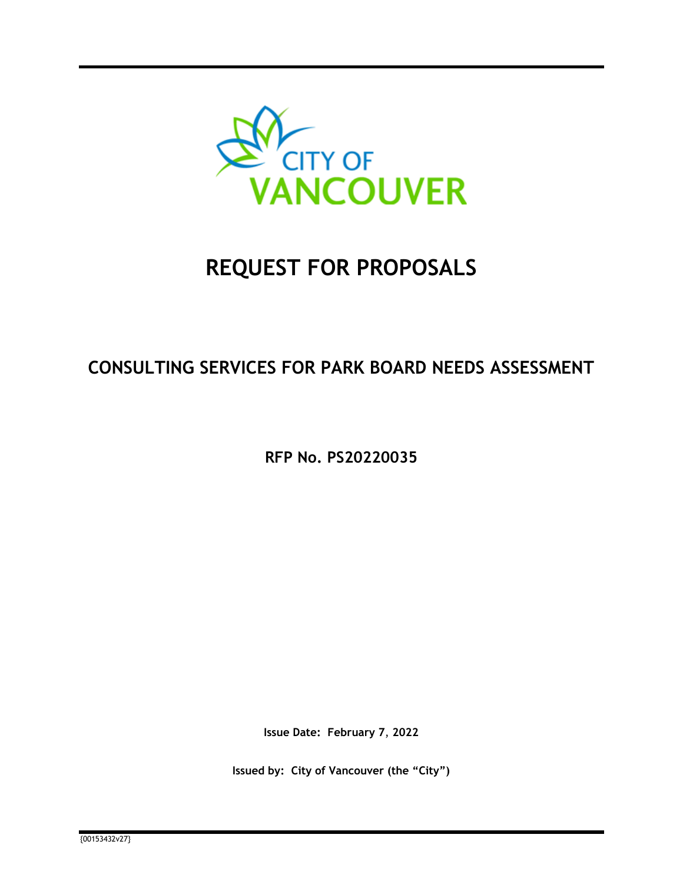

# **REQUEST FOR PROPOSALS**

# **CONSULTING SERVICES FOR PARK BOARD NEEDS ASSESSMENT**

**RFP No. PS20220035** 

**Issue Date: February 7**, **2022** 

**Issued by: City of Vancouver (the "City")**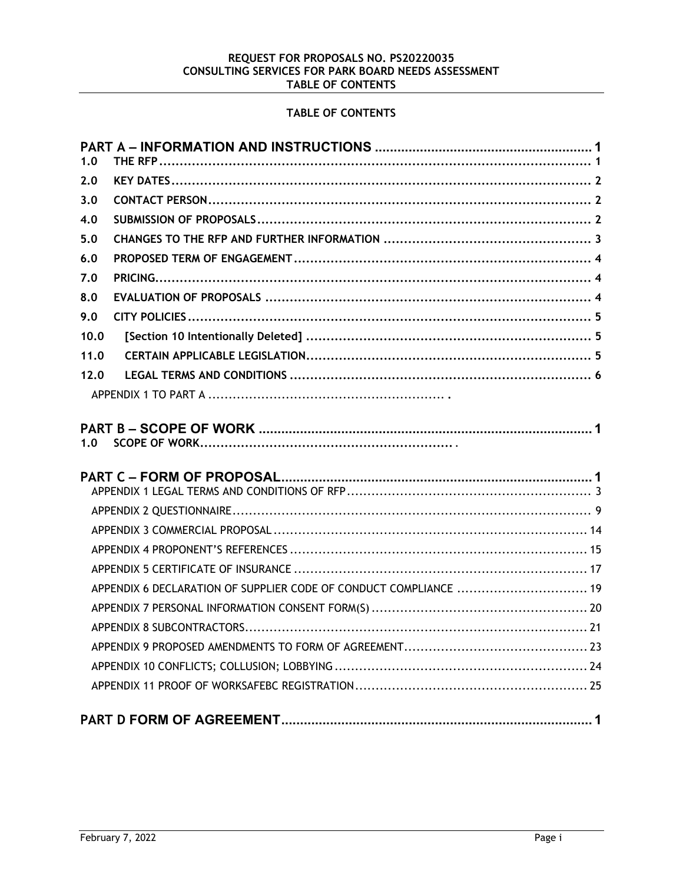# REQUEST FOR PROPOSALS NO. PS20220035<br>CONSULTING SERVICES FOR PARK BOARD NEEDS ASSESSMENT TABLE OF CONTENTS

# TABLE OF CONTENTS

| 1.0  |                                                                   |
|------|-------------------------------------------------------------------|
| 2.0  |                                                                   |
| 3.0  |                                                                   |
| 4.0  |                                                                   |
| 5.0  |                                                                   |
| 6.0  |                                                                   |
| 7.0  |                                                                   |
| 8.0  |                                                                   |
| 9.0  |                                                                   |
| 10.0 |                                                                   |
| 11.0 |                                                                   |
| 12.0 |                                                                   |
|      |                                                                   |
| 1.0  |                                                                   |
|      |                                                                   |
|      |                                                                   |
|      |                                                                   |
|      |                                                                   |
|      |                                                                   |
|      | APPENDIX 6 DECLARATION OF SUPPLIER CODE OF CONDUCT COMPLIANCE  19 |
|      |                                                                   |
|      |                                                                   |
|      |                                                                   |
|      |                                                                   |
|      |                                                                   |
|      |                                                                   |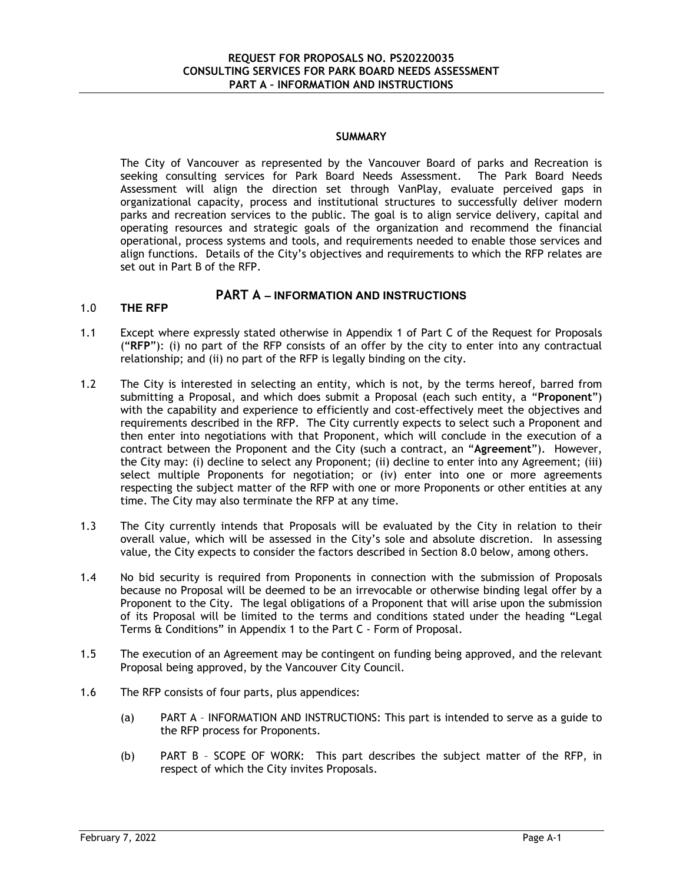### **SUMMARY**

The City of Vancouver as represented by the Vancouver Board of parks and Recreation is seeking consulting services for Park Board Needs Assessment. The Park Board Needs Assessment will align the direction set through VanPlay, evaluate perceived gaps in organizational capacity, process and institutional structures to successfully deliver modern parks and recreation services to the public. The goal is to align service delivery, capital and operating resources and strategic goals of the organization and recommend the financial operational, process systems and tools, and requirements needed to enable those services and align functions. Details of the City's objectives and requirements to which the RFP relates are set out in Part B of the RFP.

# **PART A – INFORMATION AND INSTRUCTIONS**

# 1.0 **THE RFP**

- 1.1 Except where expressly stated otherwise in Appendix 1 of Part C of the Request for Proposals ("**RFP**"): (i) no part of the RFP consists of an offer by the city to enter into any contractual relationship; and (ii) no part of the RFP is legally binding on the city.
- 1.2 The City is interested in selecting an entity, which is not, by the terms hereof, barred from submitting a Proposal, and which does submit a Proposal (each such entity, a "**Proponent**") with the capability and experience to efficiently and cost-effectively meet the objectives and requirements described in the RFP. The City currently expects to select such a Proponent and then enter into negotiations with that Proponent, which will conclude in the execution of a contract between the Proponent and the City (such a contract, an "**Agreement**"). However, the City may: (i) decline to select any Proponent; (ii) decline to enter into any Agreement; (iii) select multiple Proponents for negotiation; or (iv) enter into one or more agreements respecting the subject matter of the RFP with one or more Proponents or other entities at any time. The City may also terminate the RFP at any time.
- 1.3 The City currently intends that Proposals will be evaluated by the City in relation to their overall value, which will be assessed in the City's sole and absolute discretion. In assessing value, the City expects to consider the factors described in Section 8.0 below, among others.
- 1.4 No bid security is required from Proponents in connection with the submission of Proposals because no Proposal will be deemed to be an irrevocable or otherwise binding legal offer by a Proponent to the City. The legal obligations of a Proponent that will arise upon the submission of its Proposal will be limited to the terms and conditions stated under the heading "Legal Terms & Conditions" in Appendix 1 to the Part C - Form of Proposal.
- 1.5 The execution of an Agreement may be contingent on funding being approved, and the relevant Proposal being approved, by the Vancouver City Council.
- 1.6 The RFP consists of four parts, plus appendices:
	- (a) PART A INFORMATION AND INSTRUCTIONS: This part is intended to serve as a guide to the RFP process for Proponents.
	- (b) PART B SCOPE OF WORK: This part describes the subject matter of the RFP, in respect of which the City invites Proposals.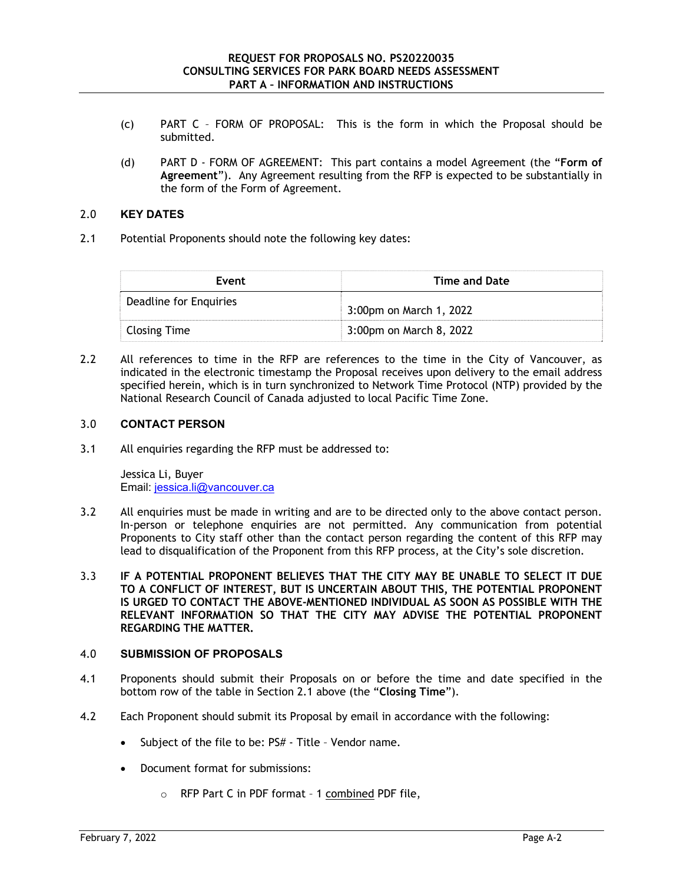- (c) PART C FORM OF PROPOSAL: This is the form in which the Proposal should be submitted.
- (d) PART D FORM OF AGREEMENT: This part contains a model Agreement (the "**Form of Agreement**"). Any Agreement resulting from the RFP is expected to be substantially in the form of the Form of Agreement.

# 2.0 **KEY DATES**

2.1 Potential Proponents should note the following key dates:

| Event                  | Time and Date           |
|------------------------|-------------------------|
| Deadline for Enquiries | 3:00pm on March 1, 2022 |
| Closing Time           | 3:00pm on March 8, 2022 |

2.2 All references to time in the RFP are references to the time in the City of Vancouver, as indicated in the electronic timestamp the Proposal receives upon delivery to the email address specified herein, which is in turn synchronized to Network Time Protocol (NTP) provided by the National Research Council of Canada adjusted to local Pacific Time Zone.

# 3.0 **CONTACT PERSON**

3.1 All enquiries regarding the RFP must be addressed to:

Jessica Li, Buyer Email: jessica.li@vancouver.ca

- 3.2 All enquiries must be made in writing and are to be directed only to the above contact person. In-person or telephone enquiries are not permitted. Any communication from potential Proponents to City staff other than the contact person regarding the content of this RFP may lead to disqualification of the Proponent from this RFP process, at the City's sole discretion.
- 3.3 **IF A POTENTIAL PROPONENT BELIEVES THAT THE CITY MAY BE UNABLE TO SELECT IT DUE TO A CONFLICT OF INTEREST, BUT IS UNCERTAIN ABOUT THIS, THE POTENTIAL PROPONENT IS URGED TO CONTACT THE ABOVE-MENTIONED INDIVIDUAL AS SOON AS POSSIBLE WITH THE RELEVANT INFORMATION SO THAT THE CITY MAY ADVISE THE POTENTIAL PROPONENT REGARDING THE MATTER.**

#### 4.0 **SUBMISSION OF PROPOSALS**

- 4.1 Proponents should submit their Proposals on or before the time and date specified in the bottom row of the table in Section 2.1 above (the "**Closing Time**").
- 4.2 Each Proponent should submit its Proposal by email in accordance with the following:
	- Subject of the file to be: PS# Title Vendor name.
	- Document format for submissions:
		- o RFP Part C in PDF format 1 combined PDF file,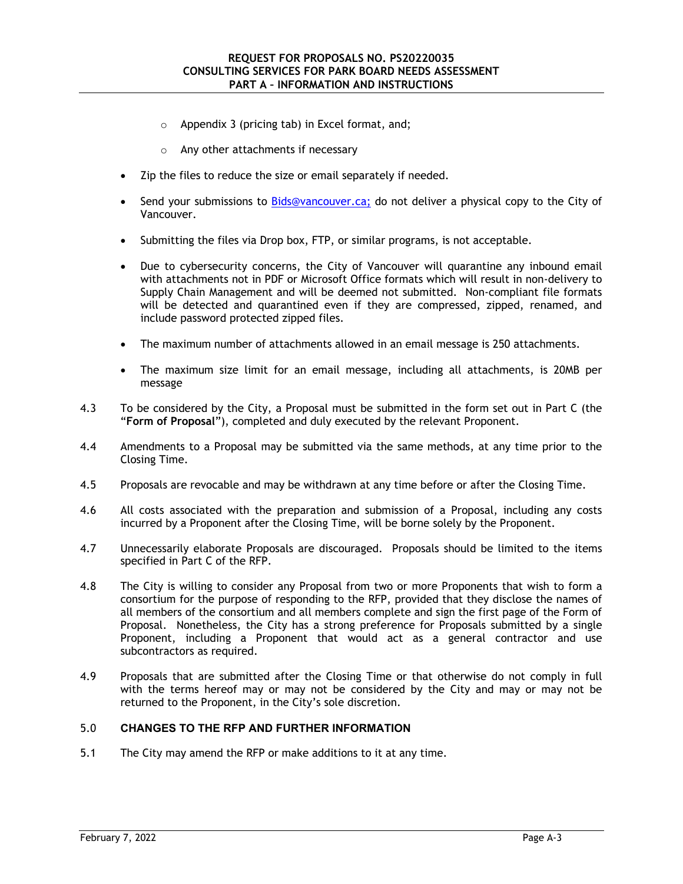- o Appendix 3 (pricing tab) in Excel format, and;
- o Any other attachments if necessary
- Zip the files to reduce the size or email separately if needed.
- Send your submissions to Bids@vancouver.ca; do not deliver a physical copy to the City of Vancouver.
- Submitting the files via Drop box, FTP, or similar programs, is not acceptable.
- Due to cybersecurity concerns, the City of Vancouver will quarantine any inbound email with attachments not in PDF or Microsoft Office formats which will result in non-delivery to Supply Chain Management and will be deemed not submitted. Non-compliant file formats will be detected and quarantined even if they are compressed, zipped, renamed, and include password protected zipped files.
- The maximum number of attachments allowed in an email message is 250 attachments.
- The maximum size limit for an email message, including all attachments, is 20MB per message
- 4.3 To be considered by the City, a Proposal must be submitted in the form set out in Part C (the "**Form of Proposal**"), completed and duly executed by the relevant Proponent.
- 4.4 Amendments to a Proposal may be submitted via the same methods, at any time prior to the Closing Time.
- 4.5 Proposals are revocable and may be withdrawn at any time before or after the Closing Time.
- 4.6 All costs associated with the preparation and submission of a Proposal, including any costs incurred by a Proponent after the Closing Time, will be borne solely by the Proponent.
- 4.7 Unnecessarily elaborate Proposals are discouraged. Proposals should be limited to the items specified in Part C of the RFP.
- 4.8 The City is willing to consider any Proposal from two or more Proponents that wish to form a consortium for the purpose of responding to the RFP, provided that they disclose the names of all members of the consortium and all members complete and sign the first page of the Form of Proposal. Nonetheless, the City has a strong preference for Proposals submitted by a single Proponent, including a Proponent that would act as a general contractor and use subcontractors as required.
- 4.9 Proposals that are submitted after the Closing Time or that otherwise do not comply in full with the terms hereof may or may not be considered by the City and may or may not be returned to the Proponent, in the City's sole discretion.

#### 5.0 **CHANGES TO THE RFP AND FURTHER INFORMATION**

5.1 The City may amend the RFP or make additions to it at any time.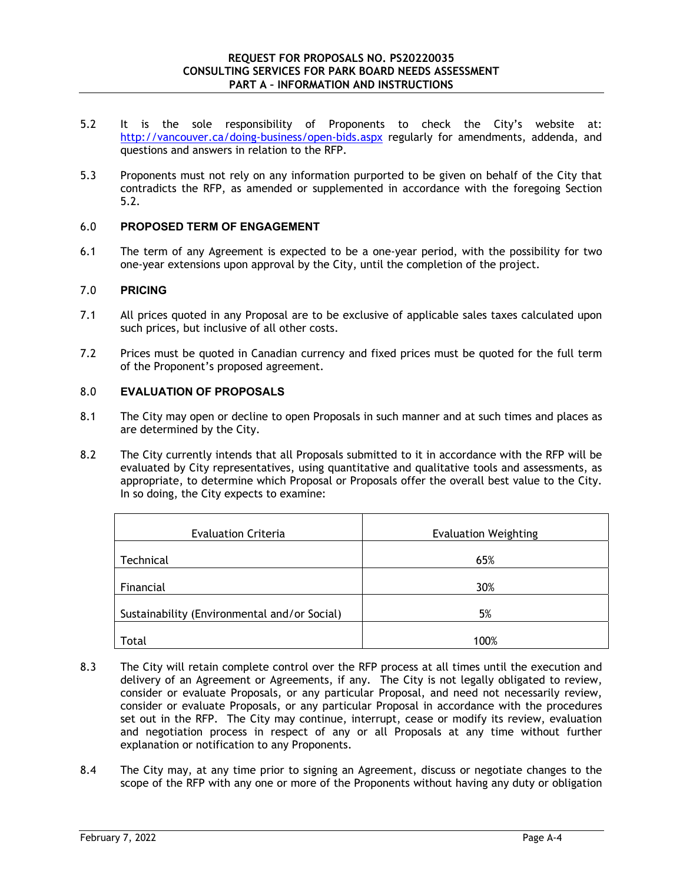- 5.2 It is the sole responsibility of Proponents to check the City's website at: http://vancouver.ca/doing-business/open-bids.aspx regularly for amendments, addenda, and questions and answers in relation to the RFP.
- 5.3 Proponents must not rely on any information purported to be given on behalf of the City that contradicts the RFP, as amended or supplemented in accordance with the foregoing Section 5.2.

# 6.0 **PROPOSED TERM OF ENGAGEMENT**

6.1 The term of any Agreement is expected to be a one-year period, with the possibility for two one-year extensions upon approval by the City, until the completion of the project.

# 7.0 **PRICING**

- 7.1 All prices quoted in any Proposal are to be exclusive of applicable sales taxes calculated upon such prices, but inclusive of all other costs.
- 7.2 Prices must be quoted in Canadian currency and fixed prices must be quoted for the full term of the Proponent's proposed agreement.

# 8.0 **EVALUATION OF PROPOSALS**

- 8.1 The City may open or decline to open Proposals in such manner and at such times and places as are determined by the City.
- 8.2 The City currently intends that all Proposals submitted to it in accordance with the RFP will be evaluated by City representatives, using quantitative and qualitative tools and assessments, as appropriate, to determine which Proposal or Proposals offer the overall best value to the City. In so doing, the City expects to examine:

| <b>Evaluation Criteria</b>                   | <b>Evaluation Weighting</b> |
|----------------------------------------------|-----------------------------|
| Technical                                    | 65%                         |
| Financial                                    | 30%                         |
| Sustainability (Environmental and/or Social) | 5%                          |
| Total                                        | 100%                        |

- 8.3 The City will retain complete control over the RFP process at all times until the execution and delivery of an Agreement or Agreements, if any. The City is not legally obligated to review, consider or evaluate Proposals, or any particular Proposal, and need not necessarily review, consider or evaluate Proposals, or any particular Proposal in accordance with the procedures set out in the RFP. The City may continue, interrupt, cease or modify its review, evaluation and negotiation process in respect of any or all Proposals at any time without further explanation or notification to any Proponents.
- 8.4 The City may, at any time prior to signing an Agreement, discuss or negotiate changes to the scope of the RFP with any one or more of the Proponents without having any duty or obligation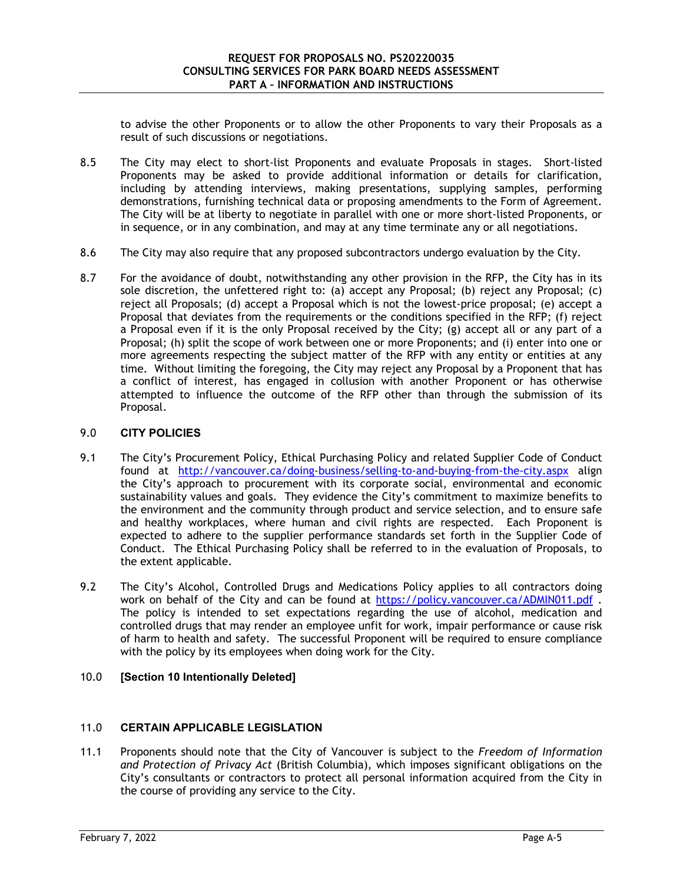to advise the other Proponents or to allow the other Proponents to vary their Proposals as a result of such discussions or negotiations.

- 8.5 The City may elect to short-list Proponents and evaluate Proposals in stages. Short-listed Proponents may be asked to provide additional information or details for clarification, including by attending interviews, making presentations, supplying samples, performing demonstrations, furnishing technical data or proposing amendments to the Form of Agreement. The City will be at liberty to negotiate in parallel with one or more short-listed Proponents, or in sequence, or in any combination, and may at any time terminate any or all negotiations.
- 8.6 The City may also require that any proposed subcontractors undergo evaluation by the City.
- 8.7 For the avoidance of doubt, notwithstanding any other provision in the RFP, the City has in its sole discretion, the unfettered right to: (a) accept any Proposal; (b) reject any Proposal; (c) reject all Proposals; (d) accept a Proposal which is not the lowest-price proposal; (e) accept a Proposal that deviates from the requirements or the conditions specified in the RFP; (f) reject a Proposal even if it is the only Proposal received by the City; (g) accept all or any part of a Proposal; (h) split the scope of work between one or more Proponents; and (i) enter into one or more agreements respecting the subject matter of the RFP with any entity or entities at any time. Without limiting the foregoing, the City may reject any Proposal by a Proponent that has a conflict of interest, has engaged in collusion with another Proponent or has otherwise attempted to influence the outcome of the RFP other than through the submission of its Proposal.

# 9.0 **CITY POLICIES**

- 9.1 The City's Procurement Policy, Ethical Purchasing Policy and related Supplier Code of Conduct found at http://vancouver.ca/doing-business/selling-to-and-buying-from-the-city.aspx align the City's approach to procurement with its corporate social, environmental and economic sustainability values and goals. They evidence the City's commitment to maximize benefits to the environment and the community through product and service selection, and to ensure safe and healthy workplaces, where human and civil rights are respected. Each Proponent is expected to adhere to the supplier performance standards set forth in the Supplier Code of Conduct. The Ethical Purchasing Policy shall be referred to in the evaluation of Proposals, to the extent applicable.
- 9.2 The City's Alcohol, Controlled Drugs and Medications Policy applies to all contractors doing work on behalf of the City and can be found at https://policy.vancouver.ca/ADMIN011.pdf. The policy is intended to set expectations regarding the use of alcohol, medication and controlled drugs that may render an employee unfit for work, impair performance or cause risk of harm to health and safety. The successful Proponent will be required to ensure compliance with the policy by its employees when doing work for the City.

# 10.0 **[Section 10 Intentionally Deleted]**

# 11.0 **CERTAIN APPLICABLE LEGISLATION**

11.1 Proponents should note that the City of Vancouver is subject to the *Freedom of Information and Protection of Privacy Act* (British Columbia), which imposes significant obligations on the City's consultants or contractors to protect all personal information acquired from the City in the course of providing any service to the City.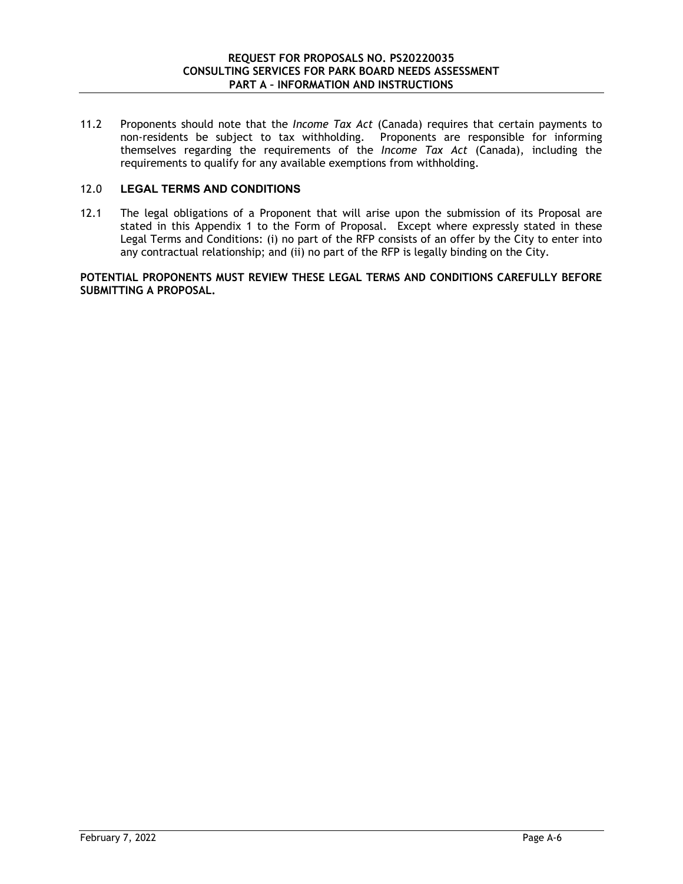11.2 Proponents should note that the *Income Tax Act* (Canada) requires that certain payments to non-residents be subject to tax withholding. Proponents are responsible for informing themselves regarding the requirements of the *Income Tax Act* (Canada), including the requirements to qualify for any available exemptions from withholding.

# 12.0 **LEGAL TERMS AND CONDITIONS**

12.1 The legal obligations of a Proponent that will arise upon the submission of its Proposal are stated in this Appendix 1 to the Form of Proposal. Except where expressly stated in these Legal Terms and Conditions: (i) no part of the RFP consists of an offer by the City to enter into any contractual relationship; and (ii) no part of the RFP is legally binding on the City.

**POTENTIAL PROPONENTS MUST REVIEW THESE LEGAL TERMS AND CONDITIONS CAREFULLY BEFORE SUBMITTING A PROPOSAL.**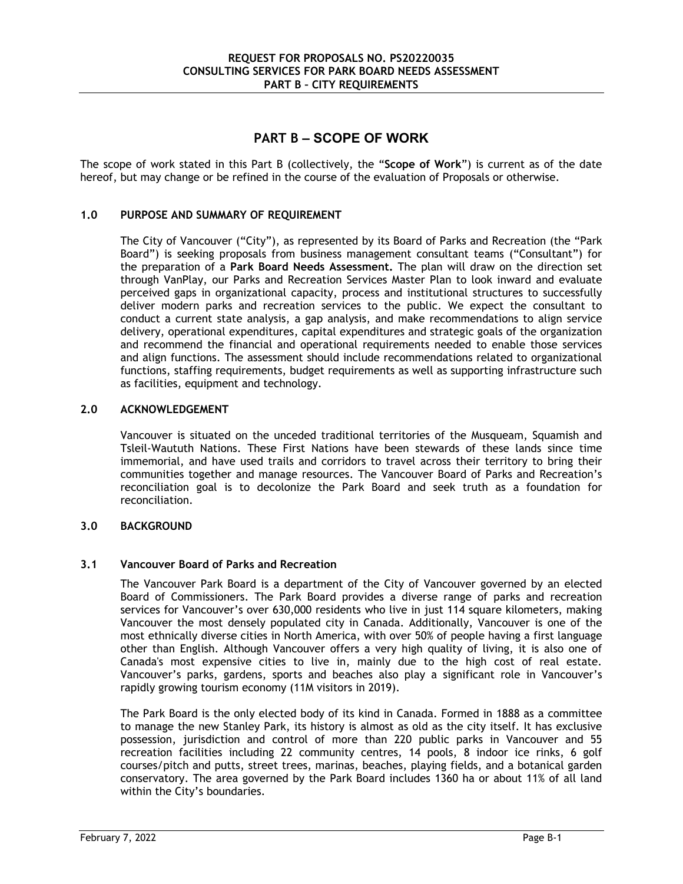# **PART B – SCOPE OF WORK**

The scope of work stated in this Part B (collectively, the "**Scope of Work**") is current as of the date hereof, but may change or be refined in the course of the evaluation of Proposals or otherwise.

#### **1.0 PURPOSE AND SUMMARY OF REQUIREMENT**

The City of Vancouver ("City"), as represented by its Board of Parks and Recreation (the "Park Board") is seeking proposals from business management consultant teams ("Consultant") for the preparation of a **Park Board Needs Assessment.** The plan will draw on the direction set through VanPlay, our Parks and Recreation Services Master Plan to look inward and evaluate perceived gaps in organizational capacity, process and institutional structures to successfully deliver modern parks and recreation services to the public. We expect the consultant to conduct a current state analysis, a gap analysis, and make recommendations to align service delivery, operational expenditures, capital expenditures and strategic goals of the organization and recommend the financial and operational requirements needed to enable those services and align functions. The assessment should include recommendations related to organizational functions, staffing requirements, budget requirements as well as supporting infrastructure such as facilities, equipment and technology.

#### **2.0 ACKNOWLEDGEMENT**

Vancouver is situated on the unceded traditional territories of the Musqueam, Squamish and Tsleil-Waututh Nations. These First Nations have been stewards of these lands since time immemorial, and have used trails and corridors to travel across their territory to bring their communities together and manage resources. The Vancouver Board of Parks and Recreation's reconciliation goal is to decolonize the Park Board and seek truth as a foundation for reconciliation.

#### **3.0 BACKGROUND**

#### **3.1 Vancouver Board of Parks and Recreation**

The Vancouver Park Board is a department of the City of Vancouver governed by an elected Board of Commissioners. The Park Board provides a diverse range of parks and recreation services for Vancouver's over 630,000 residents who live in just 114 square kilometers, making Vancouver the most densely populated city in Canada. Additionally, Vancouver is one of the most ethnically diverse cities in North America, with over 50% of people having a first language other than English. Although Vancouver offers a very high quality of living, it is also one of Canada's most expensive cities to live in, mainly due to the high cost of real estate. Vancouver's parks, gardens, sports and beaches also play a significant role in Vancouver's rapidly growing tourism economy (11M visitors in 2019).

The Park Board is the only elected body of its kind in Canada. Formed in 1888 as a committee to manage the new Stanley Park, its history is almost as old as the city itself. It has exclusive possession, jurisdiction and control of more than 220 public parks in Vancouver and 55 recreation facilities including 22 community centres, 14 pools, 8 indoor ice rinks, 6 golf courses/pitch and putts, street trees, marinas, beaches, playing fields, and a botanical garden conservatory. The area governed by the Park Board includes 1360 ha or about 11% of all land within the City's boundaries.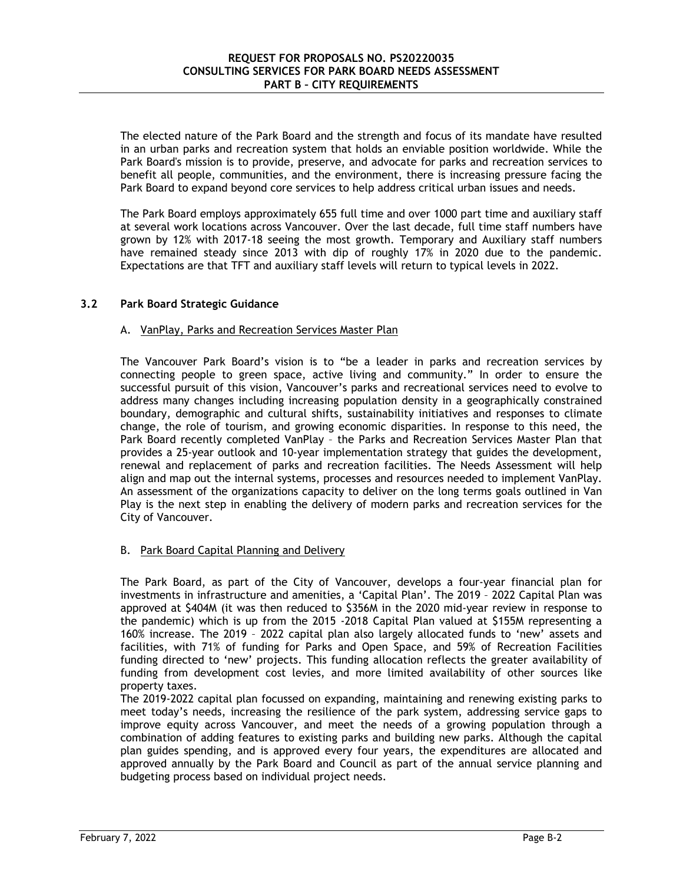The elected nature of the Park Board and the strength and focus of its mandate have resulted in an urban parks and recreation system that holds an enviable position worldwide. While the Park Board's mission is to provide, preserve, and advocate for parks and recreation services to benefit all people, communities, and the environment, there is increasing pressure facing the Park Board to expand beyond core services to help address critical urban issues and needs.

The Park Board employs approximately 655 full time and over 1000 part time and auxiliary staff at several work locations across Vancouver. Over the last decade, full time staff numbers have grown by 12% with 2017-18 seeing the most growth. Temporary and Auxiliary staff numbers have remained steady since 2013 with dip of roughly 17% in 2020 due to the pandemic. Expectations are that TFT and auxiliary staff levels will return to typical levels in 2022.

# **3.2 Park Board Strategic Guidance**

#### A. VanPlay, Parks and Recreation Services Master Plan

The Vancouver Park Board's vision is to "be a leader in parks and recreation services by connecting people to green space, active living and community." In order to ensure the successful pursuit of this vision, Vancouver's parks and recreational services need to evolve to address many changes including increasing population density in a geographically constrained boundary, demographic and cultural shifts, sustainability initiatives and responses to climate change, the role of tourism, and growing economic disparities. In response to this need, the Park Board recently completed VanPlay – the Parks and Recreation Services Master Plan that provides a 25-year outlook and 10-year implementation strategy that guides the development, renewal and replacement of parks and recreation facilities. The Needs Assessment will help align and map out the internal systems, processes and resources needed to implement VanPlay. An assessment of the organizations capacity to deliver on the long terms goals outlined in Van Play is the next step in enabling the delivery of modern parks and recreation services for the City of Vancouver.

# B. Park Board Capital Planning and Delivery

The Park Board, as part of the City of Vancouver, develops a four-year financial plan for investments in infrastructure and amenities, a 'Capital Plan'. The 2019 – 2022 Capital Plan was approved at \$404M (it was then reduced to \$356M in the 2020 mid-year review in response to the pandemic) which is up from the 2015 -2018 Capital Plan valued at \$155M representing a 160% increase. The 2019 – 2022 capital plan also largely allocated funds to 'new' assets and facilities, with 71% of funding for Parks and Open Space, and 59% of Recreation Facilities funding directed to 'new' projects. This funding allocation reflects the greater availability of funding from development cost levies, and more limited availability of other sources like property taxes.

The 2019-2022 capital plan focussed on expanding, maintaining and renewing existing parks to meet today's needs, increasing the resilience of the park system, addressing service gaps to improve equity across Vancouver, and meet the needs of a growing population through a combination of adding features to existing parks and building new parks. Although the capital plan guides spending, and is approved every four years, the expenditures are allocated and approved annually by the Park Board and Council as part of the annual service planning and budgeting process based on individual project needs.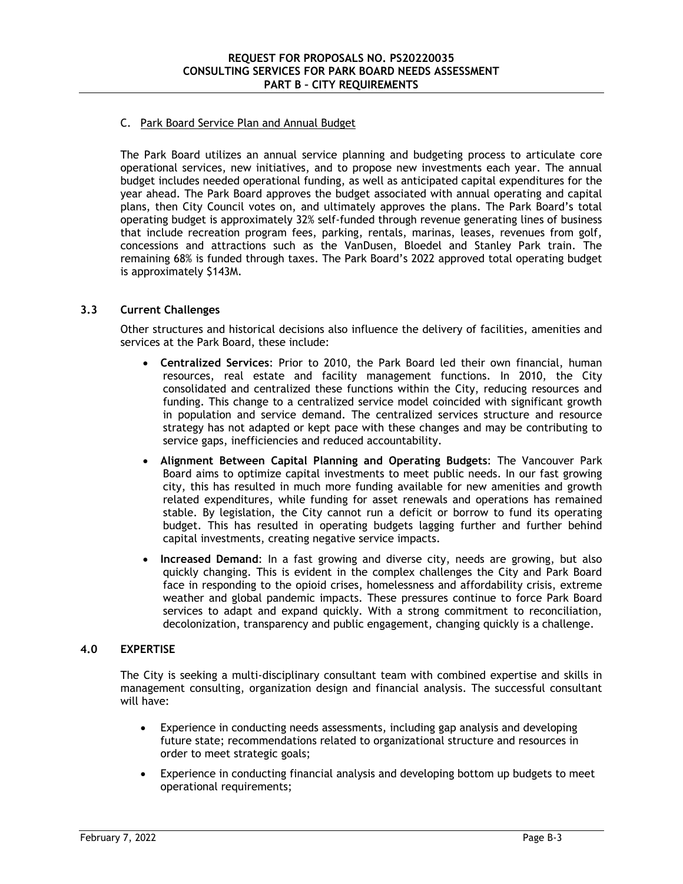# C. Park Board Service Plan and Annual Budget

The Park Board utilizes an annual service planning and budgeting process to articulate core operational services, new initiatives, and to propose new investments each year. The annual budget includes needed operational funding, as well as anticipated capital expenditures for the year ahead. The Park Board approves the budget associated with annual operating and capital plans, then City Council votes on, and ultimately approves the plans. The Park Board's total operating budget is approximately 32% self-funded through revenue generating lines of business that include recreation program fees, parking, rentals, marinas, leases, revenues from golf, concessions and attractions such as the VanDusen, Bloedel and Stanley Park train. The remaining 68% is funded through taxes. The Park Board's 2022 approved total operating budget is approximately \$143M.

# **3.3 Current Challenges**

Other structures and historical decisions also influence the delivery of facilities, amenities and services at the Park Board, these include:

- **Centralized Services**: Prior to 2010, the Park Board led their own financial, human resources, real estate and facility management functions. In 2010, the City consolidated and centralized these functions within the City, reducing resources and funding. This change to a centralized service model coincided with significant growth in population and service demand. The centralized services structure and resource strategy has not adapted or kept pace with these changes and may be contributing to service gaps, inefficiencies and reduced accountability.
- **Alignment Between Capital Planning and Operating Budgets**: The Vancouver Park Board aims to optimize capital investments to meet public needs. In our fast growing city, this has resulted in much more funding available for new amenities and growth related expenditures, while funding for asset renewals and operations has remained stable. By legislation, the City cannot run a deficit or borrow to fund its operating budget. This has resulted in operating budgets lagging further and further behind capital investments, creating negative service impacts.
- **Increased Demand**: In a fast growing and diverse city, needs are growing, but also quickly changing. This is evident in the complex challenges the City and Park Board face in responding to the opioid crises, homelessness and affordability crisis, extreme weather and global pandemic impacts. These pressures continue to force Park Board services to adapt and expand quickly. With a strong commitment to reconciliation, decolonization, transparency and public engagement, changing quickly is a challenge.

#### **4.0 EXPERTISE**

The City is seeking a multi-disciplinary consultant team with combined expertise and skills in management consulting, organization design and financial analysis. The successful consultant will have:

- Experience in conducting needs assessments, including gap analysis and developing future state; recommendations related to organizational structure and resources in order to meet strategic goals;
- Experience in conducting financial analysis and developing bottom up budgets to meet operational requirements;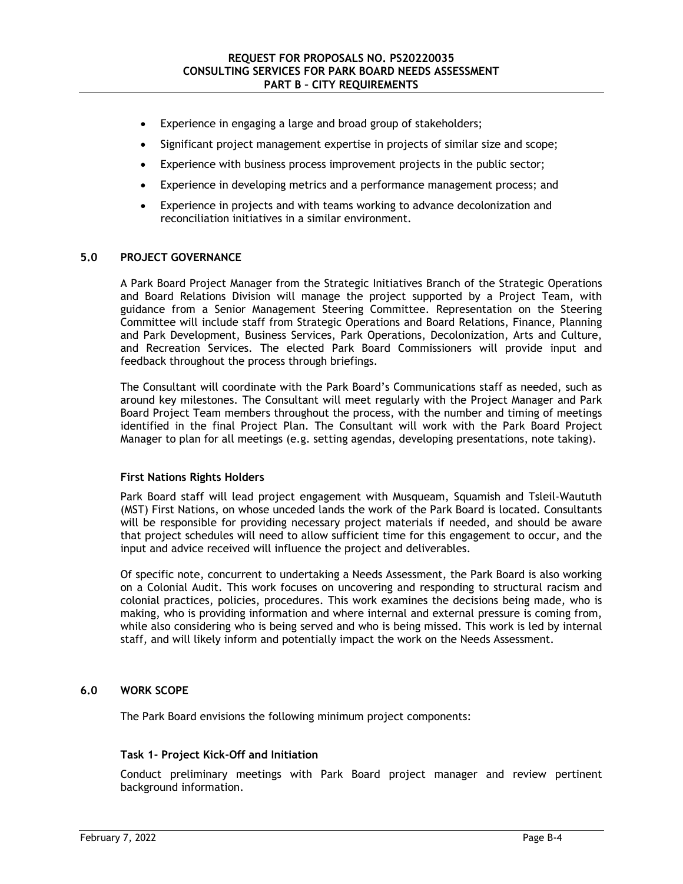- Experience in engaging a large and broad group of stakeholders;
- Significant project management expertise in projects of similar size and scope;
- Experience with business process improvement projects in the public sector;
- Experience in developing metrics and a performance management process; and
- Experience in projects and with teams working to advance decolonization and reconciliation initiatives in a similar environment.

# **5.0 PROJECT GOVERNANCE**

A Park Board Project Manager from the Strategic Initiatives Branch of the Strategic Operations and Board Relations Division will manage the project supported by a Project Team, with guidance from a Senior Management Steering Committee. Representation on the Steering Committee will include staff from Strategic Operations and Board Relations, Finance, Planning and Park Development, Business Services, Park Operations, Decolonization, Arts and Culture, and Recreation Services. The elected Park Board Commissioners will provide input and feedback throughout the process through briefings.

The Consultant will coordinate with the Park Board's Communications staff as needed, such as around key milestones. The Consultant will meet regularly with the Project Manager and Park Board Project Team members throughout the process, with the number and timing of meetings identified in the final Project Plan. The Consultant will work with the Park Board Project Manager to plan for all meetings (e.g. setting agendas, developing presentations, note taking).

#### **First Nations Rights Holders**

Park Board staff will lead project engagement with Musqueam, Squamish and Tsleil-Waututh (MST) First Nations, on whose unceded lands the work of the Park Board is located. Consultants will be responsible for providing necessary project materials if needed, and should be aware that project schedules will need to allow sufficient time for this engagement to occur, and the input and advice received will influence the project and deliverables.

Of specific note, concurrent to undertaking a Needs Assessment, the Park Board is also working on a Colonial Audit. This work focuses on uncovering and responding to structural racism and colonial practices, policies, procedures. This work examines the decisions being made, who is making, who is providing information and where internal and external pressure is coming from, while also considering who is being served and who is being missed. This work is led by internal staff, and will likely inform and potentially impact the work on the Needs Assessment.

#### **6.0 WORK SCOPE**

The Park Board envisions the following minimum project components:

#### **Task 1- Project Kick-Off and Initiation**

Conduct preliminary meetings with Park Board project manager and review pertinent background information.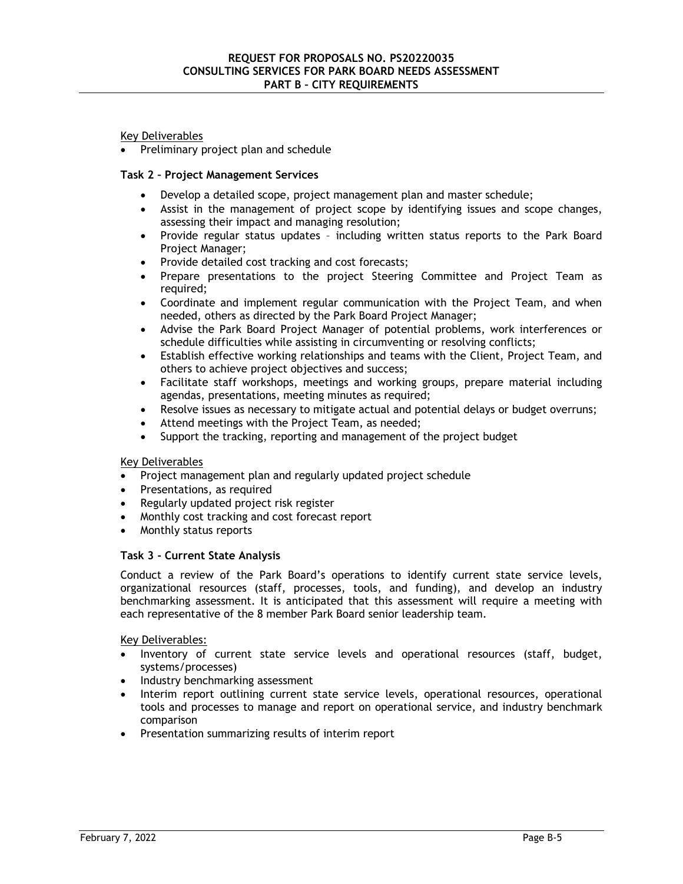# Key Deliverables

Preliminary project plan and schedule

# **Task 2 – Project Management Services**

- Develop a detailed scope, project management plan and master schedule;
- Assist in the management of project scope by identifying issues and scope changes, assessing their impact and managing resolution;
- Provide regular status updates including written status reports to the Park Board Project Manager;
- Provide detailed cost tracking and cost forecasts;
- Prepare presentations to the project Steering Committee and Project Team as required;
- Coordinate and implement regular communication with the Project Team, and when needed, others as directed by the Park Board Project Manager;
- Advise the Park Board Project Manager of potential problems, work interferences or schedule difficulties while assisting in circumventing or resolving conflicts;
- Establish effective working relationships and teams with the Client, Project Team, and others to achieve project objectives and success;
- Facilitate staff workshops, meetings and working groups, prepare material including agendas, presentations, meeting minutes as required;
- Resolve issues as necessary to mitigate actual and potential delays or budget overruns;
- Attend meetings with the Project Team, as needed;
- Support the tracking, reporting and management of the project budget

# Key Deliverables

- Project management plan and regularly updated project schedule
- Presentations, as required
- Regularly updated project risk register
- Monthly cost tracking and cost forecast report
- Monthly status reports

#### **Task 3 - Current State Analysis**

Conduct a review of the Park Board's operations to identify current state service levels, organizational resources (staff, processes, tools, and funding), and develop an industry benchmarking assessment. It is anticipated that this assessment will require a meeting with each representative of the 8 member Park Board senior leadership team.

Key Deliverables:

- Inventory of current state service levels and operational resources (staff, budget, systems/processes)
- Industry benchmarking assessment
- Interim report outlining current state service levels, operational resources, operational tools and processes to manage and report on operational service, and industry benchmark comparison
- Presentation summarizing results of interim report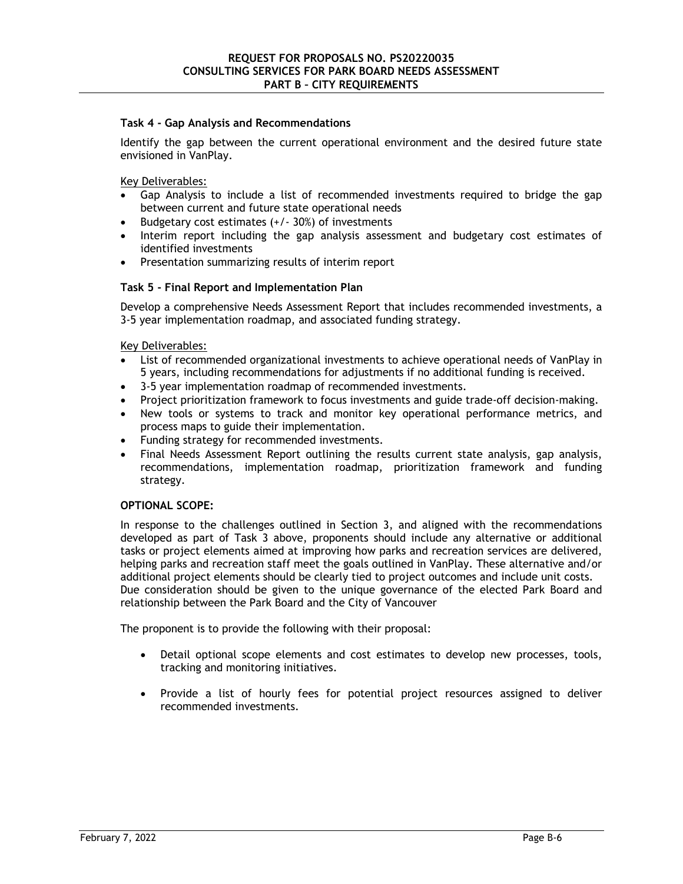#### **Task 4 - Gap Analysis and Recommendations**

Identify the gap between the current operational environment and the desired future state envisioned in VanPlay.

Key Deliverables:

- Gap Analysis to include a list of recommended investments required to bridge the gap between current and future state operational needs
- **Budgetary cost estimates**  $(+/- 30%)$  **of investments**
- Interim report including the gap analysis assessment and budgetary cost estimates of identified investments
- Presentation summarizing results of interim report

#### **Task 5 - Final Report and Implementation Plan**

Develop a comprehensive Needs Assessment Report that includes recommended investments, a 3-5 year implementation roadmap, and associated funding strategy.

Key Deliverables:

- List of recommended organizational investments to achieve operational needs of VanPlay in 5 years, including recommendations for adjustments if no additional funding is received.
- 3-5 year implementation roadmap of recommended investments.
- Project prioritization framework to focus investments and guide trade-off decision-making.
- New tools or systems to track and monitor key operational performance metrics, and process maps to guide their implementation.
- Funding strategy for recommended investments.
- Final Needs Assessment Report outlining the results current state analysis, gap analysis, recommendations, implementation roadmap, prioritization framework and funding strategy.

#### **OPTIONAL SCOPE:**

In response to the challenges outlined in Section 3, and aligned with the recommendations developed as part of Task 3 above, proponents should include any alternative or additional tasks or project elements aimed at improving how parks and recreation services are delivered, helping parks and recreation staff meet the goals outlined in VanPlay. These alternative and/or additional project elements should be clearly tied to project outcomes and include unit costs. Due consideration should be given to the unique governance of the elected Park Board and relationship between the Park Board and the City of Vancouver

The proponent is to provide the following with their proposal:

- Detail optional scope elements and cost estimates to develop new processes, tools, tracking and monitoring initiatives.
- Provide a list of hourly fees for potential project resources assigned to deliver recommended investments.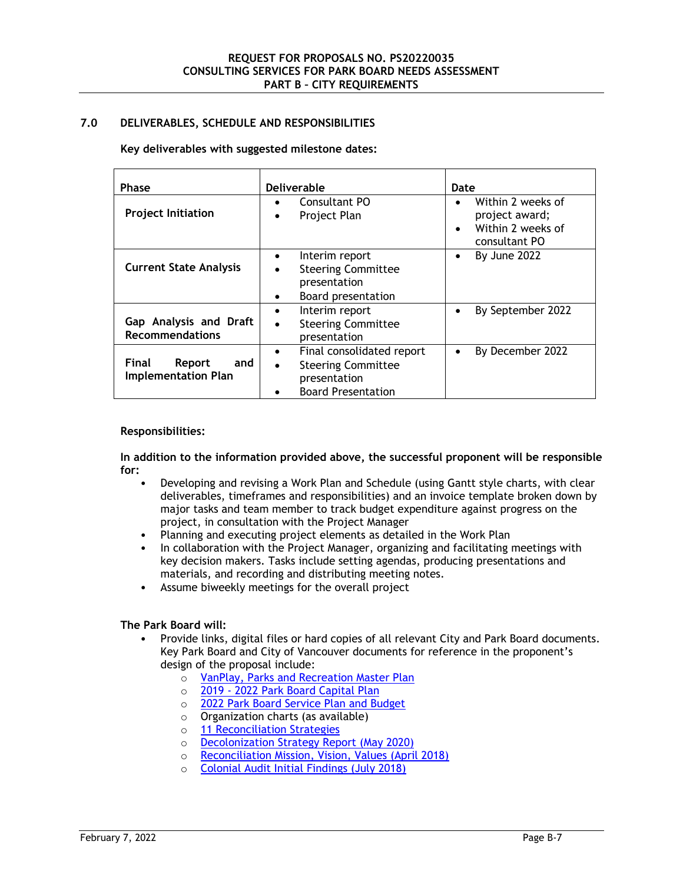# **7.0 DELIVERABLES, SCHEDULE AND RESPONSIBILITIES**

#### **Key deliverables with suggested milestone dates:**

| <b>Phase</b>                                                | <b>Deliverable</b>                                                                                                            | Date                                                                                                |
|-------------------------------------------------------------|-------------------------------------------------------------------------------------------------------------------------------|-----------------------------------------------------------------------------------------------------|
| <b>Project Initiation</b>                                   | Consultant PO<br>$\bullet$<br>Project Plan<br>$\bullet$                                                                       | Within 2 weeks of<br>$\bullet$<br>project award;<br>Within 2 weeks of<br>$\bullet$<br>consultant PO |
| <b>Current State Analysis</b>                               | Interim report<br><b>Steering Committee</b><br>$\bullet$<br>presentation<br>Board presentation<br>٠                           | By June 2022<br>$\bullet$                                                                           |
| Gap Analysis and Draft<br><b>Recommendations</b>            | Interim report<br>٠<br><b>Steering Committee</b><br>$\bullet$<br>presentation                                                 | By September 2022<br>$\bullet$                                                                      |
| <b>Final</b><br>Report<br>and<br><b>Implementation Plan</b> | Final consolidated report<br>$\bullet$<br><b>Steering Committee</b><br>$\bullet$<br>presentation<br><b>Board Presentation</b> | By December 2022<br>٠                                                                               |

#### **Responsibilities:**

**In addition to the information provided above, the successful proponent will be responsible for:** 

- Developing and revising a Work Plan and Schedule (using Gantt style charts, with clear deliverables, timeframes and responsibilities) and an invoice template broken down by major tasks and team member to track budget expenditure against progress on the project, in consultation with the Project Manager
- Planning and executing project elements as detailed in the Work Plan
- In collaboration with the Project Manager, organizing and facilitating meetings with key decision makers. Tasks include setting agendas, producing presentations and materials, and recording and distributing meeting notes.
- Assume biweekly meetings for the overall project

# **The Park Board will:**

- Provide links, digital files or hard copies of all relevant City and Park Board documents. Key Park Board and City of Vancouver documents for reference in the proponent's design of the proposal include:
	- o VanPlay, Parks and Recreation Master Plan
	- o 2019 2022 Park Board Capital Plan
	- o 2022 Park Board Service Plan and Budget
	- o Organization charts (as available)
	- o 11 Reconciliation Strategies
	- o Decolonization Strategy Report (May 2020)
	- o Reconciliation Mission, Vision, Values (April 2018)
	- o Colonial Audit Initial Findings (July 2018)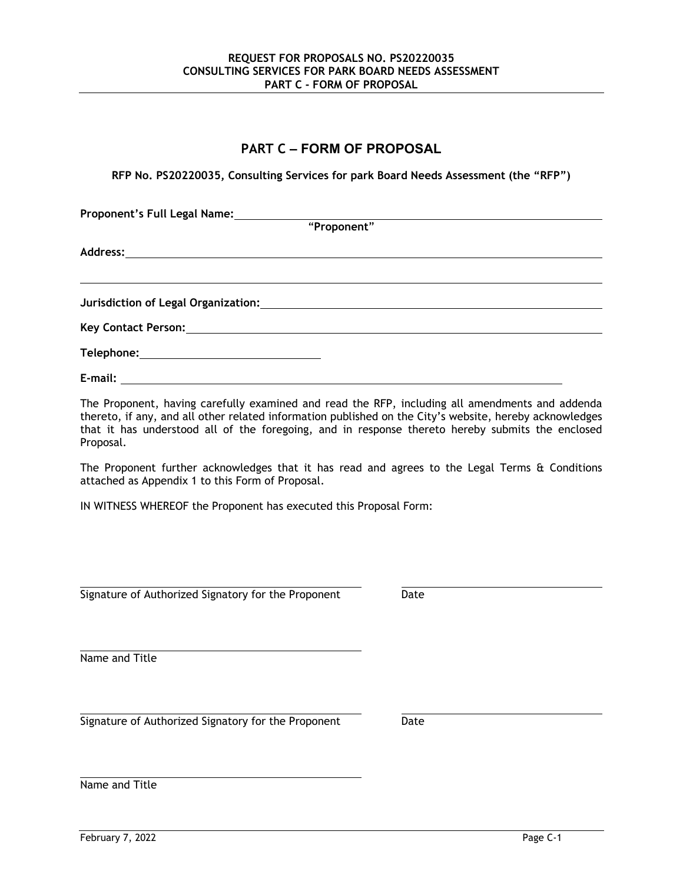# **PART C – FORM OF PROPOSAL**

**RFP No. PS20220035, Consulting Services for park Board Needs Assessment (the "RFP")** 

| Proponent's Full Legal Name: |                                                                                                                |
|------------------------------|----------------------------------------------------------------------------------------------------------------|
|                              | "Proponent"                                                                                                    |
|                              |                                                                                                                |
|                              |                                                                                                                |
|                              | Jurisdiction of Legal Organization: National Control of Control of Control of Control of Control of Control of |
|                              |                                                                                                                |
|                              |                                                                                                                |
| E-mail:                      |                                                                                                                |

The Proponent, having carefully examined and read the RFP, including all amendments and addenda thereto, if any, and all other related information published on the City's website, hereby acknowledges that it has understood all of the foregoing, and in response thereto hereby submits the enclosed Proposal.

The Proponent further acknowledges that it has read and agrees to the Legal Terms & Conditions attached as Appendix 1 to this Form of Proposal.

IN WITNESS WHEREOF the Proponent has executed this Proposal Form:

Signature of Authorized Signatory for the Proponent Date

Name and Title

 Signature of Authorized Signatory for the Proponent Date

Name and Title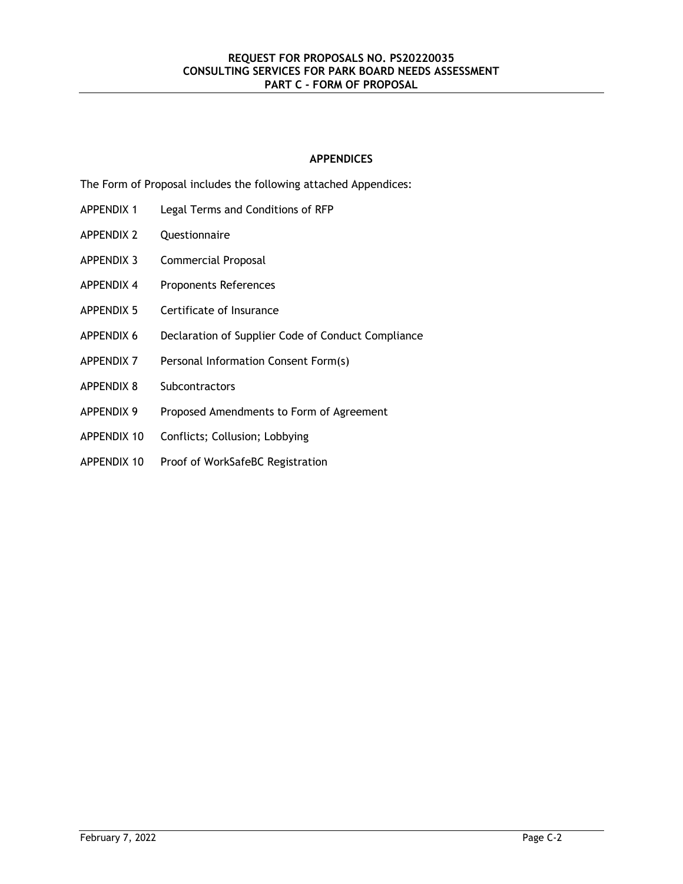# **APPENDICES**

The Form of Proposal includes the following attached Appendices:

- APPENDIX 1 Legal Terms and Conditions of RFP
- APPENDIX 2 Questionnaire
- APPENDIX 3 Commercial Proposal
- APPENDIX 4 Proponents References
- APPENDIX 5 Certificate of Insurance
- APPENDIX 6 Declaration of Supplier Code of Conduct Compliance
- APPENDIX 7 Personal Information Consent Form(s)
- APPENDIX 8 Subcontractors
- APPENDIX 9 Proposed Amendments to Form of Agreement
- APPENDIX 10 Conflicts; Collusion; Lobbying
- APPENDIX 10 Proof of WorkSafeBC Registration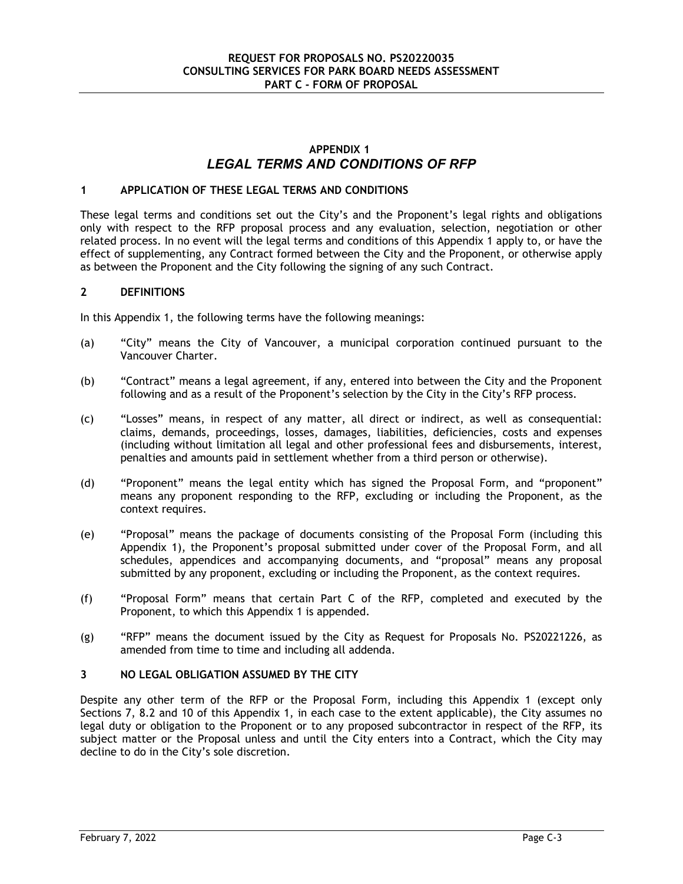# **APPENDIX 1** *LEGAL TERMS AND CONDITIONS OF RFP*

# **1 APPLICATION OF THESE LEGAL TERMS AND CONDITIONS**

These legal terms and conditions set out the City's and the Proponent's legal rights and obligations only with respect to the RFP proposal process and any evaluation, selection, negotiation or other related process. In no event will the legal terms and conditions of this Appendix 1 apply to, or have the effect of supplementing, any Contract formed between the City and the Proponent, or otherwise apply as between the Proponent and the City following the signing of any such Contract.

#### **2 DEFINITIONS**

In this Appendix 1, the following terms have the following meanings:

- (a) "City" means the City of Vancouver, a municipal corporation continued pursuant to the Vancouver Charter.
- (b) "Contract" means a legal agreement, if any, entered into between the City and the Proponent following and as a result of the Proponent's selection by the City in the City's RFP process.
- (c) "Losses" means, in respect of any matter, all direct or indirect, as well as consequential: claims, demands, proceedings, losses, damages, liabilities, deficiencies, costs and expenses (including without limitation all legal and other professional fees and disbursements, interest, penalties and amounts paid in settlement whether from a third person or otherwise).
- (d) "Proponent" means the legal entity which has signed the Proposal Form, and "proponent" means any proponent responding to the RFP, excluding or including the Proponent, as the context requires.
- (e) "Proposal" means the package of documents consisting of the Proposal Form (including this Appendix 1), the Proponent's proposal submitted under cover of the Proposal Form, and all schedules, appendices and accompanying documents, and "proposal" means any proposal submitted by any proponent, excluding or including the Proponent, as the context requires.
- (f) "Proposal Form" means that certain Part C of the RFP, completed and executed by the Proponent, to which this Appendix 1 is appended.
- (g) "RFP" means the document issued by the City as Request for Proposals No. PS20221226, as amended from time to time and including all addenda.

#### **3 NO LEGAL OBLIGATION ASSUMED BY THE CITY**

Despite any other term of the RFP or the Proposal Form, including this Appendix 1 (except only Sections 7, 8.2 and 10 of this Appendix 1, in each case to the extent applicable), the City assumes no legal duty or obligation to the Proponent or to any proposed subcontractor in respect of the RFP, its subject matter or the Proposal unless and until the City enters into a Contract, which the City may decline to do in the City's sole discretion.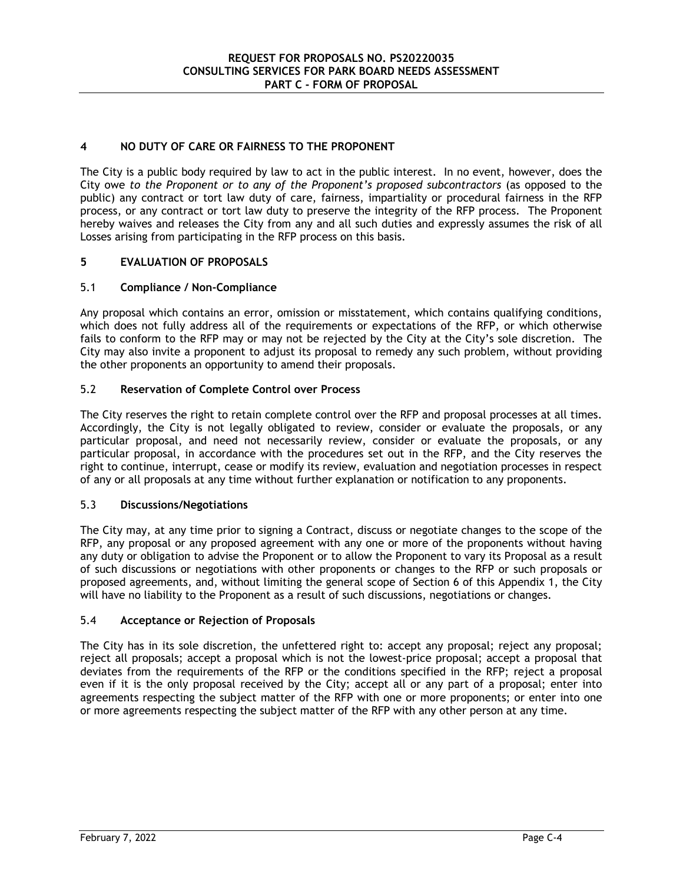# **4 NO DUTY OF CARE OR FAIRNESS TO THE PROPONENT**

The City is a public body required by law to act in the public interest. In no event, however, does the City owe *to the Proponent or to any of the Proponent's proposed subcontractors* (as opposed to the public) any contract or tort law duty of care, fairness, impartiality or procedural fairness in the RFP process, or any contract or tort law duty to preserve the integrity of the RFP process.The Proponent hereby waives and releases the City from any and all such duties and expressly assumes the risk of all Losses arising from participating in the RFP process on this basis.

# **5 EVALUATION OF PROPOSALS**

# 5.1 **Compliance / Non-Compliance**

Any proposal which contains an error, omission or misstatement, which contains qualifying conditions, which does not fully address all of the requirements or expectations of the RFP, or which otherwise fails to conform to the RFP may or may not be rejected by the City at the City's sole discretion. The City may also invite a proponent to adjust its proposal to remedy any such problem, without providing the other proponents an opportunity to amend their proposals.

# 5.2 **Reservation of Complete Control over Process**

The City reserves the right to retain complete control over the RFP and proposal processes at all times. Accordingly, the City is not legally obligated to review, consider or evaluate the proposals, or any particular proposal, and need not necessarily review, consider or evaluate the proposals, or any particular proposal, in accordance with the procedures set out in the RFP, and the City reserves the right to continue, interrupt, cease or modify its review, evaluation and negotiation processes in respect of any or all proposals at any time without further explanation or notification to any proponents.

# 5.3 **Discussions/Negotiations**

The City may, at any time prior to signing a Contract, discuss or negotiate changes to the scope of the RFP, any proposal or any proposed agreement with any one or more of the proponents without having any duty or obligation to advise the Proponent or to allow the Proponent to vary its Proposal as a result of such discussions or negotiations with other proponents or changes to the RFP or such proposals or proposed agreements, and, without limiting the general scope of Section 6 of this Appendix 1, the City will have no liability to the Proponent as a result of such discussions, negotiations or changes.

# 5.4 **Acceptance or Rejection of Proposals**

The City has in its sole discretion, the unfettered right to: accept any proposal; reject any proposal; reject all proposals; accept a proposal which is not the lowest-price proposal; accept a proposal that deviates from the requirements of the RFP or the conditions specified in the RFP; reject a proposal even if it is the only proposal received by the City; accept all or any part of a proposal; enter into agreements respecting the subject matter of the RFP with one or more proponents; or enter into one or more agreements respecting the subject matter of the RFP with any other person at any time.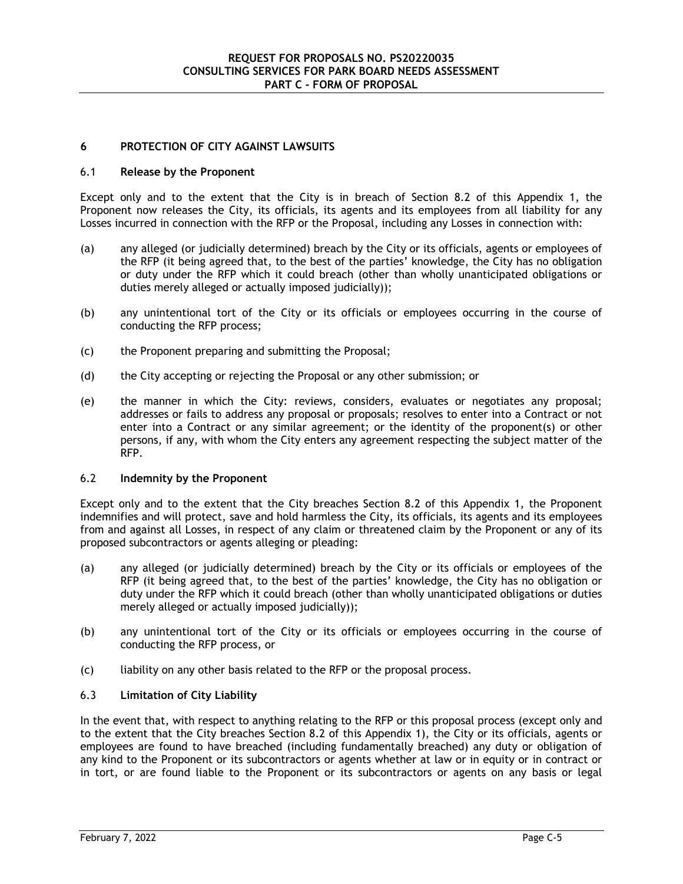# **6 PROTECTION OF CITY AGAINST LAWSUITS**

#### 6.1 **Release by the Proponent**

Except only and to the extent that the City is in breach of Section 8.2 of this Appendix 1, the Proponent now releases the City, its officials, its agents and its employees from all liability for any Losses incurred in connection with the RFP or the Proposal, including any Losses in connection with:

- (a) any alleged (or judicially determined) breach by the City or its officials, agents or employees of the RFP (it being agreed that, to the best of the parties' knowledge, the City has no obligation or duty under the RFP which it could breach (other than wholly unanticipated obligations or duties merely alleged or actually imposed judicially));
- (b) any unintentional tort of the City or its officials or employees occurring in the course of conducting the RFP process;
- (c) the Proponent preparing and submitting the Proposal;
- (d) the City accepting or rejecting the Proposal or any other submission; or
- (e) the manner in which the City: reviews, considers, evaluates or negotiates any proposal; addresses or fails to address any proposal or proposals; resolves to enter into a Contract or not enter into a Contract or any similar agreement; or the identity of the proponent(s) or other persons, if any, with whom the City enters any agreement respecting the subject matter of the RFP.

# 6.2 **Indemnity by the Proponent**

Except only and to the extent that the City breaches Section 8.2 of this Appendix 1, the Proponent indemnifies and will protect, save and hold harmless the City, its officials, its agents and its employees from and against all Losses, in respect of any claim or threatened claim by the Proponent or any of its proposed subcontractors or agents alleging or pleading:

- (a) any alleged (or judicially determined) breach by the City or its officials or employees of the RFP (it being agreed that, to the best of the parties' knowledge, the City has no obligation or duty under the RFP which it could breach (other than wholly unanticipated obligations or duties merely alleged or actually imposed judicially));
- (b) any unintentional tort of the City or its officials or employees occurring in the course of conducting the RFP process, or
- (c) liability on any other basis related to the RFP or the proposal process.

# 6.3 **Limitation of City Liability**

In the event that, with respect to anything relating to the RFP or this proposal process (except only and to the extent that the City breaches Section 8.2 of this Appendix 1), the City or its officials, agents or employees are found to have breached (including fundamentally breached) any duty or obligation of any kind to the Proponent or its subcontractors or agents whether at law or in equity or in contract or in tort, or are found liable to the Proponent or its subcontractors or agents on any basis or legal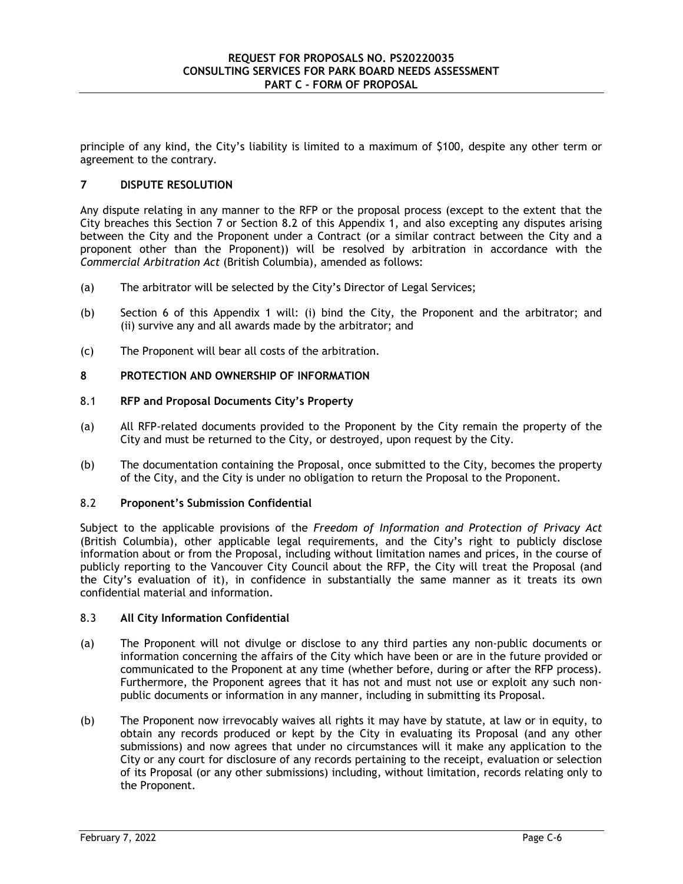principle of any kind, the City's liability is limited to a maximum of \$100, despite any other term or agreement to the contrary.

# **7 DISPUTE RESOLUTION**

Any dispute relating in any manner to the RFP or the proposal process (except to the extent that the City breaches this Section 7 or Section 8.2 of this Appendix 1, and also excepting any disputes arising between the City and the Proponent under a Contract (or a similar contract between the City and a proponent other than the Proponent)) will be resolved by arbitration in accordance with the *Commercial Arbitration Act* (British Columbia), amended as follows:

- (a) The arbitrator will be selected by the City's Director of Legal Services;
- (b) Section 6 of this Appendix 1 will: (i) bind the City, the Proponent and the arbitrator; and (ii) survive any and all awards made by the arbitrator; and
- (c) The Proponent will bear all costs of the arbitration.

#### **8 PROTECTION AND OWNERSHIP OF INFORMATION**

#### 8.1 **RFP and Proposal Documents City's Property**

- (a) All RFP-related documents provided to the Proponent by the City remain the property of the City and must be returned to the City, or destroyed, upon request by the City.
- (b) The documentation containing the Proposal, once submitted to the City, becomes the property of the City, and the City is under no obligation to return the Proposal to the Proponent.

# 8.2 **Proponent's Submission Confidential**

Subject to the applicable provisions of the *Freedom of Information and Protection of Privacy Act* (British Columbia), other applicable legal requirements, and the City's right to publicly disclose information about or from the Proposal, including without limitation names and prices, in the course of publicly reporting to the Vancouver City Council about the RFP, the City will treat the Proposal (and the City's evaluation of it), in confidence in substantially the same manner as it treats its own confidential material and information.

#### 8.3 **All City Information Confidential**

- (a) The Proponent will not divulge or disclose to any third parties any non-public documents or information concerning the affairs of the City which have been or are in the future provided or communicated to the Proponent at any time (whether before, during or after the RFP process). Furthermore, the Proponent agrees that it has not and must not use or exploit any such nonpublic documents or information in any manner, including in submitting its Proposal.
- (b) The Proponent now irrevocably waives all rights it may have by statute, at law or in equity, to obtain any records produced or kept by the City in evaluating its Proposal (and any other submissions) and now agrees that under no circumstances will it make any application to the City or any court for disclosure of any records pertaining to the receipt, evaluation or selection of its Proposal (or any other submissions) including, without limitation, records relating only to the Proponent.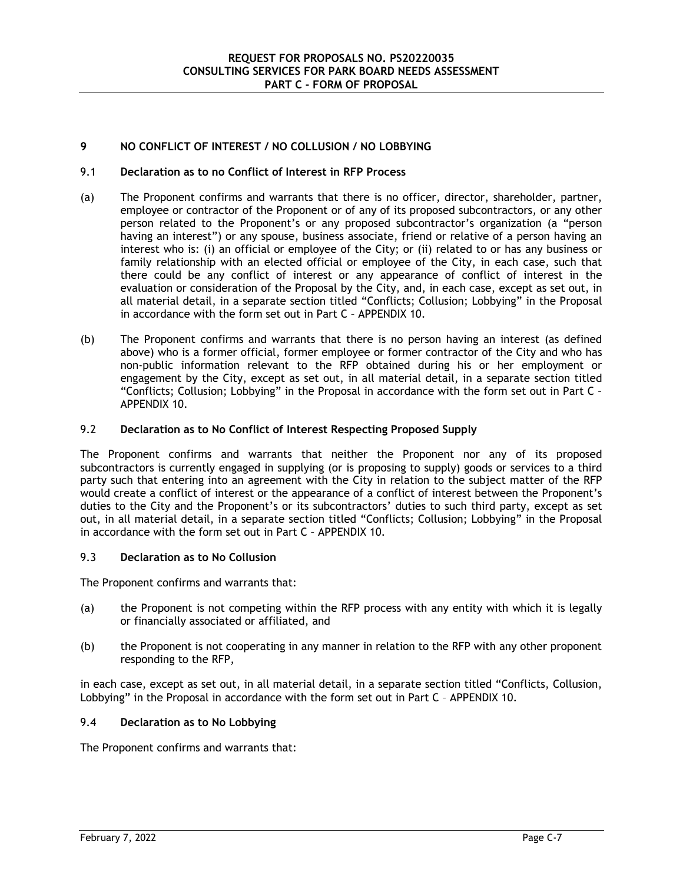# **9 NO CONFLICT OF INTEREST / NO COLLUSION / NO LOBBYING**

# 9.1 **Declaration as to no Conflict of Interest in RFP Process**

- (a) The Proponent confirms and warrants that there is no officer, director, shareholder, partner, employee or contractor of the Proponent or of any of its proposed subcontractors, or any other person related to the Proponent's or any proposed subcontractor's organization (a "person having an interest") or any spouse, business associate, friend or relative of a person having an interest who is: (i) an official or employee of the City; or (ii) related to or has any business or family relationship with an elected official or employee of the City, in each case, such that there could be any conflict of interest or any appearance of conflict of interest in the evaluation or consideration of the Proposal by the City, and, in each case, except as set out, in all material detail, in a separate section titled "Conflicts; Collusion; Lobbying" in the Proposal in accordance with the form set out in Part C – APPENDIX 10.
- (b) The Proponent confirms and warrants that there is no person having an interest (as defined above) who is a former official, former employee or former contractor of the City and who has non-public information relevant to the RFP obtained during his or her employment or engagement by the City, except as set out, in all material detail, in a separate section titled "Conflicts; Collusion; Lobbying" in the Proposal in accordance with the form set out in Part C – APPENDIX 10.

### 9.2 **Declaration as to No Conflict of Interest Respecting Proposed Supply**

The Proponent confirms and warrants that neither the Proponent nor any of its proposed subcontractors is currently engaged in supplying (or is proposing to supply) goods or services to a third party such that entering into an agreement with the City in relation to the subject matter of the RFP would create a conflict of interest or the appearance of a conflict of interest between the Proponent's duties to the City and the Proponent's or its subcontractors' duties to such third party, except as set out, in all material detail, in a separate section titled "Conflicts; Collusion; Lobbying" in the Proposal in accordance with the form set out in Part C – APPENDIX 10.

# 9.3 **Declaration as to No Collusion**

The Proponent confirms and warrants that:

- (a) the Proponent is not competing within the RFP process with any entity with which it is legally or financially associated or affiliated, and
- (b) the Proponent is not cooperating in any manner in relation to the RFP with any other proponent responding to the RFP,

in each case, except as set out, in all material detail, in a separate section titled "Conflicts, Collusion, Lobbying" in the Proposal in accordance with the form set out in Part C – APPENDIX 10.

# 9.4 **Declaration as to No Lobbying**

The Proponent confirms and warrants that: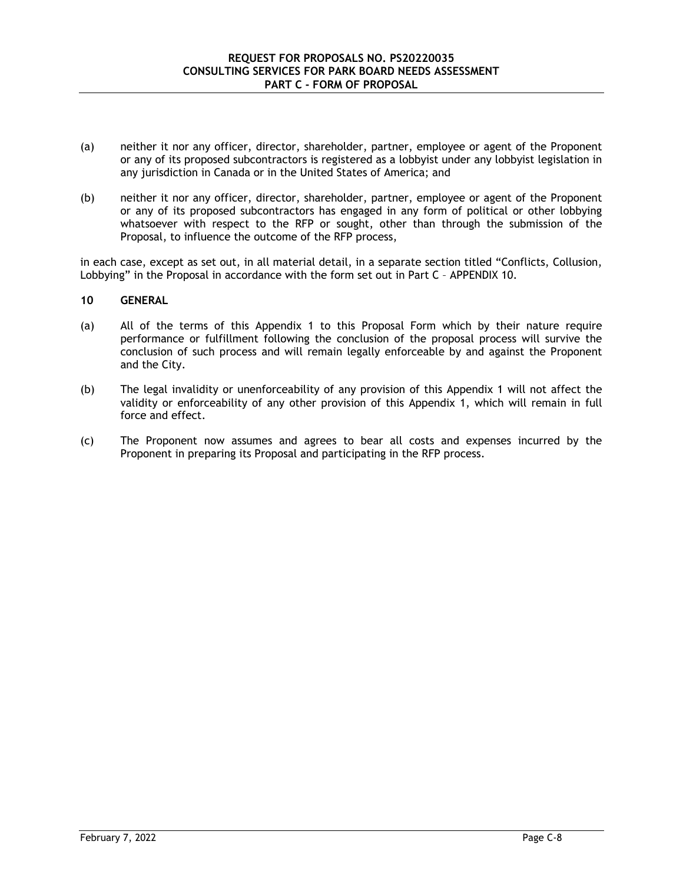- (a) neither it nor any officer, director, shareholder, partner, employee or agent of the Proponent or any of its proposed subcontractors is registered as a lobbyist under any lobbyist legislation in any jurisdiction in Canada or in the United States of America; and
- (b) neither it nor any officer, director, shareholder, partner, employee or agent of the Proponent or any of its proposed subcontractors has engaged in any form of political or other lobbying whatsoever with respect to the RFP or sought, other than through the submission of the Proposal, to influence the outcome of the RFP process,

in each case, except as set out, in all material detail, in a separate section titled "Conflicts, Collusion, Lobbying" in the Proposal in accordance with the form set out in Part C – APPENDIX 10.

#### **10 GENERAL**

- (a) All of the terms of this Appendix 1 to this Proposal Form which by their nature require performance or fulfillment following the conclusion of the proposal process will survive the conclusion of such process and will remain legally enforceable by and against the Proponent and the City.
- (b) The legal invalidity or unenforceability of any provision of this Appendix 1 will not affect the validity or enforceability of any other provision of this Appendix 1, which will remain in full force and effect.
- (c) The Proponent now assumes and agrees to bear all costs and expenses incurred by the Proponent in preparing its Proposal and participating in the RFP process.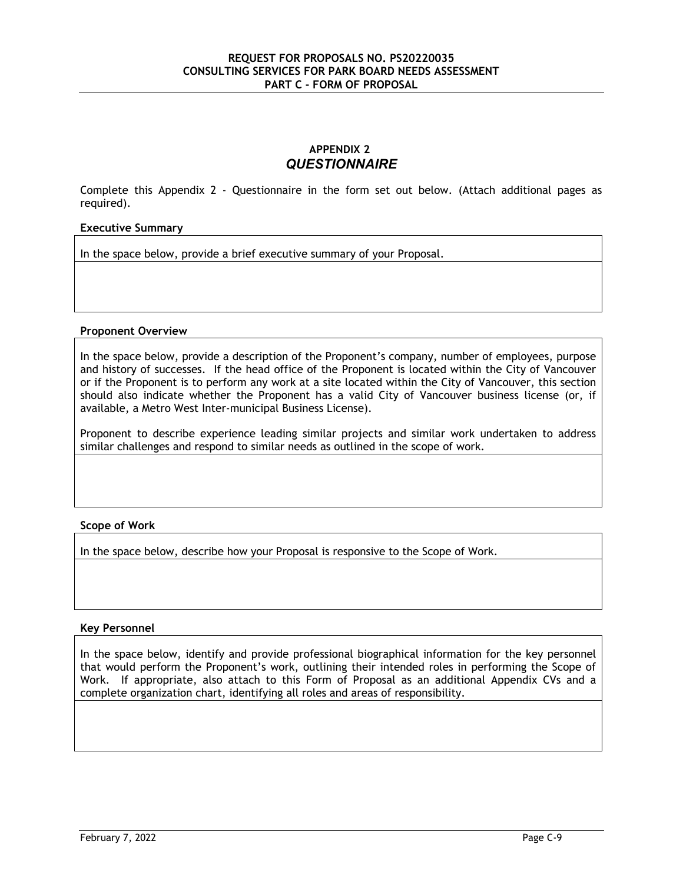# **APPENDIX 2** *QUESTIONNAIRE*

Complete this Appendix 2 - Questionnaire in the form set out below. (Attach additional pages as required).

# **Executive Summary**

In the space below, provide a brief executive summary of your Proposal.

#### **Proponent Overview**

In the space below, provide a description of the Proponent's company, number of employees, purpose and history of successes. If the head office of the Proponent is located within the City of Vancouver or if the Proponent is to perform any work at a site located within the City of Vancouver, this section should also indicate whether the Proponent has a valid City of Vancouver business license (or, if available, a Metro West Inter-municipal Business License).

Proponent to describe experience leading similar projects and similar work undertaken to address similar challenges and respond to similar needs as outlined in the scope of work.

#### **Scope of Work**

In the space below, describe how your Proposal is responsive to the Scope of Work.

#### **Key Personnel**

In the space below, identify and provide professional biographical information for the key personnel that would perform the Proponent's work, outlining their intended roles in performing the Scope of Work. If appropriate, also attach to this Form of Proposal as an additional Appendix CVs and a complete organization chart, identifying all roles and areas of responsibility.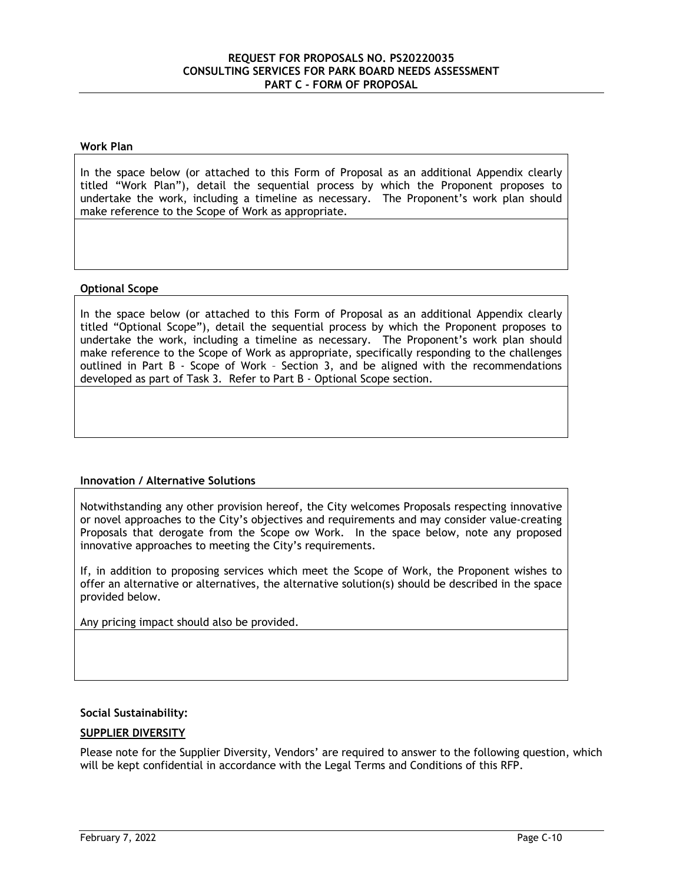#### **Work Plan**

In the space below (or attached to this Form of Proposal as an additional Appendix clearly titled "Work Plan"), detail the sequential process by which the Proponent proposes to undertake the work, including a timeline as necessary. The Proponent's work plan should make reference to the Scope of Work as appropriate.

#### **Optional Scope**

In the space below (or attached to this Form of Proposal as an additional Appendix clearly titled "Optional Scope"), detail the sequential process by which the Proponent proposes to undertake the work, including a timeline as necessary. The Proponent's work plan should make reference to the Scope of Work as appropriate, specifically responding to the challenges outlined in Part B - Scope of Work – Section 3, and be aligned with the recommendations developed as part of Task 3. Refer to Part B - Optional Scope section.

#### **Innovation / Alternative Solutions**

Notwithstanding any other provision hereof, the City welcomes Proposals respecting innovative or novel approaches to the City's objectives and requirements and may consider value-creating Proposals that derogate from the Scope ow Work. In the space below, note any proposed innovative approaches to meeting the City's requirements.

If, in addition to proposing services which meet the Scope of Work, the Proponent wishes to offer an alternative or alternatives, the alternative solution(s) should be described in the space provided below.

Any pricing impact should also be provided.

#### **Social Sustainability:**

#### **SUPPLIER DIVERSITY**

Please note for the Supplier Diversity, Vendors' are required to answer to the following question, which will be kept confidential in accordance with the Legal Terms and Conditions of this RFP.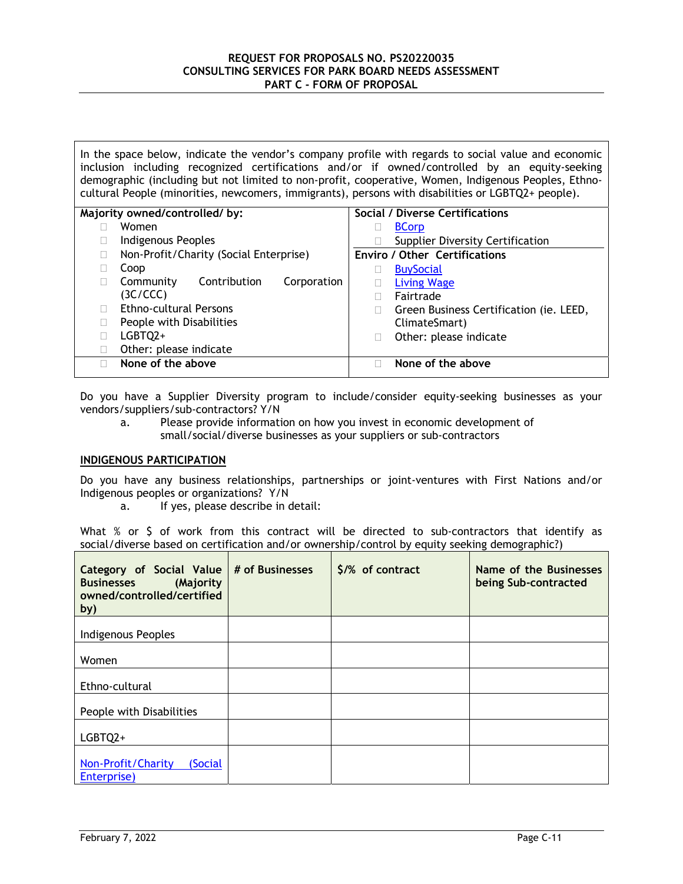In the space below, indicate the vendor's company profile with regards to social value and economic inclusion including recognized certifications and/or if owned/controlled by an equity-seeking demographic (including but not limited to non-profit, cooperative, Women, Indigenous Peoples, Ethnocultural People (minorities, newcomers, immigrants), persons with disabilities or LGBTQ2+ people).

| Majority owned/controlled/by: |                                          |   | Social / Diverse Certifications         |
|-------------------------------|------------------------------------------|---|-----------------------------------------|
|                               | Women                                    |   | <b>BCorp</b>                            |
|                               | Indigenous Peoples                       |   | <b>Supplier Diversity Certification</b> |
|                               | Non-Profit/Charity (Social Enterprise)   |   | <b>Enviro / Other Certifications</b>    |
|                               | Coop                                     |   | <b>BuySocial</b>                        |
|                               | Contribution<br>Community<br>Corporation |   | <b>Living Wage</b>                      |
|                               | (3C/CCC)                                 |   | Fairtrade                               |
|                               | <b>Ethno-cultural Persons</b>            | Ш | Green Business Certification (ie. LEED, |
|                               | People with Disabilities                 |   | ClimateSmart)                           |
|                               | LGBTO <sub>2+</sub>                      |   | Other: please indicate                  |
|                               | Other: please indicate                   |   |                                         |
|                               | None of the above                        |   | None of the above                       |
|                               |                                          |   |                                         |

Do you have a Supplier Diversity program to include/consider equity-seeking businesses as your vendors/suppliers/sub-contractors? Y/N

a. Please provide information on how you invest in economic development of small/social/diverse businesses as your suppliers or sub-contractors

# **INDIGENOUS PARTICIPATION**

Do you have any business relationships, partnerships or joint-ventures with First Nations and/or Indigenous peoples or organizations? Y/N

a. If yes, please describe in detail:

What  $%$  or  $$$  of work from this contract will be directed to sub-contractors that identify as social/diverse based on certification and/or ownership/control by equity seeking demographic?)

| Category of Social Value<br><b>Businesses</b><br>(Majority<br>owned/controlled/certified<br>by) | # of Businesses | \$/% of contract | Name of the Businesses<br>being Sub-contracted |
|-------------------------------------------------------------------------------------------------|-----------------|------------------|------------------------------------------------|
| Indigenous Peoples                                                                              |                 |                  |                                                |
| Women                                                                                           |                 |                  |                                                |
| Ethno-cultural                                                                                  |                 |                  |                                                |
| People with Disabilities                                                                        |                 |                  |                                                |
| LGBTQ2+                                                                                         |                 |                  |                                                |
| Non-Profit/Charity<br>(Social<br>Enterprise)                                                    |                 |                  |                                                |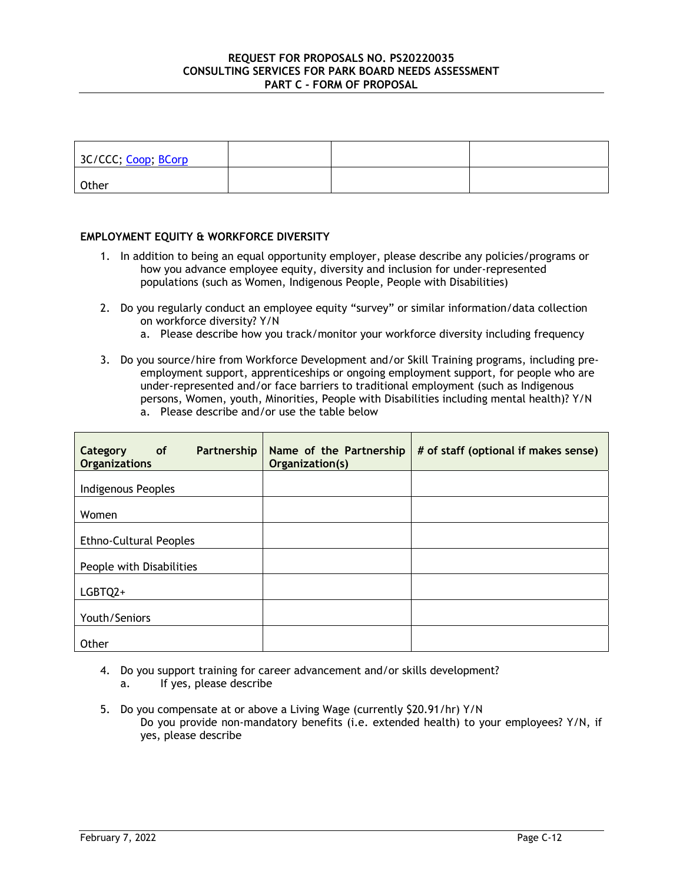| 3C/CCC; Coop; BCorp |  |  |
|---------------------|--|--|
| Other               |  |  |

# **EMPLOYMENT EQUITY & WORKFORCE DIVERSITY**

- 1. In addition to being an equal opportunity employer, please describe any policies/programs or how you advance employee equity, diversity and inclusion for under-represented populations (such as Women, Indigenous People, People with Disabilities)
- 2. Do you regularly conduct an employee equity "survey" or similar information/data collection on workforce diversity? Y/N
	- a. Please describe how you track/monitor your workforce diversity including frequency
- 3. Do you source/hire from Workforce Development and/or Skill Training programs, including preemployment support, apprenticeships or ongoing employment support, for people who are under-represented and/or face barriers to traditional employment (such as Indigenous persons, Women, youth, Minorities, People with Disabilities including mental health)? Y/N

| of <b>o</b><br>Partnership<br>Category<br><b>Organizations</b> | Name of the Partnership<br>Organization(s) | # of staff (optional if makes sense) |
|----------------------------------------------------------------|--------------------------------------------|--------------------------------------|
| Indigenous Peoples                                             |                                            |                                      |
| Women                                                          |                                            |                                      |
| <b>Ethno-Cultural Peoples</b>                                  |                                            |                                      |
| People with Disabilities                                       |                                            |                                      |
| LGBTQ2+                                                        |                                            |                                      |
| Youth/Seniors                                                  |                                            |                                      |
| Other                                                          |                                            |                                      |

a. Please describe and/or use the table below

- 4. Do you support training for career advancement and/or skills development?
	- a. If yes, please describe
- 5. Do you compensate at or above a Living Wage (currently \$20.91/hr) Y/N Do you provide non-mandatory benefits (i.e. extended health) to your employees? Y/N, if yes, please describe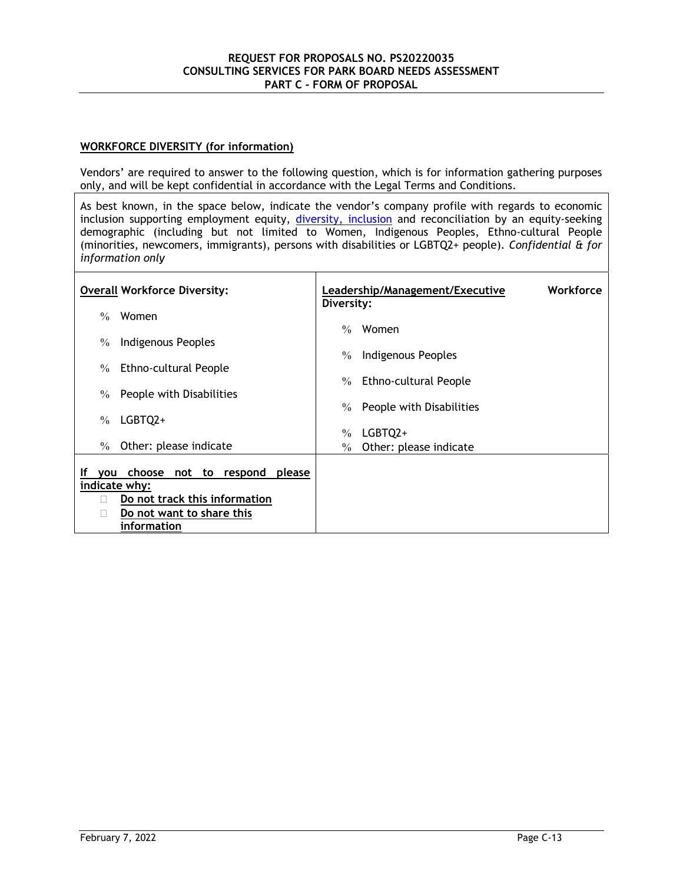# **WORKFORCE DIVERSITY (for information)**

Vendors' are required to answer to the following question, which is for information gathering purposes only, and will be kept confidential in accordance with the Legal Terms and Conditions.

As best known, in the space below, indicate the vendor's company profile with regards to economic inclusion supporting employment equity, diversity, inclusion and reconciliation by an equity-seeking demographic (including but not limited to Women, Indigenous Peoples, Ethno-cultural People (minorities, newcomers, immigrants), persons with disabilities or LGBTQ2+ people). *Confidential & for information only*

| <b>Overall Workforce Diversity:</b>                 | Workforce<br>Leadership/Management/Executive<br>Diversity:          |
|-----------------------------------------------------|---------------------------------------------------------------------|
| Women<br>$\frac{0}{0}$                              | Women<br>$\%$                                                       |
| Indigenous Peoples<br>$\%$                          | Indigenous Peoples<br>$\%$                                          |
| <b>Ethno-cultural People</b><br>$\%$                |                                                                     |
| People with Disabilities<br>$\%$                    | <b>Ethno-cultural People</b><br>$\%$                                |
| LGBTQ2+<br>$\%$                                     | People with Disabilities<br>$\%$                                    |
| Other: please indicate<br>$\%$                      | LGBTQ2+<br>$\frac{0}{0}$<br>Other: please indicate<br>$\frac{0}{0}$ |
| choose not to respond<br>please<br>Ιf<br><b>VOU</b> |                                                                     |
| indicate why:                                       |                                                                     |
| Do not track this information                       |                                                                     |
| Do not want to share this                           |                                                                     |
| information                                         |                                                                     |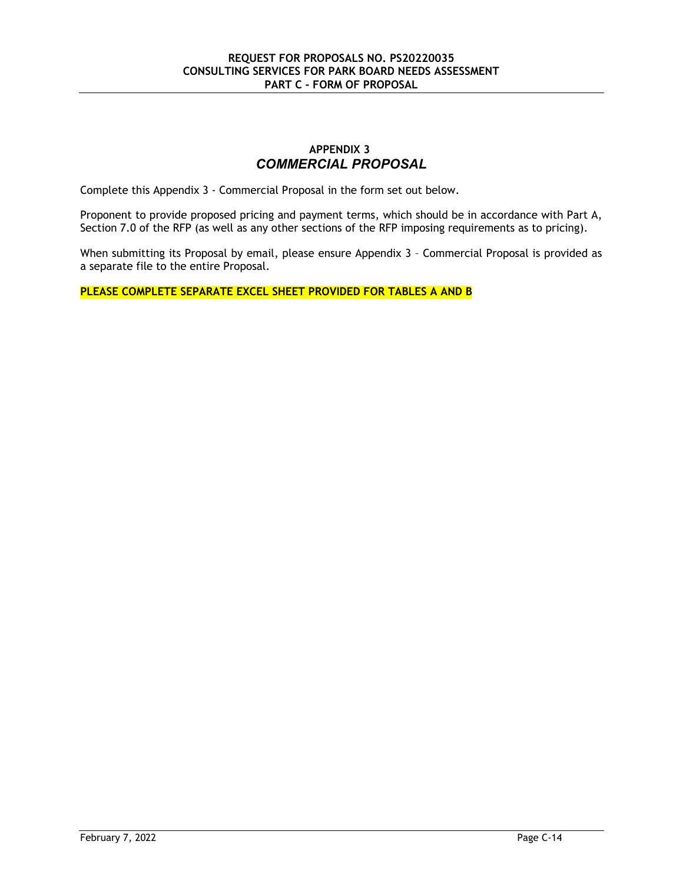# **APPENDIX 3** *COMMERCIAL PROPOSAL*

Complete this Appendix 3 - Commercial Proposal in the form set out below.

Proponent to provide proposed pricing and payment terms, which should be in accordance with Part A, Section 7.0 of the RFP (as well as any other sections of the RFP imposing requirements as to pricing).

When submitting its Proposal by email, please ensure Appendix 3 - Commercial Proposal is provided as a separate file to the entire Proposal.

**PLEASE COMPLETE SEPARATE EXCEL SHEET PROVIDED FOR TABLES A AND B**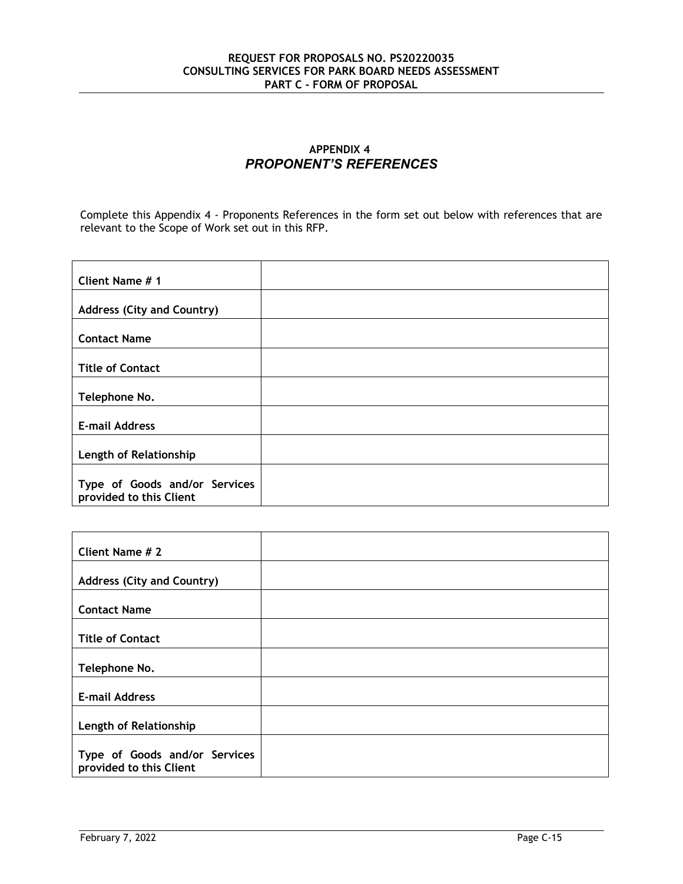# **APPENDIX 4** *PROPONENT'S REFERENCES*

Complete this Appendix 4 - Proponents References in the form set out below with references that are relevant to the Scope of Work set out in this RFP.

| Client Name # 1                                          |  |
|----------------------------------------------------------|--|
| <b>Address (City and Country)</b>                        |  |
| <b>Contact Name</b>                                      |  |
| <b>Title of Contact</b>                                  |  |
| Telephone No.                                            |  |
| <b>E-mail Address</b>                                    |  |
| Length of Relationship                                   |  |
| Type of Goods and/or Services<br>provided to this Client |  |

| Client Name # 2                                          |  |
|----------------------------------------------------------|--|
| <b>Address (City and Country)</b>                        |  |
| <b>Contact Name</b>                                      |  |
| <b>Title of Contact</b>                                  |  |
| Telephone No.                                            |  |
| <b>E-mail Address</b>                                    |  |
| Length of Relationship                                   |  |
| Type of Goods and/or Services<br>provided to this Client |  |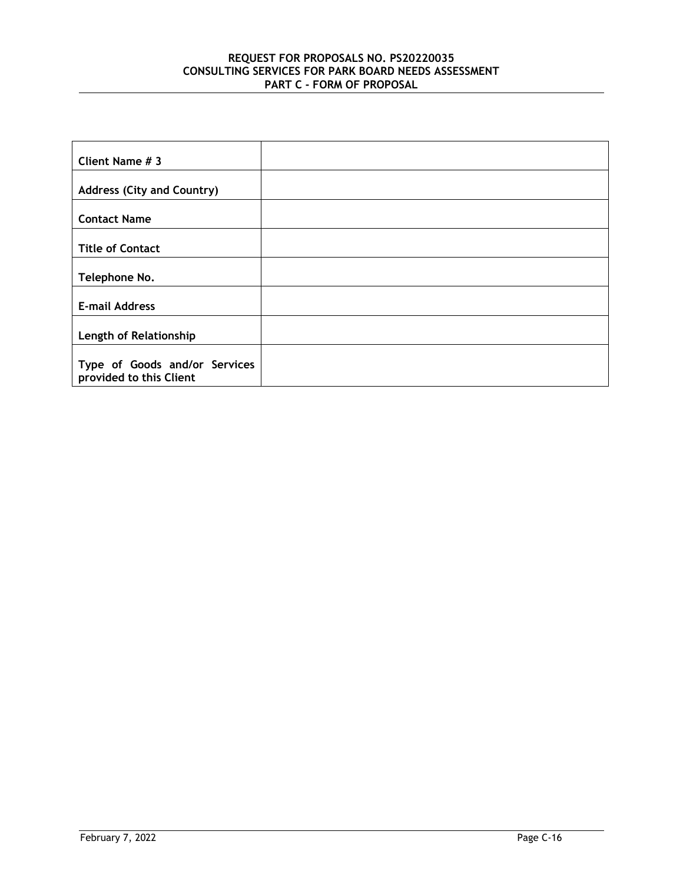| Client Name # 3                                          |  |
|----------------------------------------------------------|--|
| <b>Address (City and Country)</b>                        |  |
| <b>Contact Name</b>                                      |  |
| <b>Title of Contact</b>                                  |  |
| Telephone No.                                            |  |
| <b>E-mail Address</b>                                    |  |
| Length of Relationship                                   |  |
| Type of Goods and/or Services<br>provided to this Client |  |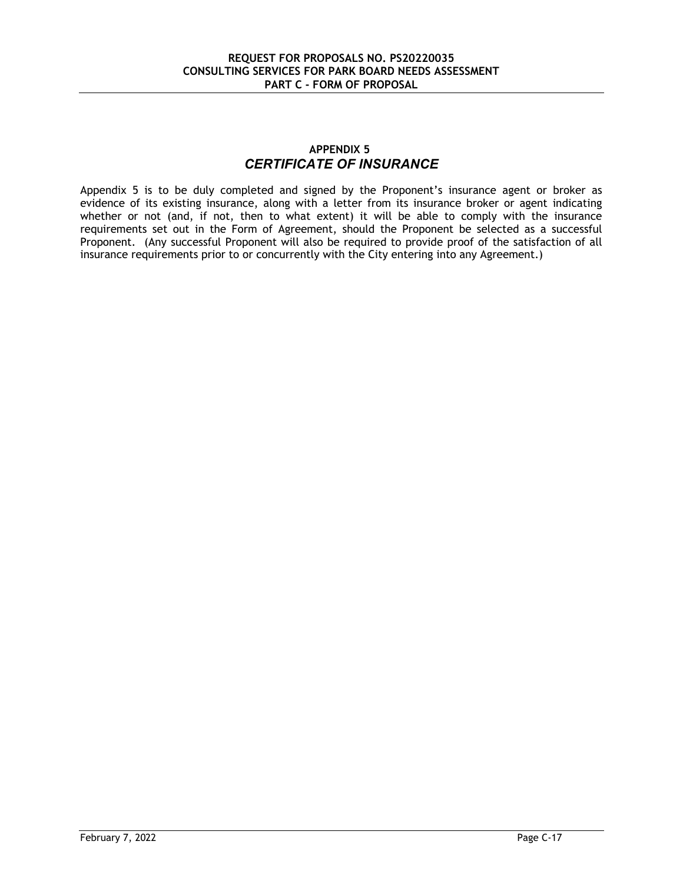# **APPENDIX 5** *CERTIFICATE OF INSURANCE*

Appendix 5 is to be duly completed and signed by the Proponent's insurance agent or broker as evidence of its existing insurance, along with a letter from its insurance broker or agent indicating whether or not (and, if not, then to what extent) it will be able to comply with the insurance requirements set out in the Form of Agreement, should the Proponent be selected as a successful Proponent. (Any successful Proponent will also be required to provide proof of the satisfaction of all insurance requirements prior to or concurrently with the City entering into any Agreement.)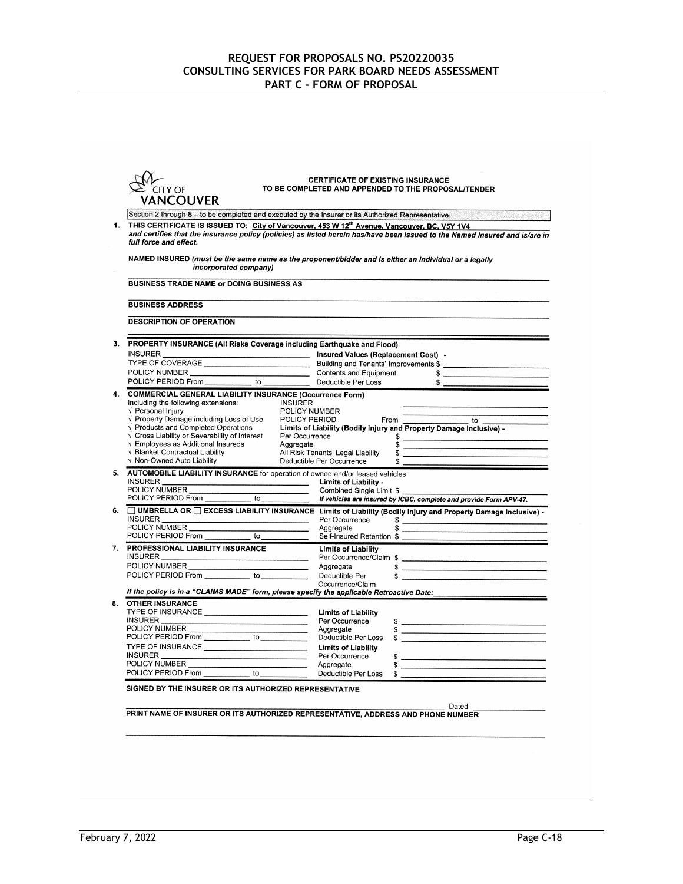| CITY OF                                                                      | TO BE COMPLETED AND APPENDED TO THE PROPOSAL/TENDER                                                                                                                                                                                                |
|------------------------------------------------------------------------------|----------------------------------------------------------------------------------------------------------------------------------------------------------------------------------------------------------------------------------------------------|
| <b>VANCOUVER</b>                                                             |                                                                                                                                                                                                                                                    |
|                                                                              | Section 2 through 8 - to be completed and executed by the Insurer or its Authorized Representative                                                                                                                                                 |
|                                                                              | THIS CERTIFICATE IS ISSUED TO: City of Vancouver, 453 W 12 <sup>th</sup> Avenue, Vancouver, BC, V5Y 1V4                                                                                                                                            |
| full force and effect.                                                       | and certifies that the insurance policy (policies) as listed herein has/have been issued to the Named Insured and is/are in                                                                                                                        |
|                                                                              | NAMED INSURED (must be the same name as the proponent/bidder and is either an individual or a legally                                                                                                                                              |
| incorporated company)                                                        |                                                                                                                                                                                                                                                    |
| <b>BUSINESS TRADE NAME or DOING BUSINESS AS</b>                              |                                                                                                                                                                                                                                                    |
| <b>BUSINESS ADDRESS</b>                                                      |                                                                                                                                                                                                                                                    |
| <b>DESCRIPTION OF OPERATION</b>                                              |                                                                                                                                                                                                                                                    |
| PROPERTY INSURANCE (All Risks Coverage including Earthquake and Flood)       |                                                                                                                                                                                                                                                    |
|                                                                              | INSURER<br>INSURER ENGINEER<br>POLICY NUMBER<br>POLICY NUMBER<br>Contents and Equipment<br>Contents and Equipment<br>Contents and Equipment<br>Contents and Equipment<br>Contents and Equipment<br>Contents and Equipment<br>Contents and Equipmen |
|                                                                              |                                                                                                                                                                                                                                                    |
| POLICY PERIOD From _____________ to _____________                            | Deductible Per Loss                                                                                                                                                                                                                                |
|                                                                              |                                                                                                                                                                                                                                                    |
| <b>COMMERCIAL GENERAL LIABILITY INSURANCE (Occurrence Form)</b>              |                                                                                                                                                                                                                                                    |
| Including the following extensions:                                          | <b>INSURER</b>                                                                                                                                                                                                                                     |
| √ Personal Injury                                                            | POLICY NUMBER<br>POLICY PERIOD From The Company of the Company of Company of Company of Company of Company of Company of Company<br>The Company of Company of Company of Company of Company of Company of Company of Company of Co                 |
| $\sqrt{ }$ Property Damage including Loss of Use                             |                                                                                                                                                                                                                                                    |
| $\sqrt{ }$ Products and Completed Operations                                 | Limits of Liability (Bodily Injury and Property Damage Inclusive) -                                                                                                                                                                                |
| √ Cross Liability or Severability of Interest                                | Per Occurrence<br>\$                                                                                                                                                                                                                               |
| $\sqrt{\phantom{a}}$ Employees as Additional Insureds                        | Aggregate<br>\$                                                                                                                                                                                                                                    |
| √ Blanket Contractual Liability<br>√ Non-Owned Auto Liability                | All Risk Tenants' Legal Liability<br>\$<br>Deductible Per Occurrence<br>\$                                                                                                                                                                         |
| AUTOMOBILE LIABILITY INSURANCE for operation of owned and/or leased vehicles |                                                                                                                                                                                                                                                    |
|                                                                              |                                                                                                                                                                                                                                                    |
|                                                                              |                                                                                                                                                                                                                                                    |
|                                                                              | INSURER<br>POLICY NUMBER<br>POLICY PERIOD From _____________ to _____________ fremisted Single Limit \$<br>POLICY PERIOD From ____________ to ___________ ff vehicles are insured by ICBC, complete and provide Form APV-47.                       |
|                                                                              | □ UMBRELLA OR □ EXCESS LIABILITY INSURANCE Limits of Liability (Bodily Injury and Property Damage Inclusive) -                                                                                                                                     |
| <b>INSURER</b><br>POLICY NUMBER                                              | Per Occurrence<br>Aggregate<br>$\frac{1}{2}$<br>\$                                                                                                                                                                                                 |
| POLICY PERIOD From                                                           | Self-Insured Retention \$                                                                                                                                                                                                                          |
| 7. PROFESSIONAL LIABILITY INSURANCE                                          |                                                                                                                                                                                                                                                    |
| INSURER                                                                      | <b>Limits of Liability</b>                                                                                                                                                                                                                         |
|                                                                              | Per Occurrence/Claim \$<br>Aggregate \$<br>Aggregate                                                                                                                                                                                               |
| POLICY PERIOD From _____________ to ____________                             |                                                                                                                                                                                                                                                    |
|                                                                              | Deductible Per<br>\$<br>Occurrence/Claim                                                                                                                                                                                                           |
|                                                                              | If the policy is in a "CLAIMS MADE" form, please specify the applicable Retroactive Date:                                                                                                                                                          |
| <b>OTHER INSURANCE</b>                                                       |                                                                                                                                                                                                                                                    |
| TYPE OF INSURANCE<br><b>INSURER</b>                                          | <b>Limits of Liability</b>                                                                                                                                                                                                                         |
|                                                                              | Per Occurrence                                                                                                                                                                                                                                     |
| POLICY NUMBER<br>POLICY PERIOD From ____________ to ___________              | Aggregate<br>Deductible Per Loss                                                                                                                                                                                                                   |
|                                                                              |                                                                                                                                                                                                                                                    |
| TYPE OF INSURANCE                                                            | <b>Limits of Liability</b>                                                                                                                                                                                                                         |
| POLICY NUMBER                                                                | Per Occurrence                                                                                                                                                                                                                                     |
| POLICY PERIOD From to                                                        | Aggregate                                                                                                                                                                                                                                          |
|                                                                              | Deductible Per Loss<br>\$                                                                                                                                                                                                                          |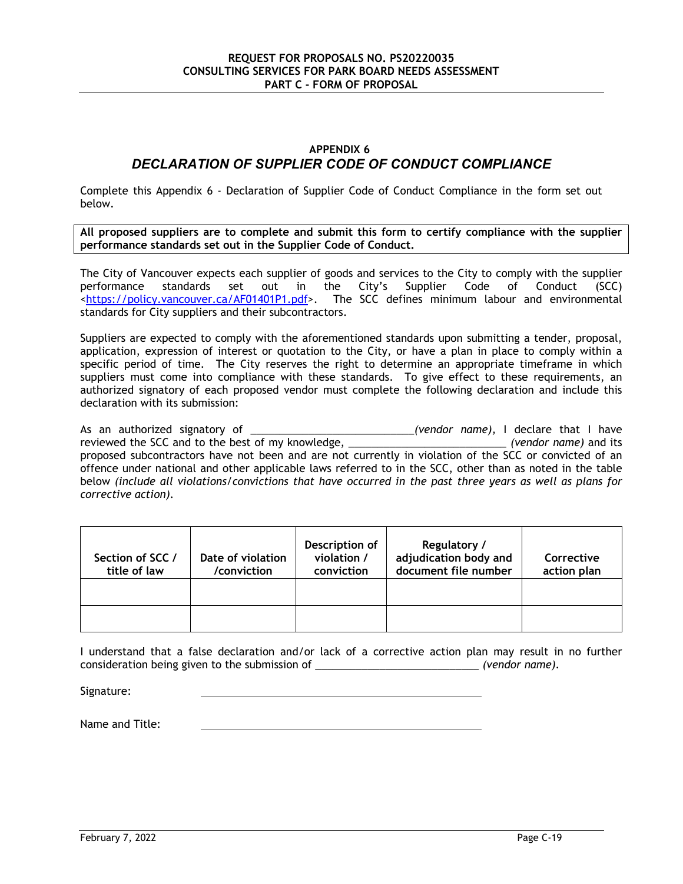# **APPENDIX 6**

# *DECLARATION OF SUPPLIER CODE OF CONDUCT COMPLIANCE*

Complete this Appendix 6 - Declaration of Supplier Code of Conduct Compliance in the form set out below.

**All proposed suppliers are to complete and submit this form to certify compliance with the supplier performance standards set out in the Supplier Code of Conduct.** 

The City of Vancouver expects each supplier of goods and services to the City to comply with the supplier performance standards set out in the City's Supplier Code of Conduct (SCC) <https://policy.vancouver.ca/AF01401P1.pdf>. The SCC defines minimum labour and environmental standards for City suppliers and their subcontractors.

Suppliers are expected to comply with the aforementioned standards upon submitting a tender, proposal, application, expression of interest or quotation to the City, or have a plan in place to comply within a specific period of time. The City reserves the right to determine an appropriate timeframe in which suppliers must come into compliance with these standards. To give effect to these requirements, an authorized signatory of each proposed vendor must complete the following declaration and include this declaration with its submission:

As an authorized signatory of \_\_\_\_\_\_\_\_\_\_\_\_\_\_\_\_\_\_\_\_\_\_\_\_\_\_\_\_*(vendor name),* I declare that I have reviewed the SCC and to the best of my knowledge, \_\_\_\_\_\_\_ proposed subcontractors have not been and are not currently in violation of the SCC or convicted of an offence under national and other applicable laws referred to in the SCC, other than as noted in the table below *(include all violations/convictions that have occurred in the past three years as well as plans for corrective action).*

| Section of SCC /<br>title of law | Date of violation<br>/conviction | Description of<br>violation /<br>conviction | Regulatory /<br>adjudication body and<br>document file number | Corrective<br>action plan |
|----------------------------------|----------------------------------|---------------------------------------------|---------------------------------------------------------------|---------------------------|
|                                  |                                  |                                             |                                                               |                           |
|                                  |                                  |                                             |                                                               |                           |

I understand that a false declaration and/or lack of a corrective action plan may result in no further consideration being given to the submission of \_\_\_\_\_\_\_\_\_\_\_\_\_\_\_\_\_\_\_\_\_\_\_\_\_\_\_\_ *(vendor name).* 

Signature:

Name and Title: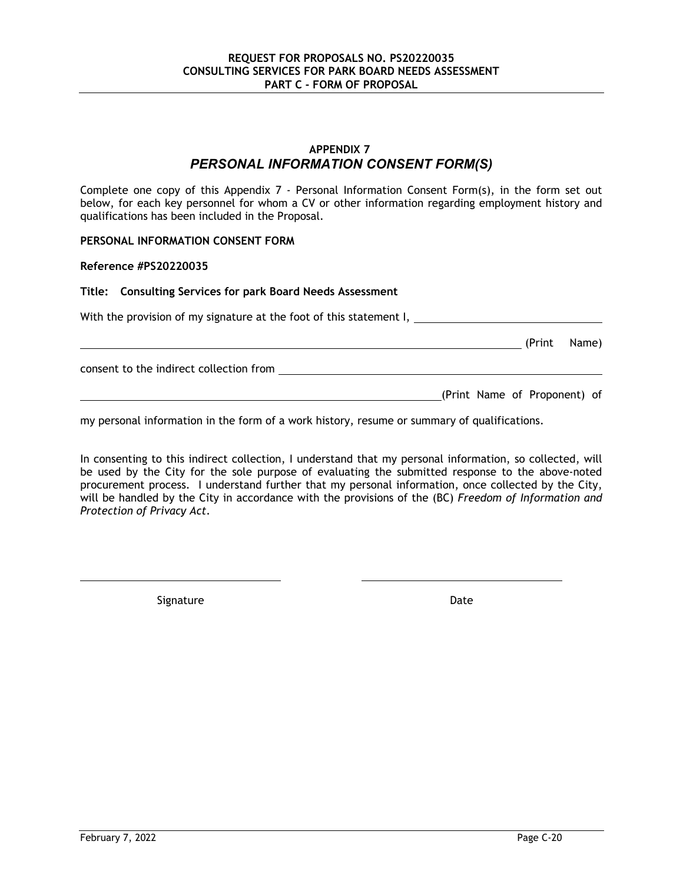# **APPENDIX 7** *PERSONAL INFORMATION CONSENT FORM(S)*

Complete one copy of this Appendix 7 - Personal Information Consent Form(s), in the form set out below, for each key personnel for whom a CV or other information regarding employment history and qualifications has been included in the Proposal.

#### **PERSONAL INFORMATION CONSENT FORM**

#### **Reference #PS20220035**

#### **Title: Consulting Services for park Board Needs Assessment**

With the provision of my signature at the foot of this statement I, \_\_\_\_\_\_\_\_\_\_\_\_\_

**Manual Community (Print Name)** (Print Name)

consent to the indirect collection from

(Print Name of Proponent) of

my personal information in the form of a work history, resume or summary of qualifications.

In consenting to this indirect collection, I understand that my personal information, so collected, will be used by the City for the sole purpose of evaluating the submitted response to the above-noted procurement process. I understand further that my personal information, once collected by the City, will be handled by the City in accordance with the provisions of the (BC) *Freedom of Information and Protection of Privacy Act*.

Signature Date Date Date Date Date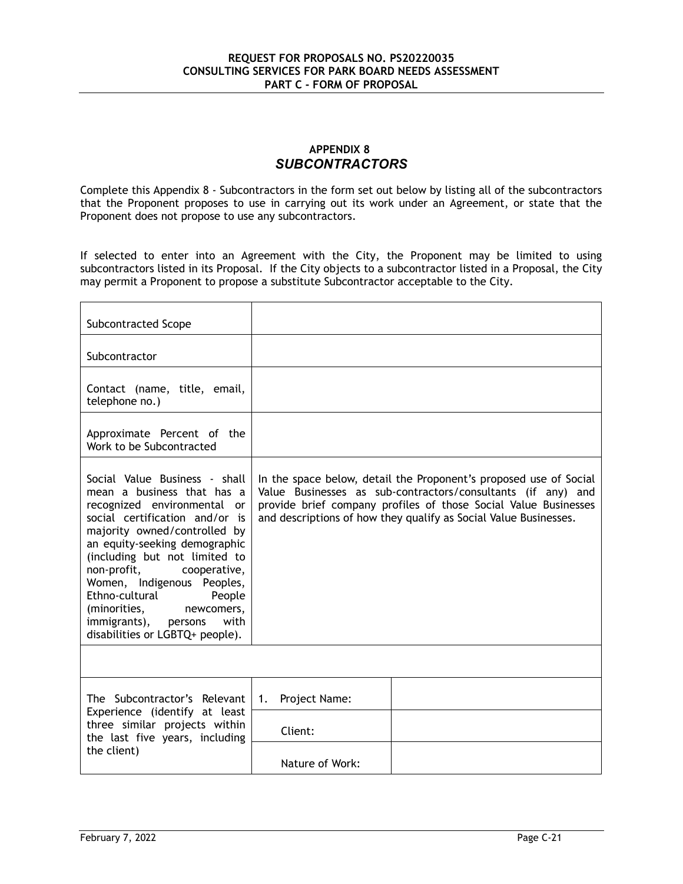# **APPENDIX 8** *SUBCONTRACTORS*

Complete this Appendix 8 - Subcontractors in the form set out below by listing all of the subcontractors that the Proponent proposes to use in carrying out its work under an Agreement, or state that the Proponent does not propose to use any subcontractors.

If selected to enter into an Agreement with the City, the Proponent may be limited to using subcontractors listed in its Proposal. If the City objects to a subcontractor listed in a Proposal, the City may permit a Proponent to propose a substitute Subcontractor acceptable to the City.

| Subcontracted Scope                                                                                                                                                                                                                                                                                                                                                                                                      |                                                                                                                                                                                                                                                                          |  |
|--------------------------------------------------------------------------------------------------------------------------------------------------------------------------------------------------------------------------------------------------------------------------------------------------------------------------------------------------------------------------------------------------------------------------|--------------------------------------------------------------------------------------------------------------------------------------------------------------------------------------------------------------------------------------------------------------------------|--|
| Subcontractor                                                                                                                                                                                                                                                                                                                                                                                                            |                                                                                                                                                                                                                                                                          |  |
| Contact (name, title, email,<br>telephone no.)                                                                                                                                                                                                                                                                                                                                                                           |                                                                                                                                                                                                                                                                          |  |
| Approximate Percent of the<br>Work to be Subcontracted                                                                                                                                                                                                                                                                                                                                                                   |                                                                                                                                                                                                                                                                          |  |
| Social Value Business - shall<br>mean a business that has a<br>recognized environmental or<br>social certification and/or is<br>majority owned/controlled by<br>an equity-seeking demographic<br>(including but not limited to<br>non-profit,<br>cooperative,<br>Women, Indigenous Peoples,<br>Ethno-cultural<br>People<br>(minorities,<br>newcomers,<br>immigrants), persons<br>with<br>disabilities or LGBTQ+ people). | In the space below, detail the Proponent's proposed use of Social<br>Value Businesses as sub-contractors/consultants (if any) and<br>provide brief company profiles of those Social Value Businesses<br>and descriptions of how they qualify as Social Value Businesses. |  |
|                                                                                                                                                                                                                                                                                                                                                                                                                          |                                                                                                                                                                                                                                                                          |  |
| The Subcontractor's Relevant                                                                                                                                                                                                                                                                                                                                                                                             | Project Name:<br>1.                                                                                                                                                                                                                                                      |  |
| Experience (identify at least<br>three similar projects within<br>the last five years, including                                                                                                                                                                                                                                                                                                                         | Client:                                                                                                                                                                                                                                                                  |  |
| the client)                                                                                                                                                                                                                                                                                                                                                                                                              | Nature of Work:                                                                                                                                                                                                                                                          |  |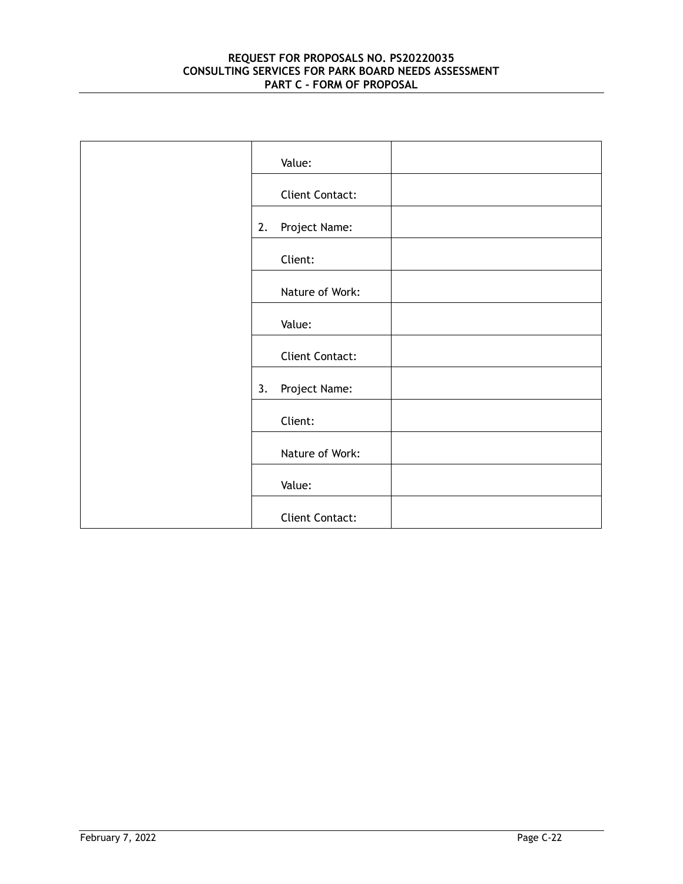| Value:              |
|---------------------|
| Client Contact:     |
| Project Name:<br>2. |
| Client:             |
| Nature of Work:     |
| Value:              |
| Client Contact:     |
| Project Name:<br>3. |
| Client:             |
| Nature of Work:     |
| Value:              |
| Client Contact:     |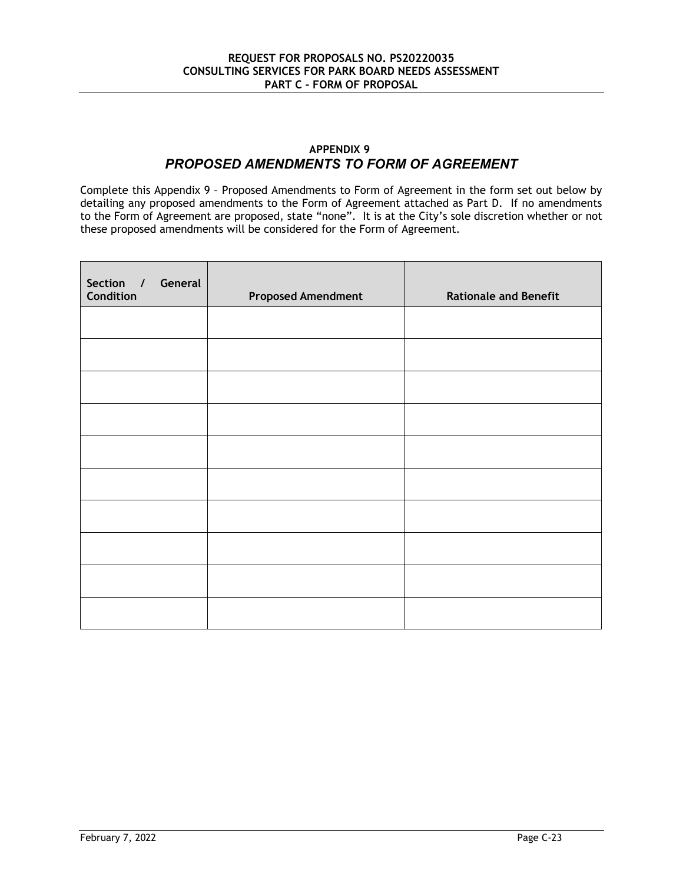# **APPENDIX 9** *PROPOSED AMENDMENTS TO FORM OF AGREEMENT*

Complete this Appendix 9 – Proposed Amendments to Form of Agreement in the form set out below by detailing any proposed amendments to the Form of Agreement attached as Part D. If no amendments to the Form of Agreement are proposed, state "none". It is at the City's sole discretion whether or not these proposed amendments will be considered for the Form of Agreement.

| Section / General<br>Condition | <b>Proposed Amendment</b> | <b>Rationale and Benefit</b> |
|--------------------------------|---------------------------|------------------------------|
|                                |                           |                              |
|                                |                           |                              |
|                                |                           |                              |
|                                |                           |                              |
|                                |                           |                              |
|                                |                           |                              |
|                                |                           |                              |
|                                |                           |                              |
|                                |                           |                              |
|                                |                           |                              |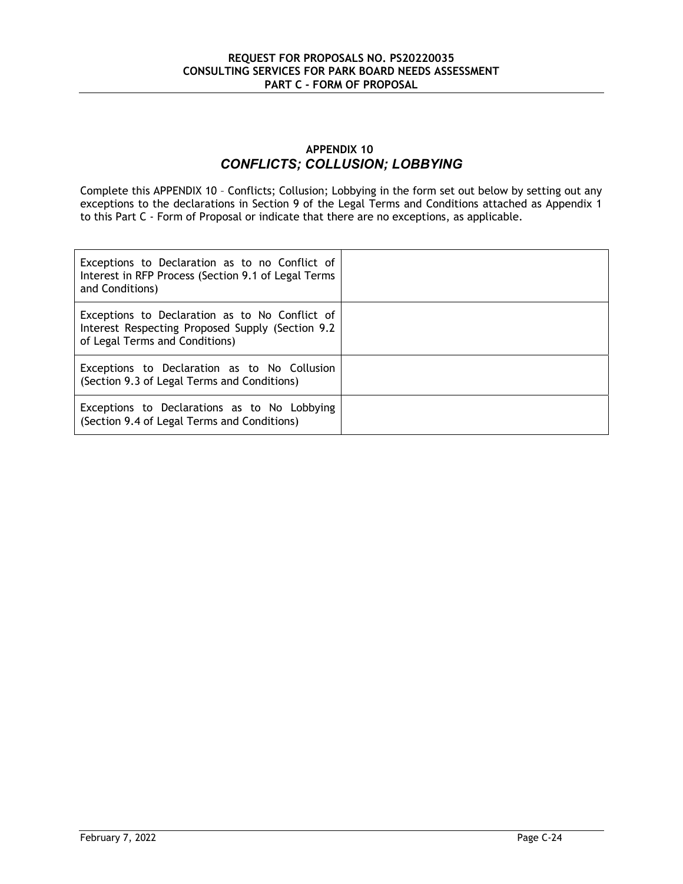# **APPENDIX 10** *CONFLICTS; COLLUSION; LOBBYING*

Complete this APPENDIX 10 – Conflicts; Collusion; Lobbying in the form set out below by setting out any exceptions to the declarations in Section 9 of the Legal Terms and Conditions attached as Appendix 1 to this Part C - Form of Proposal or indicate that there are no exceptions, as applicable.

| Exceptions to Declaration as to no Conflict of<br>Interest in RFP Process (Section 9.1 of Legal Terms<br>and Conditions)             |  |
|--------------------------------------------------------------------------------------------------------------------------------------|--|
| Exceptions to Declaration as to No Conflict of<br>Interest Respecting Proposed Supply (Section 9.2<br>of Legal Terms and Conditions) |  |
| Exceptions to Declaration as to No Collusion<br>(Section 9.3 of Legal Terms and Conditions)                                          |  |
| Exceptions to Declarations as to No Lobbying<br>(Section 9.4 of Legal Terms and Conditions)                                          |  |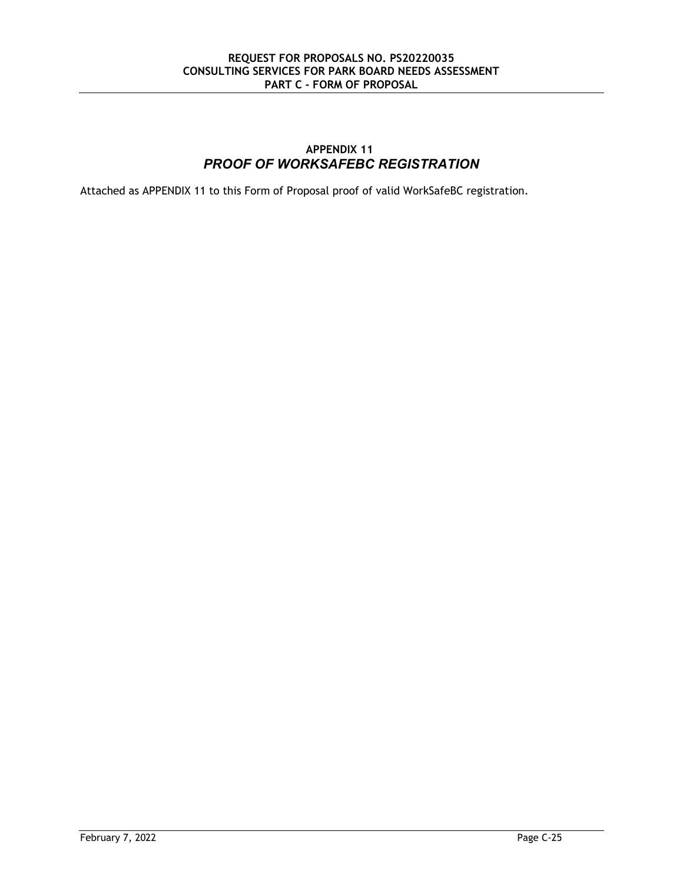# **APPENDIX 11** *PROOF OF WORKSAFEBC REGISTRATION*

Attached as APPENDIX 11 to this Form of Proposal proof of valid WorkSafeBC registration.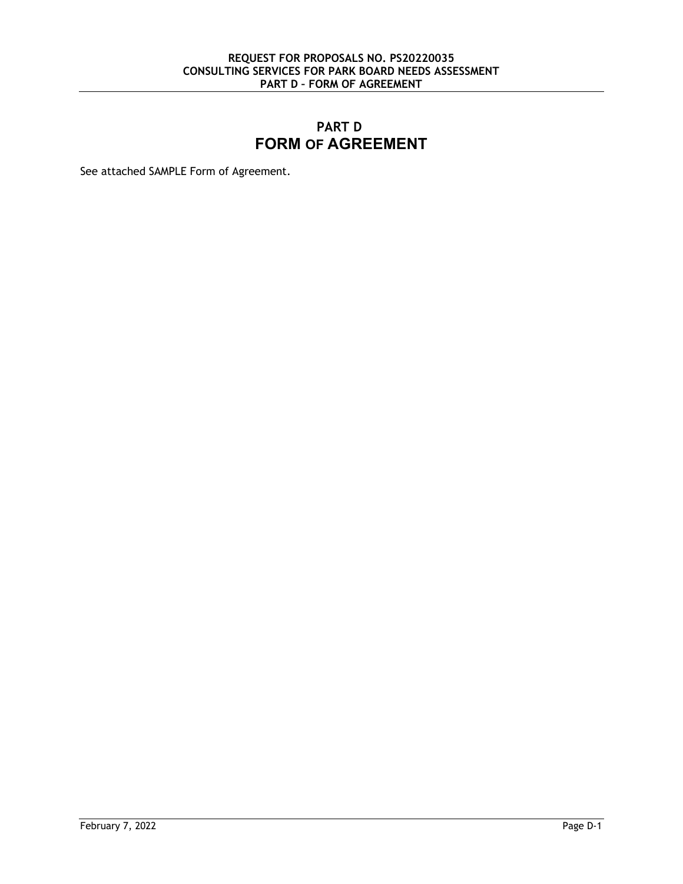# **PART D FORM OF AGREEMENT**

See attached SAMPLE Form of Agreement.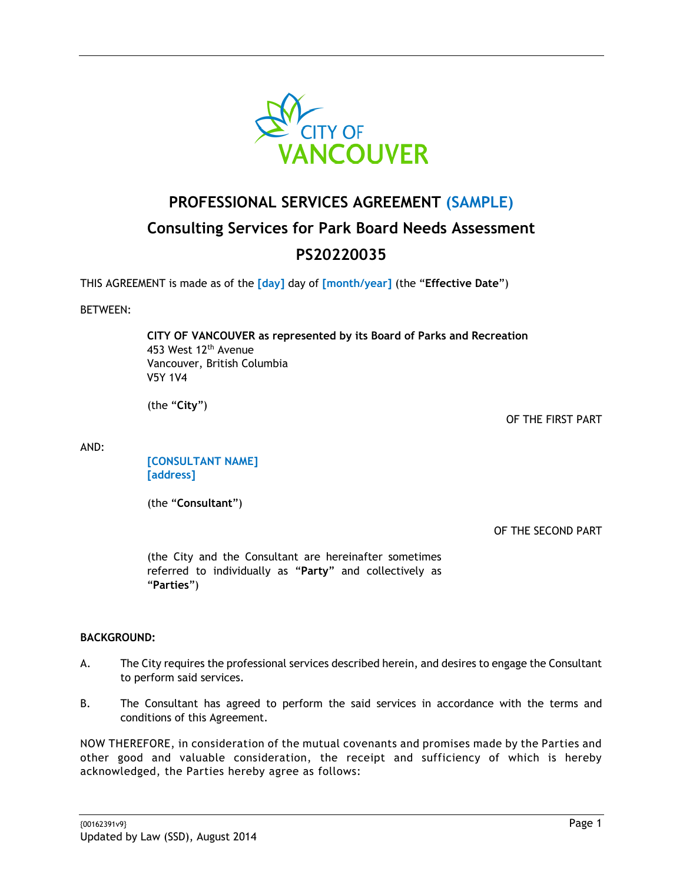

# **PROFESSIONAL SERVICES AGREEMENT (SAMPLE) Consulting Services for Park Board Needs Assessment PS20220035**

THIS AGREEMENT is made as of the **[day]** day of **[month/year]** (the "**Effective Date**")

# BETWEEN:

**CITY OF VANCOUVER as represented by its Board of Parks and Recreation**  453 West 12<sup>th</sup> Avenue Vancouver, British Columbia V5Y 1V4

(the "**City**")

OF THE FIRST PART

AND:

**[CONSULTANT NAME] [address]** 

(the "**Consultant**")

OF THE SECOND PART

(the City and the Consultant are hereinafter sometimes referred to individually as "**Party**" and collectively as "**Parties**")

#### **BACKGROUND:**

- A. The City requires the professional services described herein, and desires to engage the Consultant to perform said services.
- B. The Consultant has agreed to perform the said services in accordance with the terms and conditions of this Agreement.

NOW THEREFORE, in consideration of the mutual covenants and promises made by the Parties and other good and valuable consideration, the receipt and sufficiency of which is hereby acknowledged, the Parties hereby agree as follows: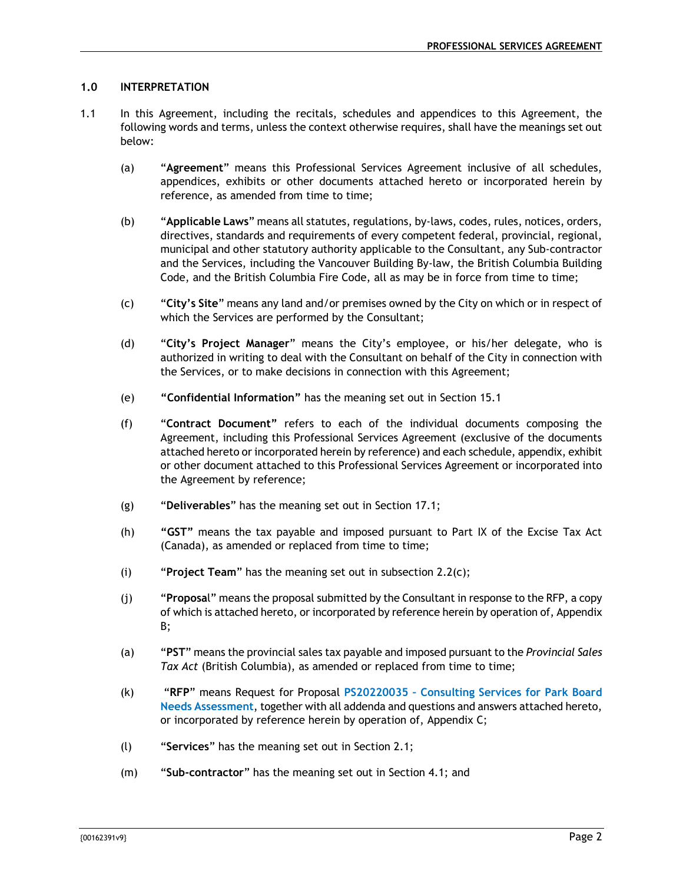# **1.0 INTERPRETATION**

- 1.1 In this Agreement, including the recitals, schedules and appendices to this Agreement, the following words and terms, unless the context otherwise requires, shall have the meanings set out below:
	- (a) "**Agreement**" means this Professional Services Agreement inclusive of all schedules, appendices, exhibits or other documents attached hereto or incorporated herein by reference, as amended from time to time;
	- (b) "**Applicable Laws**" means all statutes, regulations, by-laws, codes, rules, notices, orders, directives, standards and requirements of every competent federal, provincial, regional, municipal and other statutory authority applicable to the Consultant, any Sub-contractor and the Services, including the Vancouver Building By-law, the British Columbia Building Code, and the British Columbia Fire Code, all as may be in force from time to time;
	- (c) "**City's Site**" means any land and/or premises owned by the City on which or in respect of which the Services are performed by the Consultant;
	- (d) "**City's Project Manager**" means the City's employee, or his/her delegate, who is authorized in writing to deal with the Consultant on behalf of the City in connection with the Services, or to make decisions in connection with this Agreement;
	- (e) **"Confidential Information"** has the meaning set out in Section 15.1
	- (f) "**Contract Document"** refers to each of the individual documents composing the Agreement, including this Professional Services Agreement (exclusive of the documents attached hereto or incorporated herein by reference) and each schedule, appendix, exhibit or other document attached to this Professional Services Agreement or incorporated into the Agreement by reference;
	- (g) "**Deliverables**" has the meaning set out in Section 17.1;
	- (h) **"GST"** means the tax payable and imposed pursuant to Part IX of the Excise Tax Act (Canada), as amended or replaced from time to time;
	- (i) "**Project Team**" has the meaning set out in subsection 2.2(c);
	- (j) "**Proposa**l" means the proposal submitted by the Consultant in response to the RFP, a copy of which is attached hereto, or incorporated by reference herein by operation of, Appendix B;
	- (a) "**PST**" means the provincial sales tax payable and imposed pursuant to the *Provincial Sales Tax Act* (British Columbia), as amended or replaced from time to time;
	- (k) "**RFP**" means Request for Proposal **PS20220035 Consulting Services for Park Board Needs Assessment**, together with all addenda and questions and answers attached hereto, or incorporated by reference herein by operation of, Appendix C;
	- (l) "**Services**" has the meaning set out in Section 2.1;
	- (m) "**Sub-contractor**" has the meaning set out in Section 4.1; and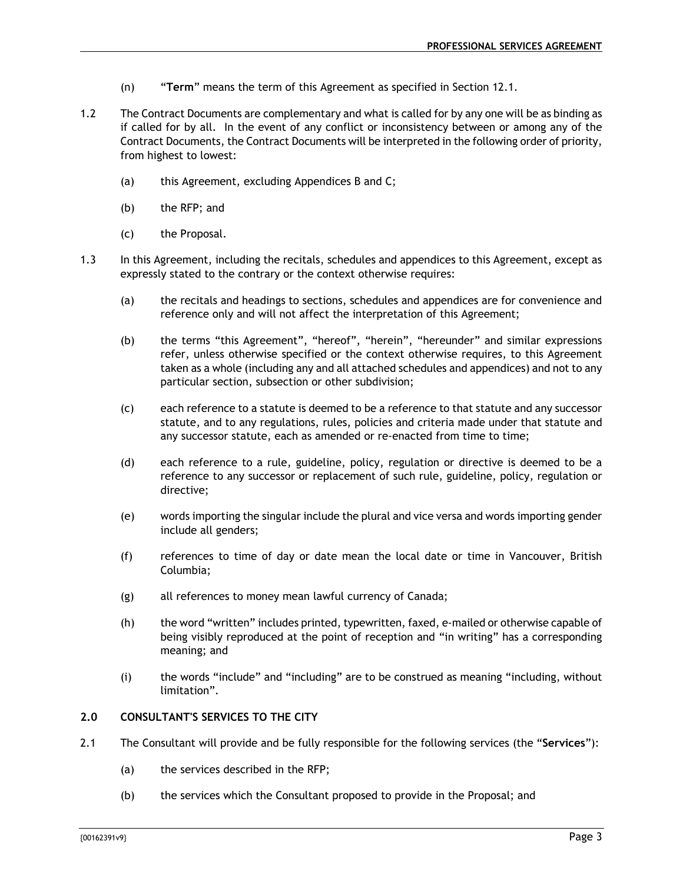- (n) "**Term**" means the term of this Agreement as specified in Section 12.1.
- 1.2 The Contract Documents are complementary and what is called for by any one will be as binding as if called for by all. In the event of any conflict or inconsistency between or among any of the Contract Documents, the Contract Documents will be interpreted in the following order of priority, from highest to lowest:
	- (a) this Agreement, excluding Appendices B and C;
	- (b) the RFP; and
	- (c) the Proposal.
- 1.3 In this Agreement, including the recitals, schedules and appendices to this Agreement, except as expressly stated to the contrary or the context otherwise requires:
	- (a) the recitals and headings to sections, schedules and appendices are for convenience and reference only and will not affect the interpretation of this Agreement;
	- (b) the terms "this Agreement", "hereof", "herein", "hereunder" and similar expressions refer, unless otherwise specified or the context otherwise requires, to this Agreement taken as a whole (including any and all attached schedules and appendices) and not to any particular section, subsection or other subdivision;
	- (c) each reference to a statute is deemed to be a reference to that statute and any successor statute, and to any regulations, rules, policies and criteria made under that statute and any successor statute, each as amended or re-enacted from time to time;
	- (d) each reference to a rule, guideline, policy, regulation or directive is deemed to be a reference to any successor or replacement of such rule, guideline, policy, regulation or directive;
	- (e) words importing the singular include the plural and vice versa and words importing gender include all genders;
	- (f) references to time of day or date mean the local date or time in Vancouver, British Columbia;
	- (g) all references to money mean lawful currency of Canada;
	- (h) the word "written" includes printed, typewritten, faxed, e-mailed or otherwise capable of being visibly reproduced at the point of reception and "in writing" has a corresponding meaning; and
	- (i) the words "include" and "including" are to be construed as meaning "including, without limitation".

# **2.0 CONSULTANT'S SERVICES TO THE CITY**

- 2.1 The Consultant will provide and be fully responsible for the following services (the "**Services**"):
	- (a) the services described in the RFP;
	- (b) the services which the Consultant proposed to provide in the Proposal; and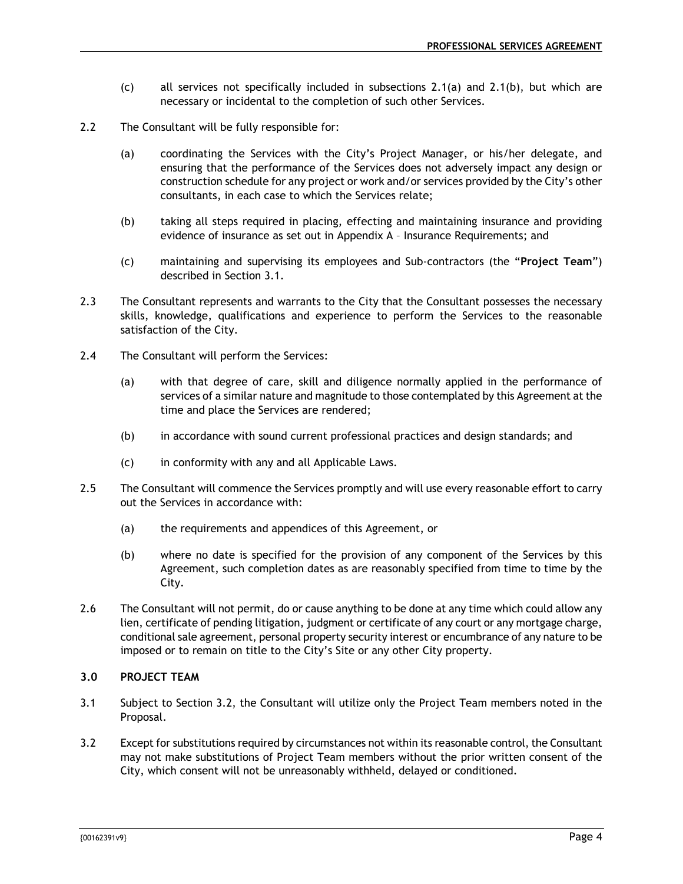- (c) all services not specifically included in subsections 2.1(a) and 2.1(b), but which are necessary or incidental to the completion of such other Services.
- 2.2 The Consultant will be fully responsible for:
	- (a) coordinating the Services with the City's Project Manager, or his/her delegate, and ensuring that the performance of the Services does not adversely impact any design or construction schedule for any project or work and/or services provided by the City's other consultants, in each case to which the Services relate;
	- (b) taking all steps required in placing, effecting and maintaining insurance and providing evidence of insurance as set out in Appendix A – Insurance Requirements; and
	- (c) maintaining and supervising its employees and Sub-contractors (the "**Project Team**") described in Section 3.1.
- 2.3 The Consultant represents and warrants to the City that the Consultant possesses the necessary skills, knowledge, qualifications and experience to perform the Services to the reasonable satisfaction of the City.
- 2.4 The Consultant will perform the Services:
	- (a) with that degree of care, skill and diligence normally applied in the performance of services of a similar nature and magnitude to those contemplated by this Agreement at the time and place the Services are rendered;
	- (b) in accordance with sound current professional practices and design standards; and
	- (c) in conformity with any and all Applicable Laws.
- 2.5 The Consultant will commence the Services promptly and will use every reasonable effort to carry out the Services in accordance with:
	- (a) the requirements and appendices of this Agreement, or
	- (b) where no date is specified for the provision of any component of the Services by this Agreement, such completion dates as are reasonably specified from time to time by the City.
- 2.6 The Consultant will not permit, do or cause anything to be done at any time which could allow any lien, certificate of pending litigation, judgment or certificate of any court or any mortgage charge, conditional sale agreement, personal property security interest or encumbrance of any nature to be imposed or to remain on title to the City's Site or any other City property.

# **3.0 PROJECT TEAM**

- 3.1 Subject to Section 3.2, the Consultant will utilize only the Project Team members noted in the Proposal.
- 3.2 Except for substitutions required by circumstances not within its reasonable control, the Consultant may not make substitutions of Project Team members without the prior written consent of the City, which consent will not be unreasonably withheld, delayed or conditioned.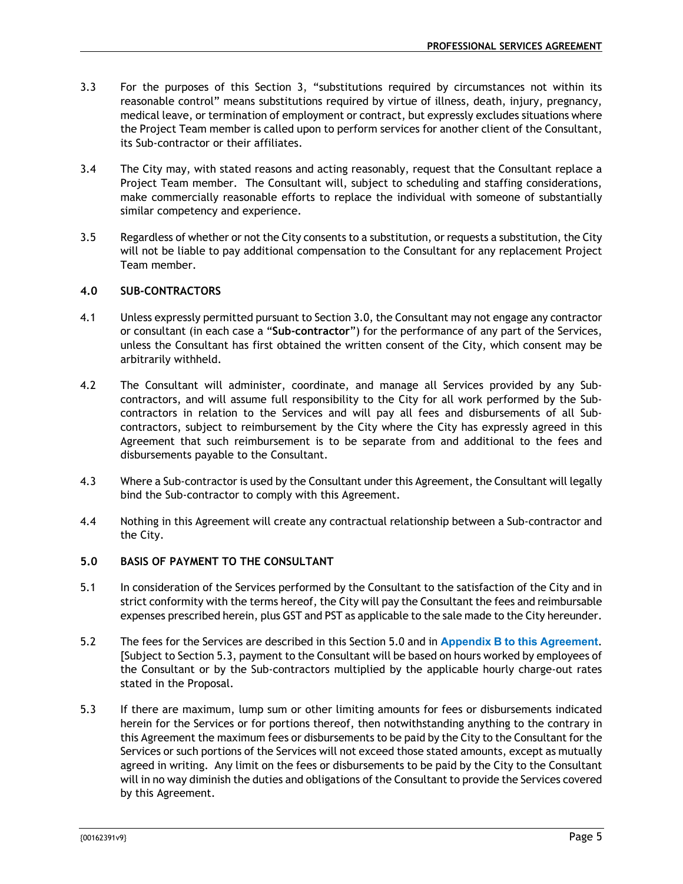- 3.3 For the purposes of this Section 3, "substitutions required by circumstances not within its reasonable control" means substitutions required by virtue of illness, death, injury, pregnancy, medical leave, or termination of employment or contract, but expressly excludes situations where the Project Team member is called upon to perform services for another client of the Consultant, its Sub-contractor or their affiliates.
- 3.4 The City may, with stated reasons and acting reasonably, request that the Consultant replace a Project Team member. The Consultant will, subject to scheduling and staffing considerations, make commercially reasonable efforts to replace the individual with someone of substantially similar competency and experience.
- 3.5 Regardless of whether or not the City consents to a substitution, or requests a substitution, the City will not be liable to pay additional compensation to the Consultant for any replacement Project Team member.

# **4.0 SUB-CONTRACTORS**

- 4.1 Unless expressly permitted pursuant to Section 3.0, the Consultant may not engage any contractor or consultant (in each case a "**Sub-contractor**") for the performance of any part of the Services, unless the Consultant has first obtained the written consent of the City, which consent may be arbitrarily withheld.
- 4.2 The Consultant will administer, coordinate, and manage all Services provided by any Subcontractors, and will assume full responsibility to the City for all work performed by the Subcontractors in relation to the Services and will pay all fees and disbursements of all Subcontractors, subject to reimbursement by the City where the City has expressly agreed in this Agreement that such reimbursement is to be separate from and additional to the fees and disbursements payable to the Consultant.
- 4.3 Where a Sub-contractor is used by the Consultant under this Agreement, the Consultant will legally bind the Sub-contractor to comply with this Agreement.
- 4.4 Nothing in this Agreement will create any contractual relationship between a Sub-contractor and the City.

# **5.0 BASIS OF PAYMENT TO THE CONSULTANT**

- 5.1 In consideration of the Services performed by the Consultant to the satisfaction of the City and in strict conformity with the terms hereof, the City will pay the Consultant the fees and reimbursable expenses prescribed herein, plus GST and PST as applicable to the sale made to the City hereunder.
- 5.2 The fees for the Services are described in this Section 5.0 and in **Appendix B to this Agreement**. [Subject to Section 5.3, payment to the Consultant will be based on hours worked by employees of the Consultant or by the Sub-contractors multiplied by the applicable hourly charge-out rates stated in the Proposal.
- 5.3 If there are maximum, lump sum or other limiting amounts for fees or disbursements indicated herein for the Services or for portions thereof, then notwithstanding anything to the contrary in this Agreement the maximum fees or disbursements to be paid by the City to the Consultant for the Services or such portions of the Services will not exceed those stated amounts, except as mutually agreed in writing. Any limit on the fees or disbursements to be paid by the City to the Consultant will in no way diminish the duties and obligations of the Consultant to provide the Services covered by this Agreement.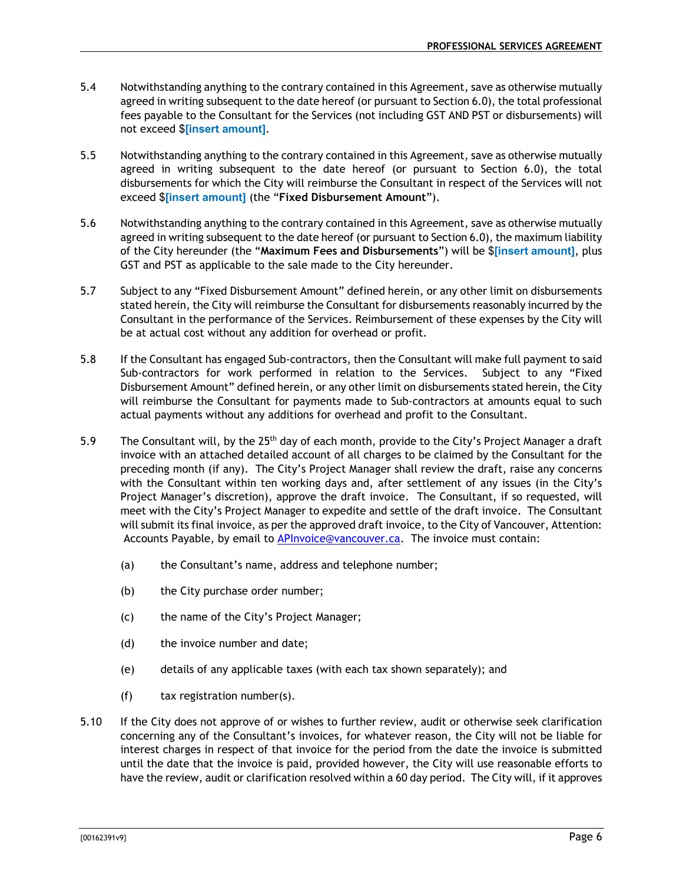- 5.4 Notwithstanding anything to the contrary contained in this Agreement, save as otherwise mutually agreed in writing subsequent to the date hereof (or pursuant to Section 6.0), the total professional fees payable to the Consultant for the Services (not including GST AND PST or disbursements) will not exceed \$**[insert amount]**.
- 5.5 Notwithstanding anything to the contrary contained in this Agreement, save as otherwise mutually agreed in writing subsequent to the date hereof (or pursuant to Section 6.0), the total disbursements for which the City will reimburse the Consultant in respect of the Services will not exceed \$**[insert amount]** (the "**Fixed Disbursement Amount**").
- 5.6 Notwithstanding anything to the contrary contained in this Agreement, save as otherwise mutually agreed in writing subsequent to the date hereof (or pursuant to Section 6.0), the maximum liability of the City hereunder (the "**Maximum Fees and Disbursements**") will be \$**[insert amount]**, plus GST and PST as applicable to the sale made to the City hereunder.
- 5.7 Subject to any "Fixed Disbursement Amount" defined herein, or any other limit on disbursements stated herein, the City will reimburse the Consultant for disbursements reasonably incurred by the Consultant in the performance of the Services. Reimbursement of these expenses by the City will be at actual cost without any addition for overhead or profit.
- 5.8 If the Consultant has engaged Sub-contractors, then the Consultant will make full payment to said Sub-contractors for work performed in relation to the Services. Subject to any "Fixed Disbursement Amount" defined herein, or any other limit on disbursements stated herein, the City will reimburse the Consultant for payments made to Sub-contractors at amounts equal to such actual payments without any additions for overhead and profit to the Consultant.
- 5.9 The Consultant will, by the  $25<sup>th</sup>$  day of each month, provide to the City's Project Manager a draft invoice with an attached detailed account of all charges to be claimed by the Consultant for the preceding month (if any). The City's Project Manager shall review the draft, raise any concerns with the Consultant within ten working days and, after settlement of any issues (in the City's Project Manager's discretion), approve the draft invoice. The Consultant, if so requested, will meet with the City's Project Manager to expedite and settle of the draft invoice. The Consultant will submit its final invoice, as per the approved draft invoice, to the City of Vancouver, Attention: Accounts Payable, by email to **APInvoice@vancouver.ca.** The invoice must contain:
	- (a) the Consultant's name, address and telephone number;
	- (b) the City purchase order number;
	- (c) the name of the City's Project Manager;
	- (d) the invoice number and date;
	- (e) details of any applicable taxes (with each tax shown separately); and
	- (f) tax registration number(s).
- 5.10 If the City does not approve of or wishes to further review, audit or otherwise seek clarification concerning any of the Consultant's invoices, for whatever reason, the City will not be liable for interest charges in respect of that invoice for the period from the date the invoice is submitted until the date that the invoice is paid, provided however, the City will use reasonable efforts to have the review, audit or clarification resolved within a 60 day period. The City will, if it approves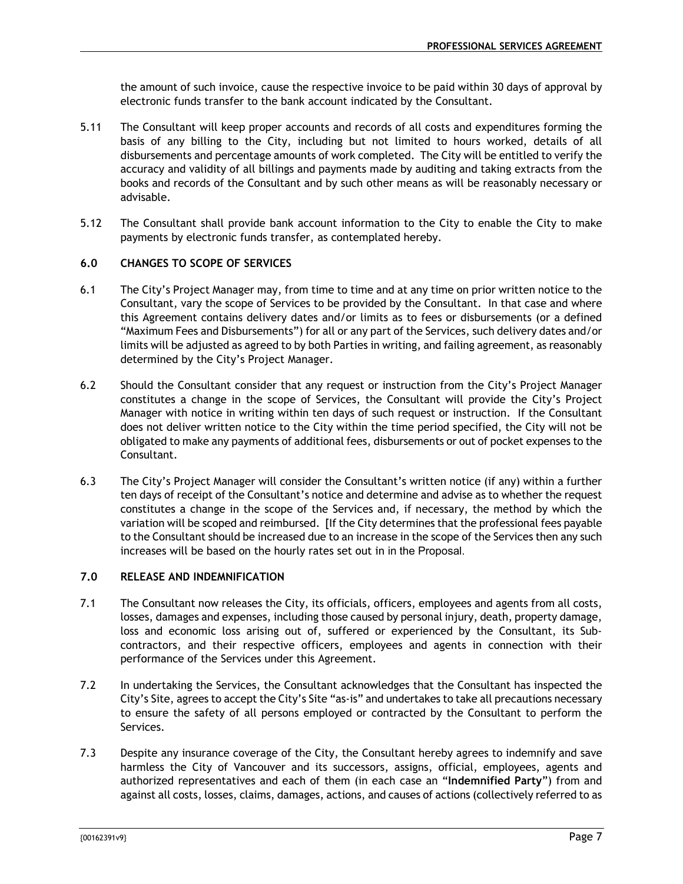the amount of such invoice, cause the respective invoice to be paid within 30 days of approval by electronic funds transfer to the bank account indicated by the Consultant.

- 5.11 The Consultant will keep proper accounts and records of all costs and expenditures forming the basis of any billing to the City, including but not limited to hours worked, details of all disbursements and percentage amounts of work completed. The City will be entitled to verify the accuracy and validity of all billings and payments made by auditing and taking extracts from the books and records of the Consultant and by such other means as will be reasonably necessary or advisable.
- 5.12 The Consultant shall provide bank account information to the City to enable the City to make payments by electronic funds transfer, as contemplated hereby.

# **6.0 CHANGES TO SCOPE OF SERVICES**

- 6.1 The City's Project Manager may, from time to time and at any time on prior written notice to the Consultant, vary the scope of Services to be provided by the Consultant. In that case and where this Agreement contains delivery dates and/or limits as to fees or disbursements (or a defined "Maximum Fees and Disbursements") for all or any part of the Services, such delivery dates and/or limits will be adjusted as agreed to by both Parties in writing, and failing agreement, as reasonably determined by the City's Project Manager.
- 6.2 Should the Consultant consider that any request or instruction from the City's Project Manager constitutes a change in the scope of Services, the Consultant will provide the City's Project Manager with notice in writing within ten days of such request or instruction. If the Consultant does not deliver written notice to the City within the time period specified, the City will not be obligated to make any payments of additional fees, disbursements or out of pocket expenses to the Consultant.
- 6.3 The City's Project Manager will consider the Consultant's written notice (if any) within a further ten days of receipt of the Consultant's notice and determine and advise as to whether the request constitutes a change in the scope of the Services and, if necessary, the method by which the variation will be scoped and reimbursed. [If the City determines that the professional fees payable to the Consultant should be increased due to an increase in the scope of the Services then any such increases will be based on the hourly rates set out in in the Proposal.

# **7.0 RELEASE AND INDEMNIFICATION**

- 7.1 The Consultant now releases the City, its officials, officers, employees and agents from all costs, losses, damages and expenses, including those caused by personal injury, death, property damage, loss and economic loss arising out of, suffered or experienced by the Consultant, its Subcontractors, and their respective officers, employees and agents in connection with their performance of the Services under this Agreement.
- 7.2 In undertaking the Services, the Consultant acknowledges that the Consultant has inspected the City's Site, agrees to accept the City's Site "as-is" and undertakes to take all precautions necessary to ensure the safety of all persons employed or contracted by the Consultant to perform the Services.
- 7.3 Despite any insurance coverage of the City, the Consultant hereby agrees to indemnify and save harmless the City of Vancouver and its successors, assigns, official, employees, agents and authorized representatives and each of them (in each case an "**Indemnified Party**") from and against all costs, losses, claims, damages, actions, and causes of actions (collectively referred to as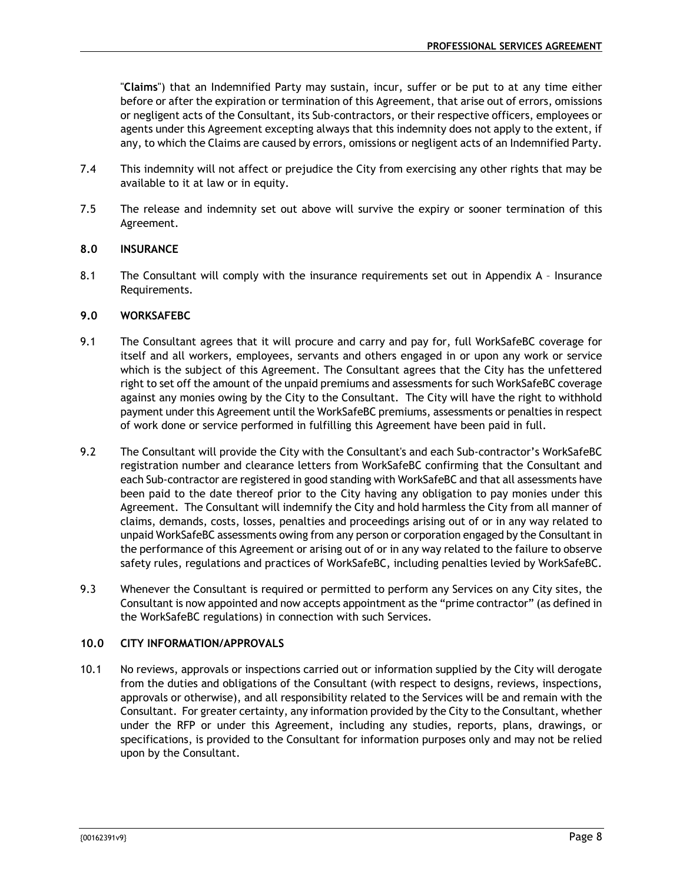"**Claims**") that an Indemnified Party may sustain, incur, suffer or be put to at any time either before or after the expiration or termination of this Agreement, that arise out of errors, omissions or negligent acts of the Consultant, its Sub-contractors, or their respective officers, employees or agents under this Agreement excepting always that this indemnity does not apply to the extent, if any, to which the Claims are caused by errors, omissions or negligent acts of an Indemnified Party.

- 7.4 This indemnity will not affect or prejudice the City from exercising any other rights that may be available to it at law or in equity.
- 7.5 The release and indemnity set out above will survive the expiry or sooner termination of this Agreement.

# **8.0 INSURANCE**

8.1 The Consultant will comply with the insurance requirements set out in Appendix A - Insurance Requirements.

#### **9.0 WORKSAFEBC**

- 9.1 The Consultant agrees that it will procure and carry and pay for, full WorkSafeBC coverage for itself and all workers, employees, servants and others engaged in or upon any work or service which is the subject of this Agreement. The Consultant agrees that the City has the unfettered right to set off the amount of the unpaid premiums and assessments for such WorkSafeBC coverage against any monies owing by the City to the Consultant. The City will have the right to withhold payment under this Agreement until the WorkSafeBC premiums, assessments or penalties in respect of work done or service performed in fulfilling this Agreement have been paid in full.
- 9.2 The Consultant will provide the City with the Consultant's and each Sub-contractor's WorkSafeBC registration number and clearance letters from WorkSafeBC confirming that the Consultant and each Sub-contractor are registered in good standing with WorkSafeBC and that all assessments have been paid to the date thereof prior to the City having any obligation to pay monies under this Agreement. The Consultant will indemnify the City and hold harmless the City from all manner of claims, demands, costs, losses, penalties and proceedings arising out of or in any way related to unpaid WorkSafeBC assessments owing from any person or corporation engaged by the Consultant in the performance of this Agreement or arising out of or in any way related to the failure to observe safety rules, regulations and practices of WorkSafeBC, including penalties levied by WorkSafeBC.
- 9.3 Whenever the Consultant is required or permitted to perform any Services on any City sites, the Consultant is now appointed and now accepts appointment as the "prime contractor" (as defined in the WorkSafeBC regulations) in connection with such Services.

#### **10.0 CITY INFORMATION/APPROVALS**

10.1 No reviews, approvals or inspections carried out or information supplied by the City will derogate from the duties and obligations of the Consultant (with respect to designs, reviews, inspections, approvals or otherwise), and all responsibility related to the Services will be and remain with the Consultant. For greater certainty, any information provided by the City to the Consultant, whether under the RFP or under this Agreement, including any studies, reports, plans, drawings, or specifications, is provided to the Consultant for information purposes only and may not be relied upon by the Consultant.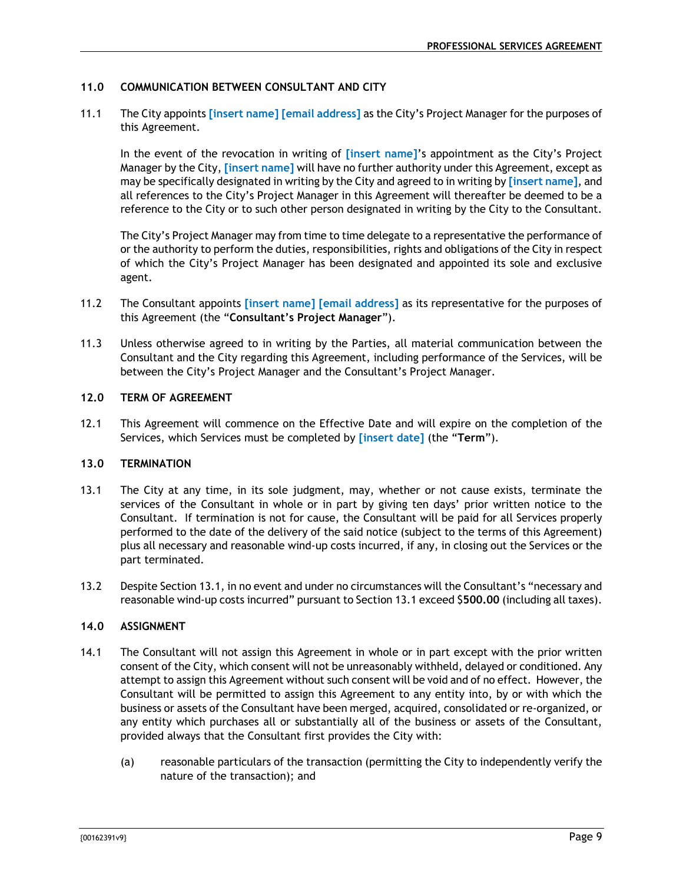# **11.0 COMMUNICATION BETWEEN CONSULTANT AND CITY**

11.1 The City appoints **[insert name] [email address]** as the City's Project Manager for the purposes of this Agreement.

In the event of the revocation in writing of **[insert name]**'s appointment as the City's Project Manager by the City, **[insert name]** will have no further authority under this Agreement, except as may be specifically designated in writing by the City and agreed to in writing by **[insert name]**, and all references to the City's Project Manager in this Agreement will thereafter be deemed to be a reference to the City or to such other person designated in writing by the City to the Consultant.

The City's Project Manager may from time to time delegate to a representative the performance of or the authority to perform the duties, responsibilities, rights and obligations of the City in respect of which the City's Project Manager has been designated and appointed its sole and exclusive agent.

- 11.2 The Consultant appoints **[insert name] [email address]** as its representative for the purposes of this Agreement (the "**Consultant's Project Manager**").
- 11.3 Unless otherwise agreed to in writing by the Parties, all material communication between the Consultant and the City regarding this Agreement, including performance of the Services, will be between the City's Project Manager and the Consultant's Project Manager.

# **12.0 TERM OF AGREEMENT**

12.1 This Agreement will commence on the Effective Date and will expire on the completion of the Services, which Services must be completed by **[insert date]** (the "**Term**").

#### **13.0 TERMINATION**

- 13.1 The City at any time, in its sole judgment, may, whether or not cause exists, terminate the services of the Consultant in whole or in part by giving ten days' prior written notice to the Consultant. If termination is not for cause, the Consultant will be paid for all Services properly performed to the date of the delivery of the said notice (subject to the terms of this Agreement) plus all necessary and reasonable wind-up costs incurred, if any, in closing out the Services or the part terminated.
- 13.2 Despite Section 13.1, in no event and under no circumstances will the Consultant's "necessary and reasonable wind-up costs incurred" pursuant to Section 13.1 exceed \$**500.00** (including all taxes).

# **14.0 ASSIGNMENT**

- 14.1 The Consultant will not assign this Agreement in whole or in part except with the prior written consent of the City, which consent will not be unreasonably withheld, delayed or conditioned. Any attempt to assign this Agreement without such consent will be void and of no effect. However, the Consultant will be permitted to assign this Agreement to any entity into, by or with which the business or assets of the Consultant have been merged, acquired, consolidated or re-organized, or any entity which purchases all or substantially all of the business or assets of the Consultant, provided always that the Consultant first provides the City with:
	- (a) reasonable particulars of the transaction (permitting the City to independently verify the nature of the transaction); and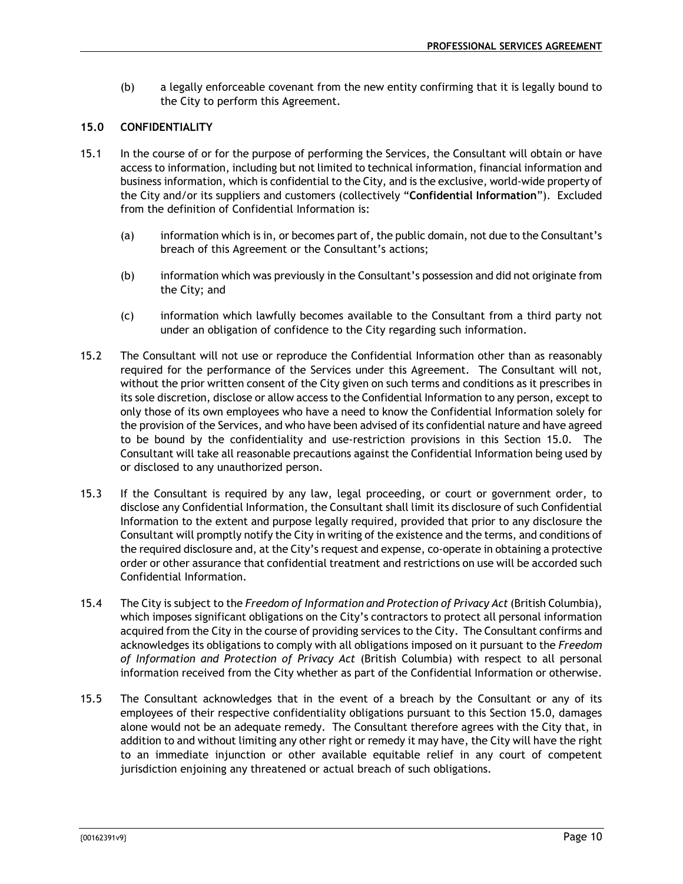(b) a legally enforceable covenant from the new entity confirming that it is legally bound to the City to perform this Agreement.

# **15.0 CONFIDENTIALITY**

- 15.1 In the course of or for the purpose of performing the Services, the Consultant will obtain or have access to information, including but not limited to technical information, financial information and business information, which is confidential to the City, and is the exclusive, world-wide property of the City and/or its suppliers and customers (collectively "**Confidential Information**"). Excluded from the definition of Confidential Information is:
	- (a) information which is in, or becomes part of, the public domain, not due to the Consultant's breach of this Agreement or the Consultant's actions;
	- (b) information which was previously in the Consultant's possession and did not originate from the City; and
	- (c) information which lawfully becomes available to the Consultant from a third party not under an obligation of confidence to the City regarding such information.
- 15.2 The Consultant will not use or reproduce the Confidential Information other than as reasonably required for the performance of the Services under this Agreement. The Consultant will not, without the prior written consent of the City given on such terms and conditions as it prescribes in its sole discretion, disclose or allow access to the Confidential Information to any person, except to only those of its own employees who have a need to know the Confidential Information solely for the provision of the Services, and who have been advised of its confidential nature and have agreed to be bound by the confidentiality and use-restriction provisions in this Section 15.0. The Consultant will take all reasonable precautions against the Confidential Information being used by or disclosed to any unauthorized person.
- 15.3 If the Consultant is required by any law, legal proceeding, or court or government order, to disclose any Confidential Information, the Consultant shall limit its disclosure of such Confidential Information to the extent and purpose legally required, provided that prior to any disclosure the Consultant will promptly notify the City in writing of the existence and the terms, and conditions of the required disclosure and, at the City's request and expense, co-operate in obtaining a protective order or other assurance that confidential treatment and restrictions on use will be accorded such Confidential Information.
- 15.4 The City is subject to the *Freedom of Information and Protection of Privacy Act* (British Columbia), which imposes significant obligations on the City's contractors to protect all personal information acquired from the City in the course of providing services to the City. The Consultant confirms and acknowledges its obligations to comply with all obligations imposed on it pursuant to the *Freedom of Information and Protection of Privacy Act* (British Columbia) with respect to all personal information received from the City whether as part of the Confidential Information or otherwise.
- 15.5 The Consultant acknowledges that in the event of a breach by the Consultant or any of its employees of their respective confidentiality obligations pursuant to this Section 15.0, damages alone would not be an adequate remedy. The Consultant therefore agrees with the City that, in addition to and without limiting any other right or remedy it may have, the City will have the right to an immediate injunction or other available equitable relief in any court of competent jurisdiction enjoining any threatened or actual breach of such obligations.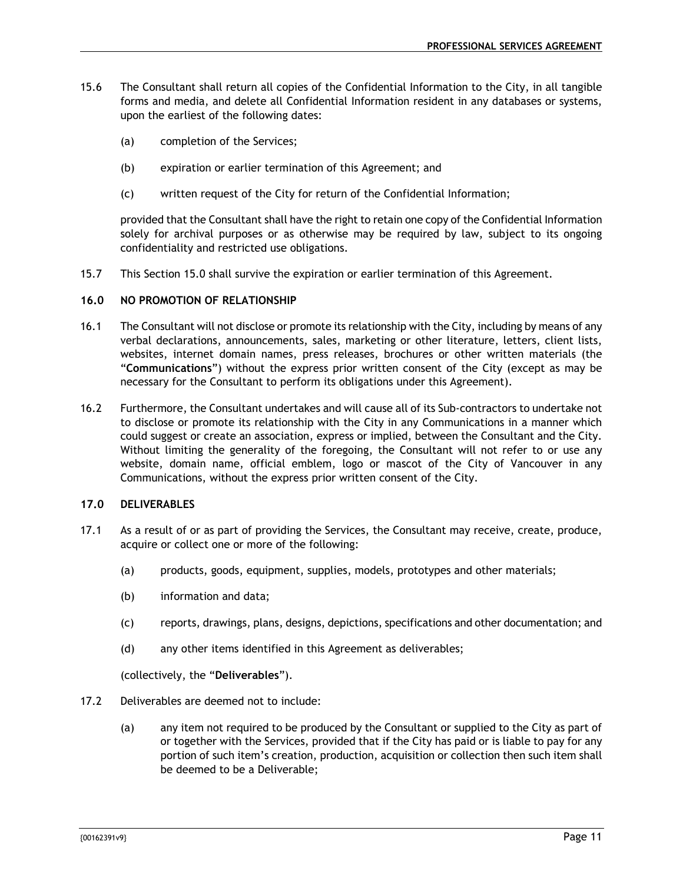- 15.6 The Consultant shall return all copies of the Confidential Information to the City, in all tangible forms and media, and delete all Confidential Information resident in any databases or systems, upon the earliest of the following dates:
	- (a) completion of the Services;
	- (b) expiration or earlier termination of this Agreement; and
	- (c) written request of the City for return of the Confidential Information;

provided that the Consultant shall have the right to retain one copy of the Confidential Information solely for archival purposes or as otherwise may be required by law, subject to its ongoing confidentiality and restricted use obligations.

15.7 This Section 15.0 shall survive the expiration or earlier termination of this Agreement.

#### **16.0 NO PROMOTION OF RELATIONSHIP**

- 16.1 The Consultant will not disclose or promote its relationship with the City, including by means of any verbal declarations, announcements, sales, marketing or other literature, letters, client lists, websites, internet domain names, press releases, brochures or other written materials (the "**Communications**") without the express prior written consent of the City (except as may be necessary for the Consultant to perform its obligations under this Agreement).
- 16.2 Furthermore, the Consultant undertakes and will cause all of its Sub-contractors to undertake not to disclose or promote its relationship with the City in any Communications in a manner which could suggest or create an association, express or implied, between the Consultant and the City. Without limiting the generality of the foregoing, the Consultant will not refer to or use any website, domain name, official emblem, logo or mascot of the City of Vancouver in any Communications, without the express prior written consent of the City.

# **17.0 DELIVERABLES**

- 17.1 As a result of or as part of providing the Services, the Consultant may receive, create, produce, acquire or collect one or more of the following:
	- (a) products, goods, equipment, supplies, models, prototypes and other materials;
	- (b) information and data;
	- (c) reports, drawings, plans, designs, depictions, specifications and other documentation; and
	- (d) any other items identified in this Agreement as deliverables;

(collectively, the "**Deliverables**").

- 17.2 Deliverables are deemed not to include:
	- (a) any item not required to be produced by the Consultant or supplied to the City as part of or together with the Services, provided that if the City has paid or is liable to pay for any portion of such item's creation, production, acquisition or collection then such item shall be deemed to be a Deliverable;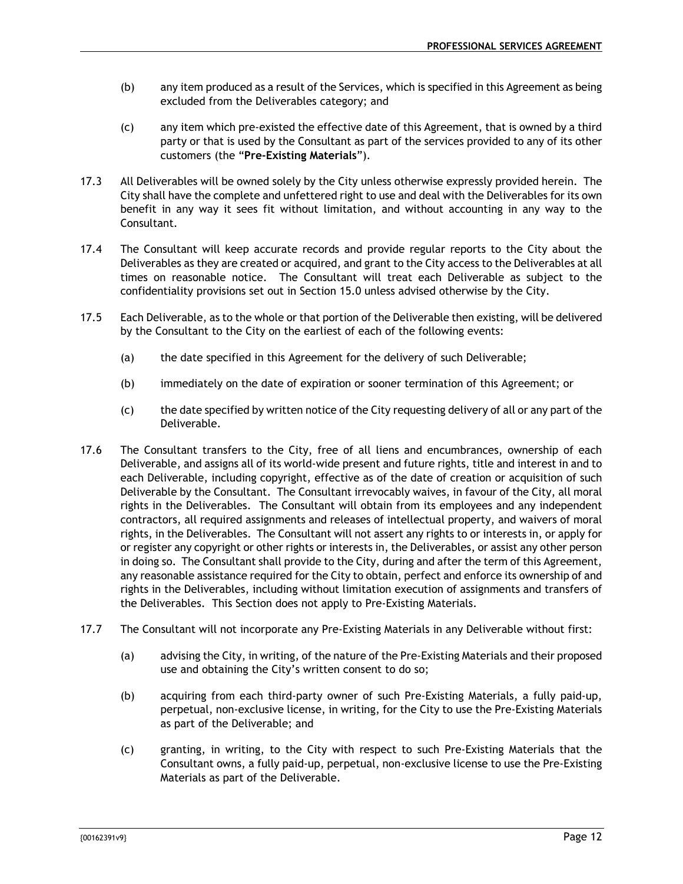- (b) any item produced as a result of the Services, which is specified in this Agreement as being excluded from the Deliverables category; and
- (c) any item which pre-existed the effective date of this Agreement, that is owned by a third party or that is used by the Consultant as part of the services provided to any of its other customers (the "**Pre-Existing Materials**").
- 17.3 All Deliverables will be owned solely by the City unless otherwise expressly provided herein. The City shall have the complete and unfettered right to use and deal with the Deliverables for its own benefit in any way it sees fit without limitation, and without accounting in any way to the Consultant.
- 17.4 The Consultant will keep accurate records and provide regular reports to the City about the Deliverables as they are created or acquired, and grant to the City access to the Deliverables at all times on reasonable notice. The Consultant will treat each Deliverable as subject to the confidentiality provisions set out in Section 15.0 unless advised otherwise by the City.
- 17.5 Each Deliverable, as to the whole or that portion of the Deliverable then existing, will be delivered by the Consultant to the City on the earliest of each of the following events:
	- (a) the date specified in this Agreement for the delivery of such Deliverable;
	- (b) immediately on the date of expiration or sooner termination of this Agreement; or
	- (c) the date specified by written notice of the City requesting delivery of all or any part of the Deliverable.
- 17.6 The Consultant transfers to the City, free of all liens and encumbrances, ownership of each Deliverable, and assigns all of its world-wide present and future rights, title and interest in and to each Deliverable, including copyright, effective as of the date of creation or acquisition of such Deliverable by the Consultant. The Consultant irrevocably waives, in favour of the City, all moral rights in the Deliverables. The Consultant will obtain from its employees and any independent contractors, all required assignments and releases of intellectual property, and waivers of moral rights, in the Deliverables. The Consultant will not assert any rights to or interests in, or apply for or register any copyright or other rights or interests in, the Deliverables, or assist any other person in doing so. The Consultant shall provide to the City, during and after the term of this Agreement, any reasonable assistance required for the City to obtain, perfect and enforce its ownership of and rights in the Deliverables, including without limitation execution of assignments and transfers of the Deliverables. This Section does not apply to Pre-Existing Materials.
- 17.7 The Consultant will not incorporate any Pre-Existing Materials in any Deliverable without first:
	- (a) advising the City, in writing, of the nature of the Pre-Existing Materials and their proposed use and obtaining the City's written consent to do so;
	- (b) acquiring from each third-party owner of such Pre-Existing Materials, a fully paid-up, perpetual, non-exclusive license, in writing, for the City to use the Pre-Existing Materials as part of the Deliverable; and
	- (c) granting, in writing, to the City with respect to such Pre-Existing Materials that the Consultant owns, a fully paid-up, perpetual, non-exclusive license to use the Pre-Existing Materials as part of the Deliverable.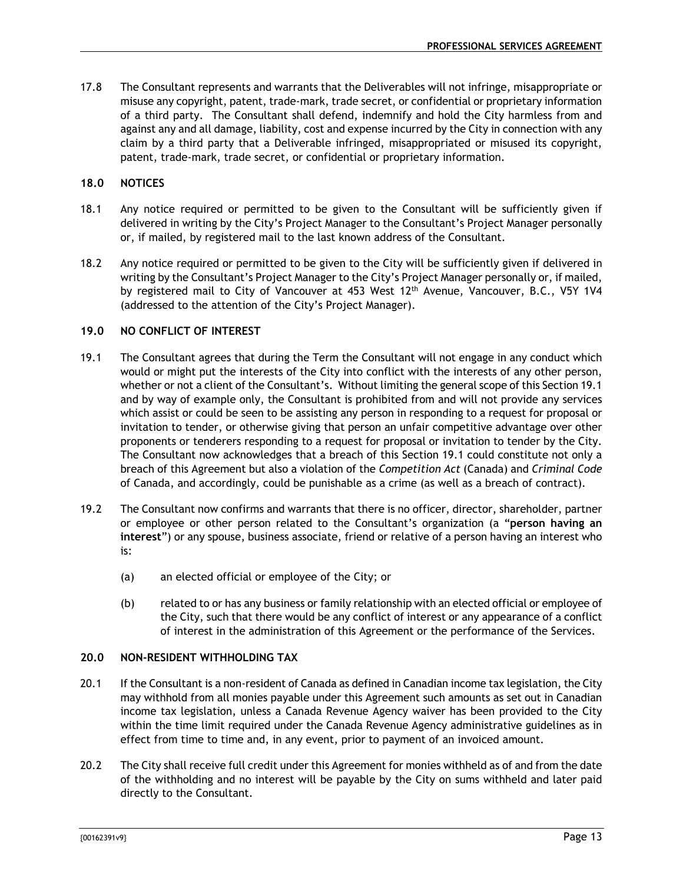17.8 The Consultant represents and warrants that the Deliverables will not infringe, misappropriate or misuse any copyright, patent, trade-mark, trade secret, or confidential or proprietary information of a third party. The Consultant shall defend, indemnify and hold the City harmless from and against any and all damage, liability, cost and expense incurred by the City in connection with any claim by a third party that a Deliverable infringed, misappropriated or misused its copyright, patent, trade-mark, trade secret, or confidential or proprietary information.

# **18.0 NOTICES**

- 18.1 Any notice required or permitted to be given to the Consultant will be sufficiently given if delivered in writing by the City's Project Manager to the Consultant's Project Manager personally or, if mailed, by registered mail to the last known address of the Consultant.
- 18.2 Any notice required or permitted to be given to the City will be sufficiently given if delivered in writing by the Consultant's Project Manager to the City's Project Manager personally or, if mailed, by registered mail to City of Vancouver at 453 West 12<sup>th</sup> Avenue, Vancouver, B.C., V5Y 1V4 (addressed to the attention of the City's Project Manager).

# **19.0 NO CONFLICT OF INTEREST**

- 19.1 The Consultant agrees that during the Term the Consultant will not engage in any conduct which would or might put the interests of the City into conflict with the interests of any other person, whether or not a client of the Consultant's. Without limiting the general scope of this Section 19.1 and by way of example only, the Consultant is prohibited from and will not provide any services which assist or could be seen to be assisting any person in responding to a request for proposal or invitation to tender, or otherwise giving that person an unfair competitive advantage over other proponents or tenderers responding to a request for proposal or invitation to tender by the City. The Consultant now acknowledges that a breach of this Section 19.1 could constitute not only a breach of this Agreement but also a violation of the *Competition Act* (Canada) and *Criminal Code* of Canada, and accordingly, could be punishable as a crime (as well as a breach of contract).
- 19.2 The Consultant now confirms and warrants that there is no officer, director, shareholder, partner or employee or other person related to the Consultant's organization (a "**person having an interest**") or any spouse, business associate, friend or relative of a person having an interest who is:
	- (a) an elected official or employee of the City; or
	- (b) related to or has any business or family relationship with an elected official or employee of the City, such that there would be any conflict of interest or any appearance of a conflict of interest in the administration of this Agreement or the performance of the Services.

# **20.0 NON-RESIDENT WITHHOLDING TAX**

- 20.1 If the Consultant is a non-resident of Canada as defined in Canadian income tax legislation, the City may withhold from all monies payable under this Agreement such amounts as set out in Canadian income tax legislation, unless a Canada Revenue Agency waiver has been provided to the City within the time limit required under the Canada Revenue Agency administrative guidelines as in effect from time to time and, in any event, prior to payment of an invoiced amount.
- 20.2 The City shall receive full credit under this Agreement for monies withheld as of and from the date of the withholding and no interest will be payable by the City on sums withheld and later paid directly to the Consultant.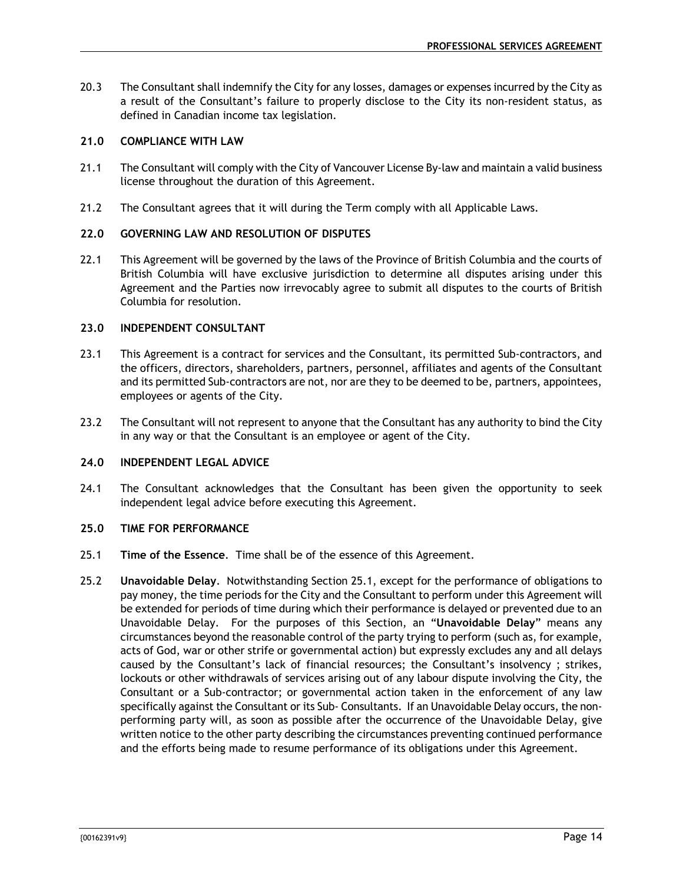20.3 The Consultant shall indemnify the City for any losses, damages or expenses incurred by the City as a result of the Consultant's failure to properly disclose to the City its non-resident status, as defined in Canadian income tax legislation.

# **21.0 COMPLIANCE WITH LAW**

- 21.1 The Consultant will comply with the City of Vancouver License By-law and maintain a valid business license throughout the duration of this Agreement.
- 21.2 The Consultant agrees that it will during the Term comply with all Applicable Laws.

# **22.0 GOVERNING LAW AND RESOLUTION OF DISPUTES**

22.1 This Agreement will be governed by the laws of the Province of British Columbia and the courts of British Columbia will have exclusive jurisdiction to determine all disputes arising under this Agreement and the Parties now irrevocably agree to submit all disputes to the courts of British Columbia for resolution.

# **23.0 INDEPENDENT CONSULTANT**

- 23.1 This Agreement is a contract for services and the Consultant, its permitted Sub-contractors, and the officers, directors, shareholders, partners, personnel, affiliates and agents of the Consultant and its permitted Sub-contractors are not, nor are they to be deemed to be, partners, appointees, employees or agents of the City.
- 23.2 The Consultant will not represent to anyone that the Consultant has any authority to bind the City in any way or that the Consultant is an employee or agent of the City.

# **24.0 INDEPENDENT LEGAL ADVICE**

24.1 The Consultant acknowledges that the Consultant has been given the opportunity to seek independent legal advice before executing this Agreement.

#### **25.0 TIME FOR PERFORMANCE**

- 25.1 **Time of the Essence**. Time shall be of the essence of this Agreement.
- 25.2 **Unavoidable Delay**. Notwithstanding Section 25.1, except for the performance of obligations to pay money, the time periods for the City and the Consultant to perform under this Agreement will be extended for periods of time during which their performance is delayed or prevented due to an Unavoidable Delay. For the purposes of this Section, an "**Unavoidable Delay**" means any circumstances beyond the reasonable control of the party trying to perform (such as, for example, acts of God, war or other strife or governmental action) but expressly excludes any and all delays caused by the Consultant's lack of financial resources; the Consultant's insolvency ; strikes, lockouts or other withdrawals of services arising out of any labour dispute involving the City, the Consultant or a Sub-contractor; or governmental action taken in the enforcement of any law specifically against the Consultant or its Sub- Consultants. If an Unavoidable Delay occurs, the nonperforming party will, as soon as possible after the occurrence of the Unavoidable Delay, give written notice to the other party describing the circumstances preventing continued performance and the efforts being made to resume performance of its obligations under this Agreement.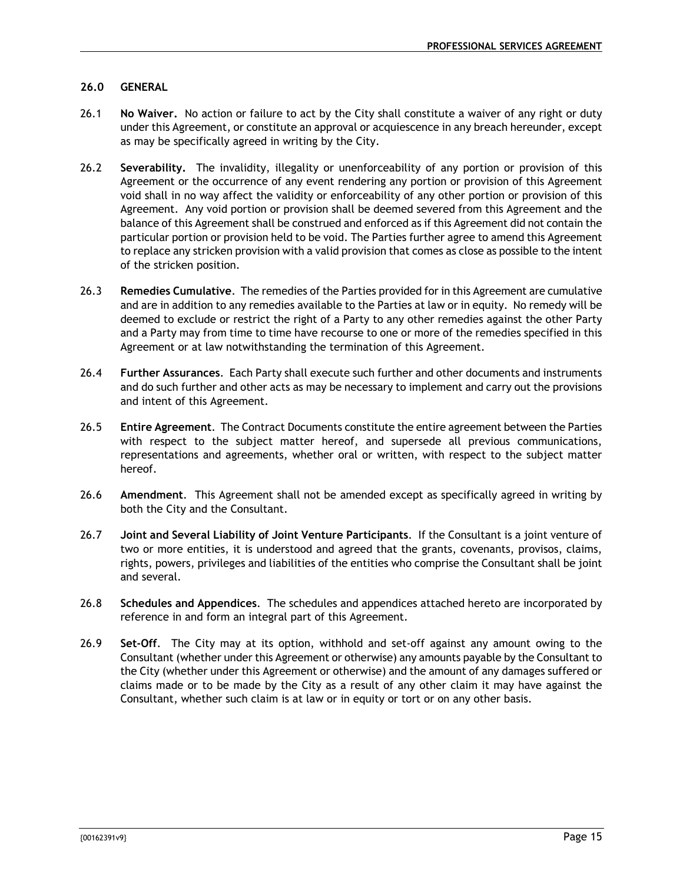# **26.0 GENERAL**

- 26.1 **No Waiver.** No action or failure to act by the City shall constitute a waiver of any right or duty under this Agreement, or constitute an approval or acquiescence in any breach hereunder, except as may be specifically agreed in writing by the City.
- 26.2 **Severability.** The invalidity, illegality or unenforceability of any portion or provision of this Agreement or the occurrence of any event rendering any portion or provision of this Agreement void shall in no way affect the validity or enforceability of any other portion or provision of this Agreement. Any void portion or provision shall be deemed severed from this Agreement and the balance of this Agreement shall be construed and enforced as if this Agreement did not contain the particular portion or provision held to be void. The Parties further agree to amend this Agreement to replace any stricken provision with a valid provision that comes as close as possible to the intent of the stricken position.
- 26.3 **Remedies Cumulative**. The remedies of the Parties provided for in this Agreement are cumulative and are in addition to any remedies available to the Parties at law or in equity. No remedy will be deemed to exclude or restrict the right of a Party to any other remedies against the other Party and a Party may from time to time have recourse to one or more of the remedies specified in this Agreement or at law notwithstanding the termination of this Agreement.
- 26.4 **Further Assurances**. Each Party shall execute such further and other documents and instruments and do such further and other acts as may be necessary to implement and carry out the provisions and intent of this Agreement.
- 26.5 **Entire Agreement**. The Contract Documents constitute the entire agreement between the Parties with respect to the subject matter hereof, and supersede all previous communications, representations and agreements, whether oral or written, with respect to the subject matter hereof.
- 26.6 **Amendment**. This Agreement shall not be amended except as specifically agreed in writing by both the City and the Consultant.
- 26.7 **Joint and Several Liability of Joint Venture Participants**. If the Consultant is a joint venture of two or more entities, it is understood and agreed that the grants, covenants, provisos, claims, rights, powers, privileges and liabilities of the entities who comprise the Consultant shall be joint and several.
- 26.8 **Schedules and Appendices**. The schedules and appendices attached hereto are incorporated by reference in and form an integral part of this Agreement.
- 26.9 **Set-Off**. The City may at its option, withhold and set-off against any amount owing to the Consultant (whether under this Agreement or otherwise) any amounts payable by the Consultant to the City (whether under this Agreement or otherwise) and the amount of any damages suffered or claims made or to be made by the City as a result of any other claim it may have against the Consultant, whether such claim is at law or in equity or tort or on any other basis.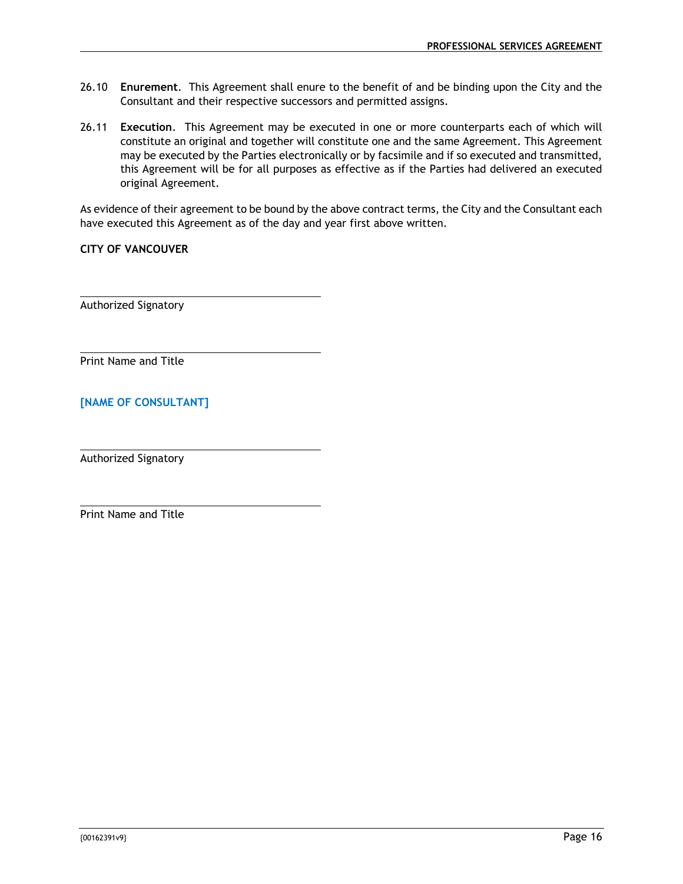- 26.10 **Enurement**. This Agreement shall enure to the benefit of and be binding upon the City and the Consultant and their respective successors and permitted assigns.
- 26.11 **Execution**. This Agreement may be executed in one or more counterparts each of which will constitute an original and together will constitute one and the same Agreement. This Agreement may be executed by the Parties electronically or by facsimile and if so executed and transmitted, this Agreement will be for all purposes as effective as if the Parties had delivered an executed original Agreement.

As evidence of their agreement to be bound by the above contract terms, the City and the Consultant each have executed this Agreement as of the day and year first above written.

**CITY OF VANCOUVER** 

Authorized Signatory

Print Name and Title

# **[NAME OF CONSULTANT]**

Authorized Signatory

Print Name and Title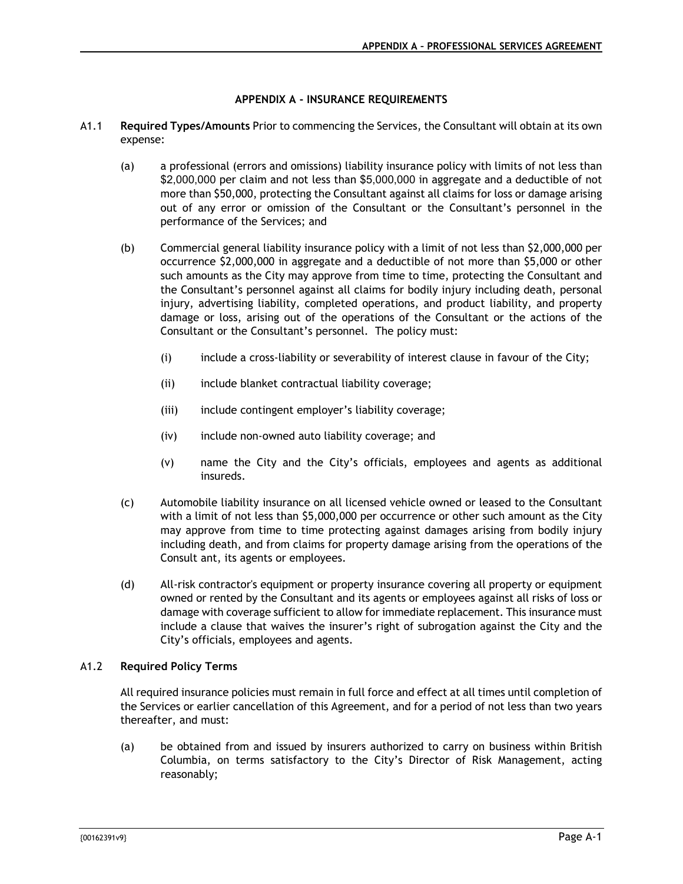# **APPENDIX A - INSURANCE REQUIREMENTS**

- A1.1 **Required Types/Amounts** Prior to commencing the Services, the Consultant will obtain at its own expense:
	- (a) a professional (errors and omissions) liability insurance policy with limits of not less than \$2,000,000 per claim and not less than \$5,000,000 in aggregate and a deductible of not more than \$50,000, protecting the Consultant against all claims for loss or damage arising out of any error or omission of the Consultant or the Consultant's personnel in the performance of the Services; and
	- (b) Commercial general liability insurance policy with a limit of not less than \$2,000,000 per occurrence \$2,000,000 in aggregate and a deductible of not more than \$5,000 or other such amounts as the City may approve from time to time, protecting the Consultant and the Consultant's personnel against all claims for bodily injury including death, personal injury, advertising liability, completed operations, and product liability, and property damage or loss, arising out of the operations of the Consultant or the actions of the Consultant or the Consultant's personnel. The policy must:
		- (i) include a cross-liability or severability of interest clause in favour of the City;
		- (ii) include blanket contractual liability coverage;
		- (iii) include contingent employer's liability coverage;
		- (iv) include non-owned auto liability coverage; and
		- (v) name the City and the City's officials, employees and agents as additional insureds.
	- (c) Automobile liability insurance on all licensed vehicle owned or leased to the Consultant with a limit of not less than \$5,000,000 per occurrence or other such amount as the City may approve from time to time protecting against damages arising from bodily injury including death, and from claims for property damage arising from the operations of the Consult ant, its agents or employees.
	- (d) All-risk contractor's equipment or property insurance covering all property or equipment owned or rented by the Consultant and its agents or employees against all risks of loss or damage with coverage sufficient to allow for immediate replacement. This insurance must include a clause that waives the insurer's right of subrogation against the City and the City's officials, employees and agents.

# A1.2 **Required Policy Terms**

All required insurance policies must remain in full force and effect at all times until completion of the Services or earlier cancellation of this Agreement, and for a period of not less than two years thereafter, and must:

(a) be obtained from and issued by insurers authorized to carry on business within British Columbia, on terms satisfactory to the City's Director of Risk Management, acting reasonably;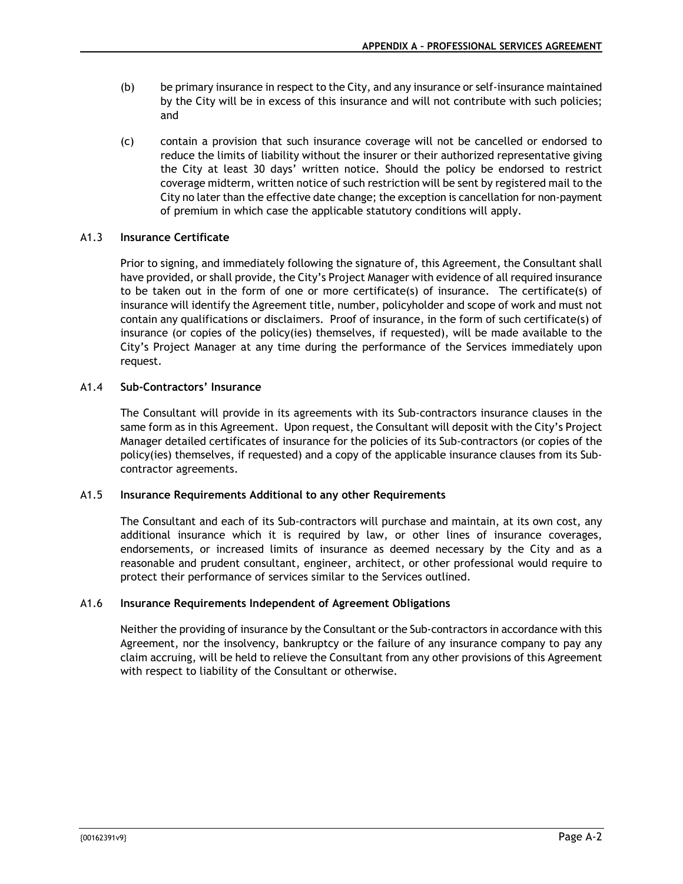- (b) be primary insurance in respect to the City, and any insurance or self-insurance maintained by the City will be in excess of this insurance and will not contribute with such policies; and
- (c) contain a provision that such insurance coverage will not be cancelled or endorsed to reduce the limits of liability without the insurer or their authorized representative giving the City at least 30 days' written notice. Should the policy be endorsed to restrict coverage midterm, written notice of such restriction will be sent by registered mail to the City no later than the effective date change; the exception is cancellation for non-payment of premium in which case the applicable statutory conditions will apply.

# A1.3 **Insurance Certificate**

Prior to signing, and immediately following the signature of, this Agreement, the Consultant shall have provided, or shall provide, the City's Project Manager with evidence of all required insurance to be taken out in the form of one or more certificate(s) of insurance. The certificate(s) of insurance will identify the Agreement title, number, policyholder and scope of work and must not contain any qualifications or disclaimers. Proof of insurance, in the form of such certificate(s) of insurance (or copies of the policy(ies) themselves, if requested), will be made available to the City's Project Manager at any time during the performance of the Services immediately upon request.

# A1.4 **Sub-Contractors' Insurance**

The Consultant will provide in its agreements with its Sub-contractors insurance clauses in the same form as in this Agreement. Upon request, the Consultant will deposit with the City's Project Manager detailed certificates of insurance for the policies of its Sub-contractors (or copies of the policy(ies) themselves, if requested) and a copy of the applicable insurance clauses from its Subcontractor agreements.

# A1.5 **Insurance Requirements Additional to any other Requirements**

The Consultant and each of its Sub-contractors will purchase and maintain, at its own cost, any additional insurance which it is required by law, or other lines of insurance coverages, endorsements, or increased limits of insurance as deemed necessary by the City and as a reasonable and prudent consultant, engineer, architect, or other professional would require to protect their performance of services similar to the Services outlined.

# A1.6 **Insurance Requirements Independent of Agreement Obligations**

Neither the providing of insurance by the Consultant or the Sub-contractors in accordance with this Agreement, nor the insolvency, bankruptcy or the failure of any insurance company to pay any claim accruing, will be held to relieve the Consultant from any other provisions of this Agreement with respect to liability of the Consultant or otherwise.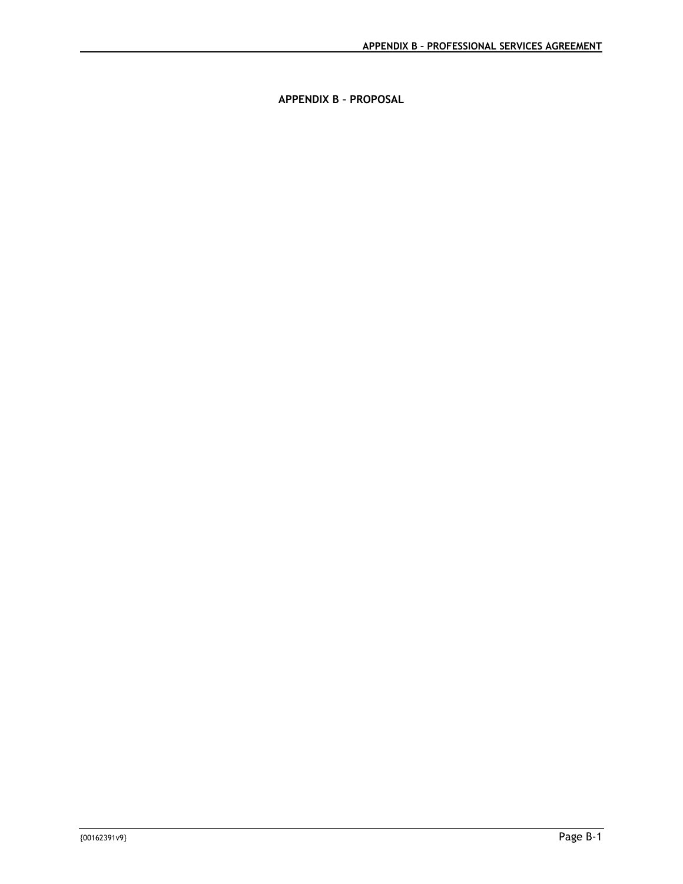**APPENDIX B – PROPOSAL**